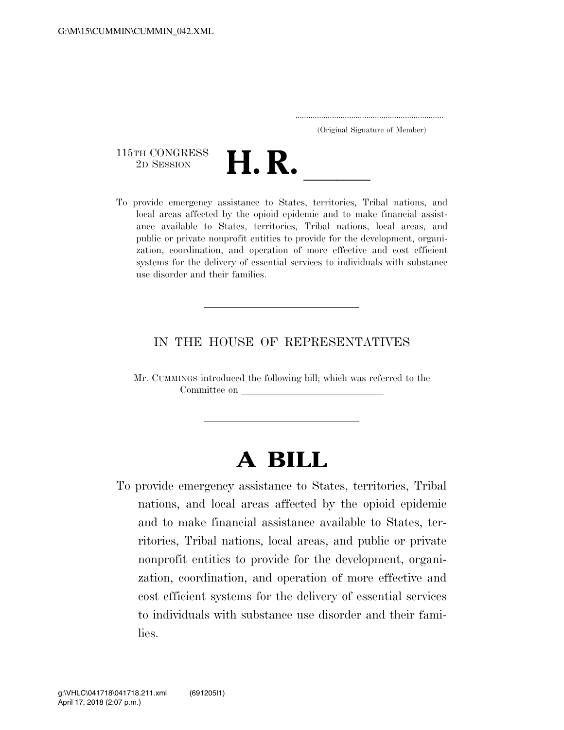..................................................................... (Original Signature of Member)

115TH CONGRESS<br>2D SESSION



TISTH CONGRESS<br>
2D SESSION<br>
To provide emergency assistance to States, territories, Tribal nations, and local areas affected by the opioid epidemic and to make financial assistance available to States, territories, Tribal nations, local areas, and public or private nonprofit entities to provide for the development, organization, coordination, and operation of more effective and cost efficient systems for the delivery of essential services to individuals with substance use disorder and their families.

#### IN THE HOUSE OF REPRESENTATIVES

Mr. CUMMINGS introduced the following bill; which was referred to the Committee on

# **A BILL**

To provide emergency assistance to States, territories, Tribal nations, and local areas affected by the opioid epidemic and to make financial assistance available to States, territories, Tribal nations, local areas, and public or private nonprofit entities to provide for the development, organization, coordination, and operation of more effective and cost efficient systems for the delivery of essential services to individuals with substance use disorder and their families.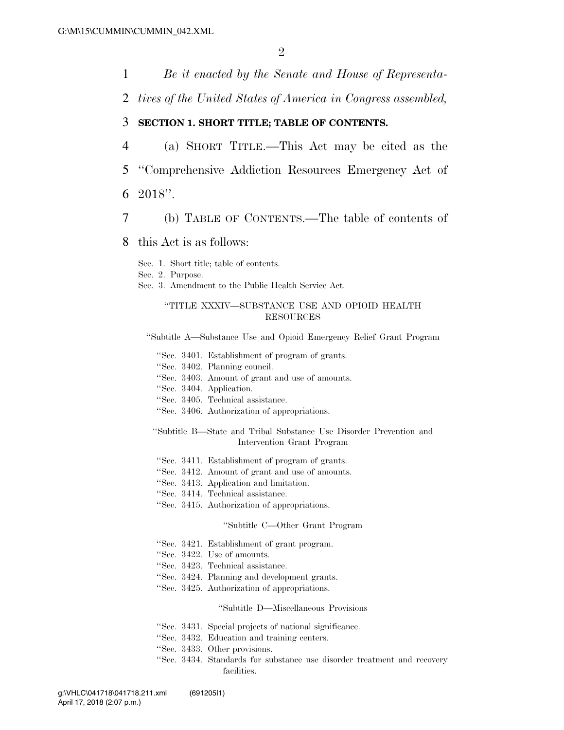1 *Be it enacted by the Senate and House of Representa-*

2 *tives of the United States of America in Congress assembled,* 

#### 3 **SECTION 1. SHORT TITLE; TABLE OF CONTENTS.**

- 4 (a) SHORT TITLE.—This Act may be cited as the 5 ''Comprehensive Addiction Resources Emergency Act of
- 6 2018''.
- 7 (b) TABLE OF CONTENTS.—The table of contents of

#### 8 this Act is as follows:

- Sec. 1. Short title; table of contents.
- Sec. 2. Purpose.
- Sec. 3. Amendment to the Public Health Service Act.

#### ''TITLE XXXIV—SUBSTANCE USE AND OPIOID HEALTH RESOURCES

''Subtitle A—Substance Use and Opioid Emergency Relief Grant Program

- ''Sec. 3401. Establishment of program of grants.
- ''Sec. 3402. Planning council.
- ''Sec. 3403. Amount of grant and use of amounts.
- ''Sec. 3404. Application.
- ''Sec. 3405. Technical assistance.
- ''Sec. 3406. Authorization of appropriations.
- ''Subtitle B—State and Tribal Substance Use Disorder Prevention and Intervention Grant Program
- ''Sec. 3411. Establishment of program of grants.
- ''Sec. 3412. Amount of grant and use of amounts.
- ''Sec. 3413. Application and limitation.
- ''Sec. 3414. Technical assistance.
- ''Sec. 3415. Authorization of appropriations.

#### ''Subtitle C—Other Grant Program

- ''Sec. 3421. Establishment of grant program.
- ''Sec. 3422. Use of amounts.
- ''Sec. 3423. Technical assistance.
- ''Sec. 3424. Planning and development grants.
- ''Sec. 3425. Authorization of appropriations.

#### ''Subtitle D—Miscellaneous Provisions

- ''Sec. 3431. Special projects of national significance.
- ''Sec. 3432. Education and training centers.
- ''Sec. 3433. Other provisions.
- ''Sec. 3434. Standards for substance use disorder treatment and recovery facilities.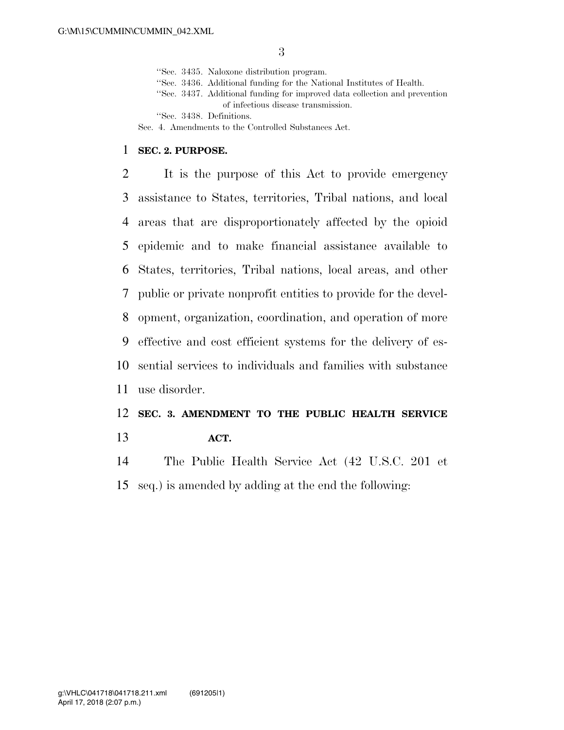''Sec. 3435. Naloxone distribution program.

- ''Sec. 3436. Additional funding for the National Institutes of Health.
- ''Sec. 3437. Additional funding for improved data collection and prevention of infectious disease transmission.

''Sec. 3438. Definitions.

Sec. 4. Amendments to the Controlled Substances Act.

#### **SEC. 2. PURPOSE.**

 It is the purpose of this Act to provide emergency assistance to States, territories, Tribal nations, and local areas that are disproportionately affected by the opioid epidemic and to make financial assistance available to States, territories, Tribal nations, local areas, and other public or private nonprofit entities to provide for the devel- opment, organization, coordination, and operation of more effective and cost efficient systems for the delivery of es- sential services to individuals and families with substance use disorder.

## **SEC. 3. AMENDMENT TO THE PUBLIC HEALTH SERVICE**

**ACT.** 

 The Public Health Service Act (42 U.S.C. 201 et seq.) is amended by adding at the end the following: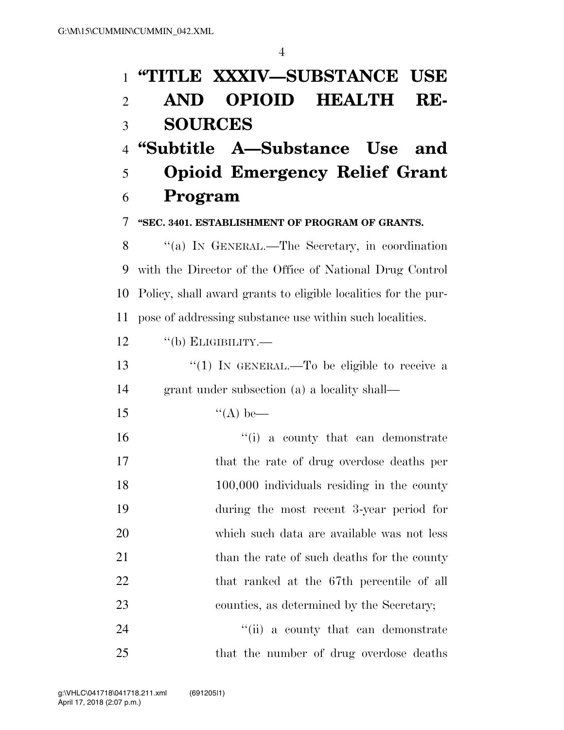## 1 **''TITLE XXXIV—SUBSTANCE USE**  2 **AND OPIOID HEALTH RE-**

### 3 **SOURCES**

### 4 **''Subtitle A—Substance Use and**

5 **Opioid Emergency Relief Grant**  6 **Program** 

7 **''SEC. 3401. ESTABLISHMENT OF PROGRAM OF GRANTS.** 

 ''(a) IN GENERAL.—The Secretary, in coordination with the Director of the Office of National Drug Control Policy, shall award grants to eligible localities for the pur-pose of addressing substance use within such localities.

- 12 "(b) ELIGIBILITY.—
- 13  $\frac{13}{12}$  To be eligible to receive a 14 grant under subsection (a) a locality shall—
- 15  $"({\rm A})$  be—
- 16  $\frac{1}{10}$  a county that can demonstrate 17 that the rate of drug overdose deaths per 18 100,000 individuals residing in the county 19 during the most recent 3-year period for 20 which such data are available was not less 21 than the rate of such deaths for the county 22 that ranked at the 67th percentile of all 23 counties, as determined by the Secretary;
- 24 ''(ii) a county that can demonstrate 25 that the number of drug overdose deaths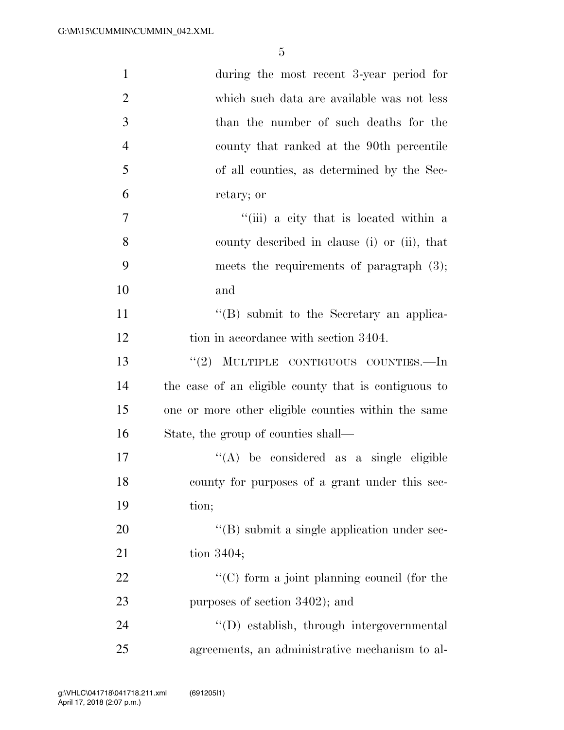| $\mathbf{1}$   | during the most recent 3-year period for             |
|----------------|------------------------------------------------------|
| $\overline{2}$ | which such data are available was not less           |
| 3              | than the number of such deaths for the               |
| $\overline{4}$ | county that ranked at the 90th percentile            |
| 5              | of all counties, as determined by the Sec-           |
| 6              | retary; or                                           |
| 7              | "(iii) a city that is located within a               |
| 8              | county described in clause (i) or (ii), that         |
| 9              | meets the requirements of paragraph $(3)$ ;          |
| 10             | and                                                  |
| 11             | $\lq\lq (B)$ submit to the Secretary an applica-     |
| 12             | tion in accordance with section 3404.                |
| 13             | "(2) MULTIPLE CONTIGUOUS COUNTIES.—In                |
| 14             | the case of an eligible county that is contiguous to |
| 15             | one or more other eligible counties within the same  |
| 16             | State, the group of counties shall—                  |
| 17             | $\lq\lq$ be considered as a single eligible          |
| 18             | county for purposes of a grant under this sec-       |
| 19             | tion;                                                |
| 20             | "(B) submit a single application under sec-          |
| 21             | tion $3404$ ;                                        |
| 22             | $\lq\lq$ (C) form a joint planning council (for the  |
| 23             | purposes of section 3402); and                       |
| 24             | "(D) establish, through intergovernmental            |
| 25             | agreements, an administrative mechanism to al-       |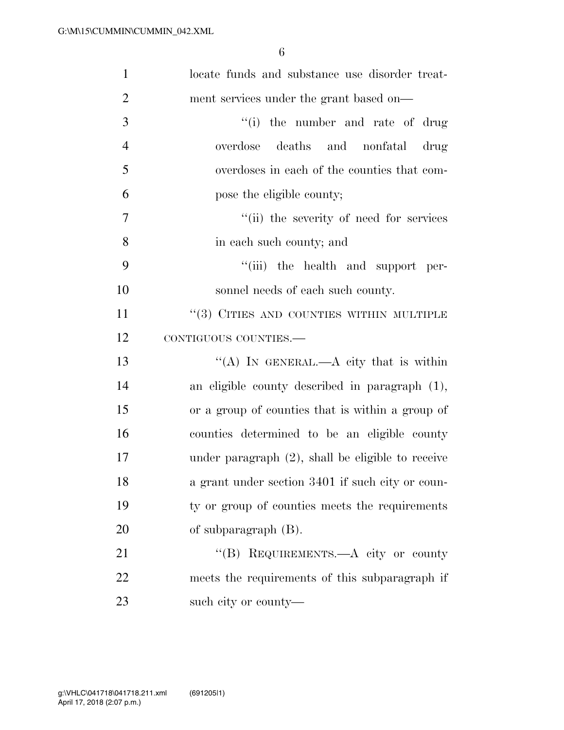| $\mathbf{1}$   | locate funds and substance use disorder treat-       |
|----------------|------------------------------------------------------|
| $\overline{2}$ | ment services under the grant based on—              |
| 3              | ``(i)<br>the number and rate of drug                 |
| $\overline{4}$ | overdose deaths and nonfatal drug                    |
| 5              | overdoses in each of the counties that com-          |
| 6              | pose the eligible county;                            |
| $\overline{7}$ | "(ii) the severity of need for services              |
| 8              | in each such county; and                             |
| 9              | "(iii) the health and support per-                   |
| 10             | sonnel needs of each such county.                    |
| 11             | $``(3)$ CITIES AND COUNTIES WITHIN MULTIPLE          |
| 12             | CONTIGUOUS COUNTIES.-                                |
| 13             | "(A) IN GENERAL.—A city that is within               |
| 14             | an eligible county described in paragraph (1),       |
| 15             | or a group of counties that is within a group of     |
| 16             | counties determined to be an eligible county         |
| 17             | under paragraph $(2)$ , shall be eligible to receive |
| 18             | a grant under section 3401 if such city or coun-     |
| 19             | ty or group of counties meets the requirements       |
| 20             | of subparagraph (B).                                 |
| 21             | "(B) REQUIREMENTS.—A city or county                  |
| 22             | meets the requirements of this subparagraph if       |
| 23             | such city or county—                                 |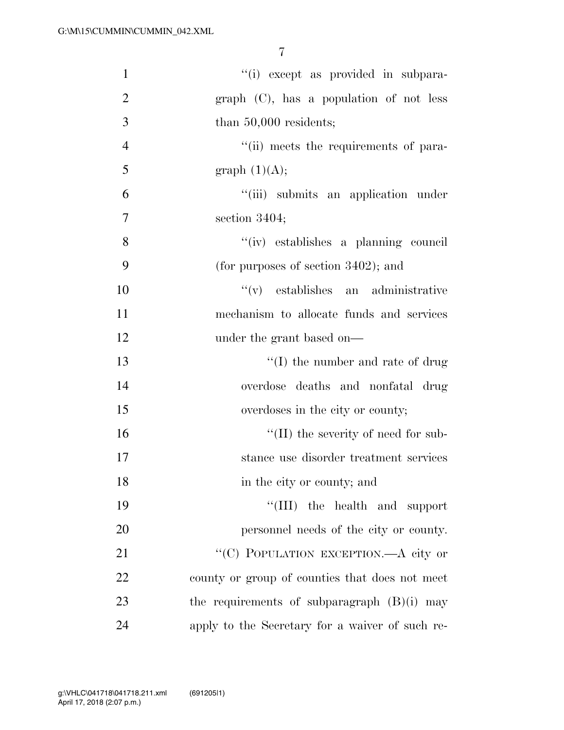| $\mathbf{1}$   | "(i) except as provided in subpara-             |
|----------------|-------------------------------------------------|
| $\overline{2}$ | $graph$ (C), has a population of not less       |
| 3              | than $50,000$ residents;                        |
| $\overline{4}$ | "(ii) meets the requirements of para-           |
| 5              | graph $(1)(A);$                                 |
| 6              | "(iii) submits an application under             |
| 7              | section $3404$ ;                                |
| 8              | "(iv) establishes a planning council            |
| 9              | (for purposes of section $3402$ ); and          |
| 10             | $f'(v)$ establishes an administrative           |
| 11             | mechanism to allocate funds and services        |
| 12             | under the grant based on—                       |
| 13             | $\lq\lq$ (I) the number and rate of drug        |
| 14             | overdose deaths and nonfatal drug               |
| 15             | overdoses in the city or county;                |
| 16             | $\lq\lq$ (II) the severity of need for sub-     |
| 17             | stance use disorder treatment services          |
| 18             | in the city or county; and                      |
| 19             | "(III) the health and support                   |
| 20             | personnel needs of the city or county.          |
| 21             | "(C) POPULATION EXCEPTION.—A city or            |
| 22             | county or group of counties that does not meet  |
| 23             | the requirements of subparagraph $(B)(i)$ may   |
| 24             | apply to the Secretary for a waiver of such re- |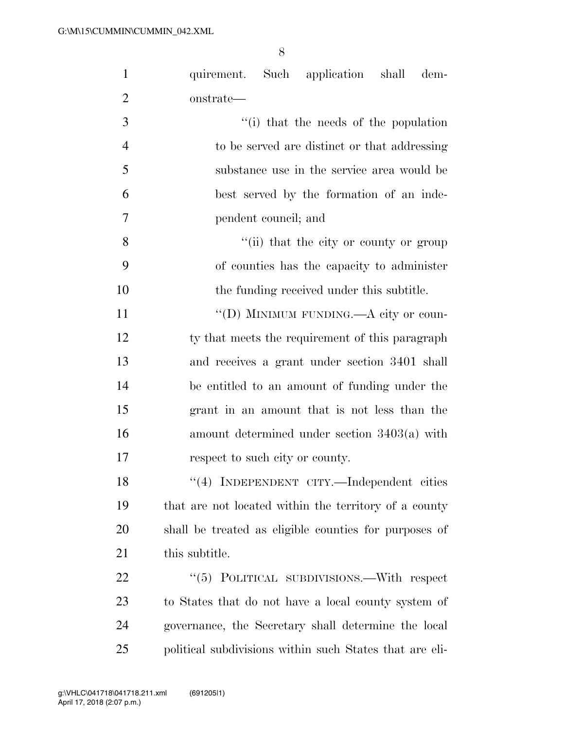| $\mathbf{1}$   | quirement. Such application shall<br>dem-               |
|----------------|---------------------------------------------------------|
| $\overline{2}$ | onstrate—                                               |
| 3              | "(i) that the needs of the population                   |
| $\overline{4}$ | to be served are distinct or that addressing            |
| 5              | substance use in the service area would be              |
| 6              | best served by the formation of an inde-                |
| 7              | pendent council; and                                    |
| 8              | "(ii) that the city or county or group                  |
| 9              | of counties has the capacity to administer              |
| 10             | the funding received under this subtitle.               |
| 11             | "(D) MINIMUM FUNDING.—A city or coun-                   |
| 12             | ty that meets the requirement of this paragraph         |
| 13             | and receives a grant under section 3401 shall           |
| 14             | be entitled to an amount of funding under the           |
| 15             | grant in an amount that is not less than the            |
| 16             | amount determined under section $3403(a)$ with          |
| 17             | respect to such city or county.                         |
| 18             | "(4) INDEPENDENT CITY.—Independent cities               |
| 19             | that are not located within the territory of a county   |
| 20             | shall be treated as eligible counties for purposes of   |
| 21             | this subtitle.                                          |
| 22             | "(5) POLITICAL SUBDIVISIONS.—With respect               |
| 23             | to States that do not have a local county system of     |
| 24             | governance, the Secretary shall determine the local     |
| 25             | political subdivisions within such States that are eli- |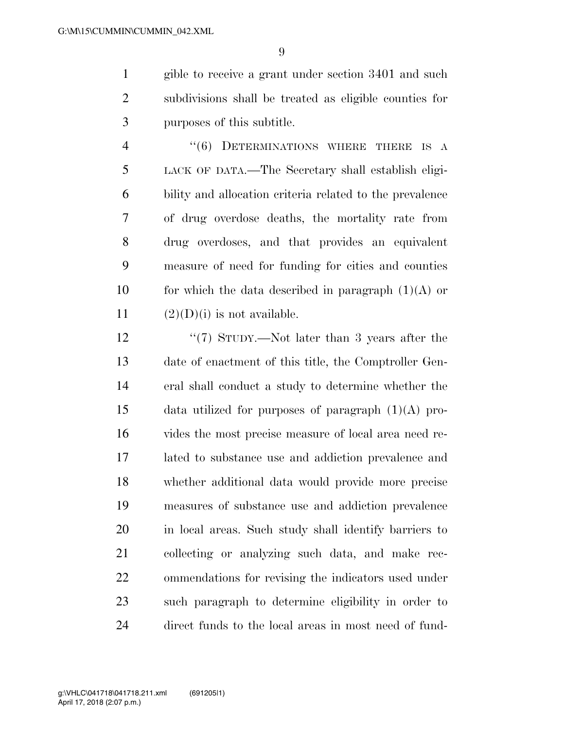gible to receive a grant under section 3401 and such subdivisions shall be treated as eligible counties for purposes of this subtitle.

4 "(6) DETERMINATIONS WHERE THERE IS A LACK OF DATA.—The Secretary shall establish eligi- bility and allocation criteria related to the prevalence of drug overdose deaths, the mortality rate from drug overdoses, and that provides an equivalent measure of need for funding for cities and counties 10 for which the data described in paragraph  $(1)(A)$  or  $(2)(D)(i)$  is not available.

12 ''(7) STUDY.—Not later than 3 years after the date of enactment of this title, the Comptroller Gen- eral shall conduct a study to determine whether the 15 data utilized for purposes of paragraph  $(1)(A)$  pro- vides the most precise measure of local area need re- lated to substance use and addiction prevalence and whether additional data would provide more precise measures of substance use and addiction prevalence in local areas. Such study shall identify barriers to collecting or analyzing such data, and make rec- ommendations for revising the indicators used under such paragraph to determine eligibility in order to direct funds to the local areas in most need of fund-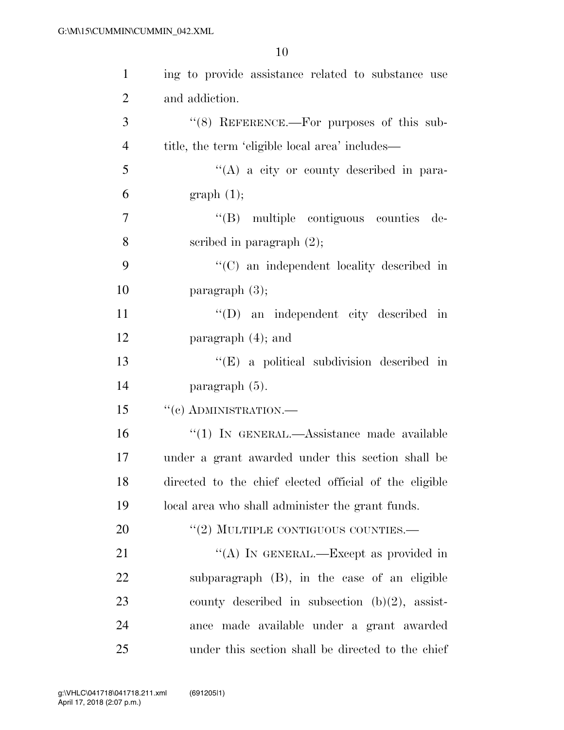| $\mathbf{1}$   | ing to provide assistance related to substance use     |
|----------------|--------------------------------------------------------|
| $\overline{2}$ | and addiction.                                         |
| 3              | $\lq(8)$ REFERENCE.—For purposes of this sub-          |
| $\overline{4}$ | title, the term 'eligible local area' includes—        |
| 5              | $\lq\lq(A)$ a city or county described in para-        |
| 6              | graph(1);                                              |
| $\overline{7}$ | "(B) multiple contiguous counties de-                  |
| 8              | scribed in paragraph $(2)$ ;                           |
| 9              | $\cdot$ (C) an independent locality described in       |
| 10             | paragraph $(3)$ ;                                      |
| 11             | "(D) an independent city described in                  |
| 12             | paragraph $(4)$ ; and                                  |
| 13             | $\lq\lq(E)$ a political subdivision described in       |
| 14             | paragraph (5).                                         |
| 15             | $``(c)$ ADMINISTRATION.—                               |
| 16             | "(1) IN GENERAL.—Assistance made available             |
| 17             | under a grant awarded under this section shall be      |
| 18             | directed to the chief elected official of the eligible |
| 19             | local area who shall administer the grant funds.       |
| <b>20</b>      | $"$ (2) MULTIPLE CONTIGUOUS COUNTIES.—                 |
| 21             | "(A) IN GENERAL.—Except as provided in                 |
| 22             | subparagraph (B), in the case of an eligible           |
| 23             | county described in subsection $(b)(2)$ , assist-      |
| 24             | ance made available under a grant awarded              |
| 25             | under this section shall be directed to the chief      |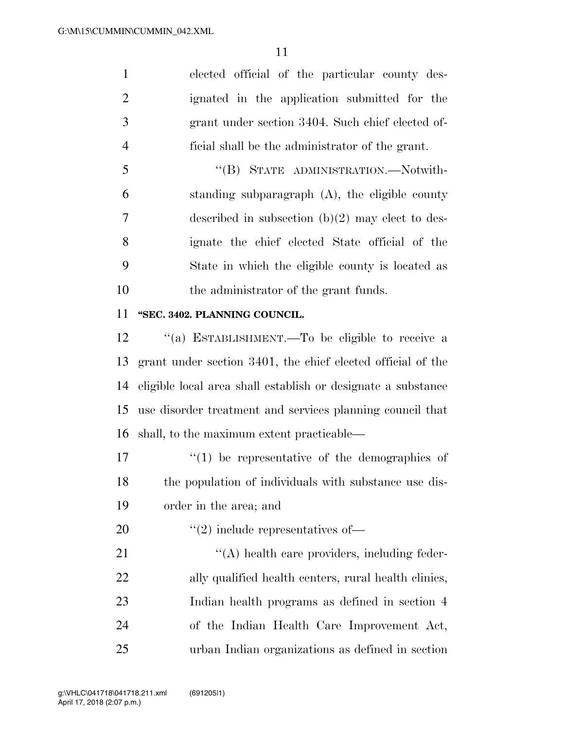elected official of the particular county des- ignated in the application submitted for the grant under section 3404. Such chief elected of-ficial shall be the administrator of the grant.

 ''(B) STATE ADMINISTRATION.—Notwith- standing subparagraph (A), the eligible county described in subsection (b)(2) may elect to des- ignate the chief elected State official of the State in which the eligible county is located as the administrator of the grant funds.

#### **''SEC. 3402. PLANNING COUNCIL.**

 ''(a) ESTABLISHMENT.—To be eligible to receive a grant under section 3401, the chief elected official of the eligible local area shall establish or designate a substance use disorder treatment and services planning council that shall, to the maximum extent practicable—

 $\mathcal{U}(1)$  be representative of the demographics of the population of individuals with substance use dis-order in the area; and

20  $\frac{1}{2}$   $\frac{1}{2}$  include representatives of —

 $\langle (A) \rangle$  health care providers, including feder-22 ally qualified health centers, rural health clinics, Indian health programs as defined in section 4 of the Indian Health Care Improvement Act, urban Indian organizations as defined in section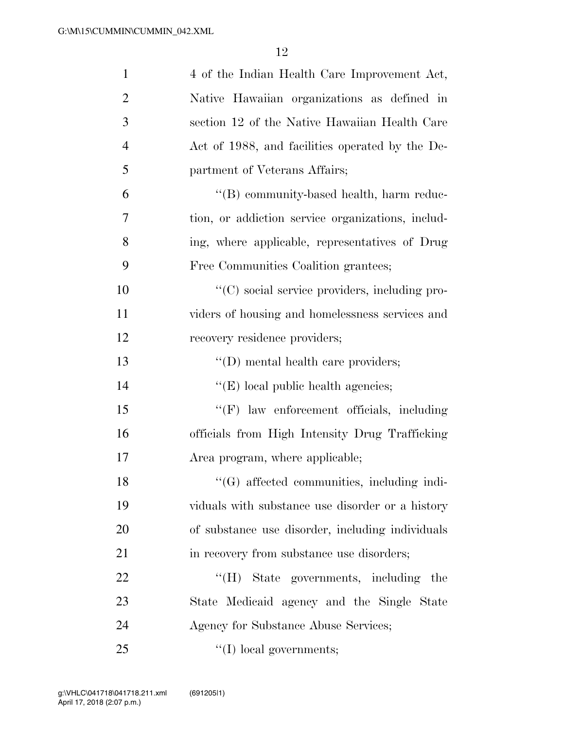| $\mathbf{1}$   | 4 of the Indian Health Care Improvement Act,        |
|----------------|-----------------------------------------------------|
| $\overline{2}$ | Native Hawaiian organizations as defined in         |
| 3              | section 12 of the Native Hawaiian Health Care       |
| $\overline{4}$ | Act of 1988, and facilities operated by the De-     |
| 5              | partment of Veterans Affairs;                       |
| 6              | "(B) community-based health, harm reduc-            |
| 7              | tion, or addiction service organizations, includ-   |
| 8              | ing, where applicable, representatives of Drug      |
| 9              | Free Communities Coalition grantees;                |
| 10             | "(C) social service providers, including pro-       |
| 11             | viders of housing and homelessness services and     |
| 12             | recovery residence providers;                       |
| 13             | $\lq\lq$ (D) mental health care providers;          |
| 14             | $\lq\lq$ (E) local public health agencies;          |
| 15             | $\lq\lq(F)$ law enforcement officials, including    |
| 16             | officials from High Intensity Drug Trafficking      |
| 17             | Area program, where applicable;                     |
| 18             | "(G) affected communities, including indi-          |
| 19             | viduals with substance use disorder or a history    |
| 20             | of substance use disorder, including individuals    |
| 21             | in recovery from substance use disorders;           |
| 22             | $\rm ^{14}$ (H)<br>State governments, including the |
| 23             | State Medicaid agency and the Single State          |
| 24             | Agency for Substance Abuse Services;                |
| 25             | $\lq\lq$ (I) local governments;                     |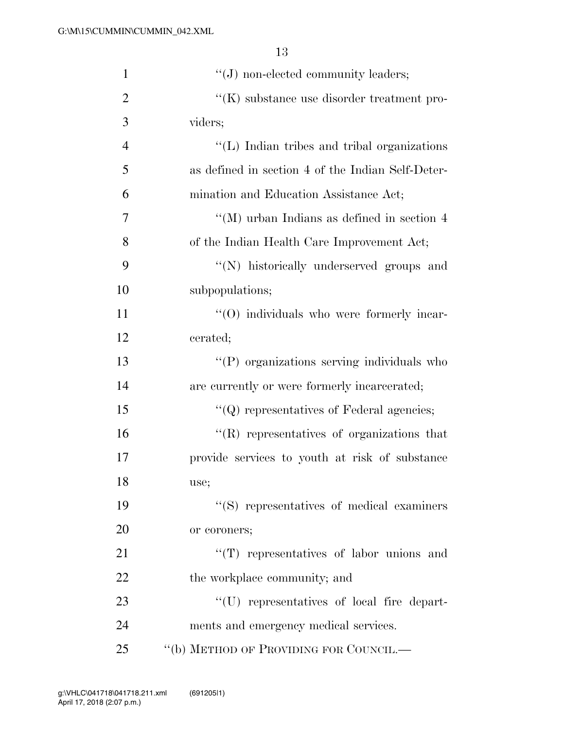| $\mathbf{1}$   | $\lq\lq(J)$ non-elected community leaders;        |
|----------------|---------------------------------------------------|
| $\overline{2}$ | $\lq\lq(K)$ substance use disorder treatment pro- |
| 3              | viders;                                           |
| $\overline{4}$ | "(L) Indian tribes and tribal organizations       |
| 5              | as defined in section 4 of the Indian Self-Deter- |
| 6              | mination and Education Assistance Act;            |
| 7              | "(M) urban Indians as defined in section $4$      |
| 8              | of the Indian Health Care Improvement Act;        |
| 9              | "(N) historically underserved groups and          |
| 10             | subpopulations;                                   |
| 11             | $\cdot$ (O) individuals who were formerly incar-  |
| 12             | cerated;                                          |
| 13             | "(P) organizations serving individuals who        |
| 14             | are currently or were formerly incarcerated;      |
| 15             | $\lq\lq$ ) representatives of Federal agencies;   |
| 16             | $\lq\lq$ representatives of organizations that    |
| 17             | provide services to youth at risk of substance    |
| 18             | use;                                              |
| 19             | "(S) representatives of medical examiners         |
| 20             | or coroners;                                      |
| 21             | $\lq\lq$ representatives of labor unions and      |
| 22             | the workplace community; and                      |
| 23             | "(U) representatives of local fire depart-        |
| 24             | ments and emergency medical services.             |
| 25             | "(b) METHOD OF PROVIDING FOR COUNCIL.—            |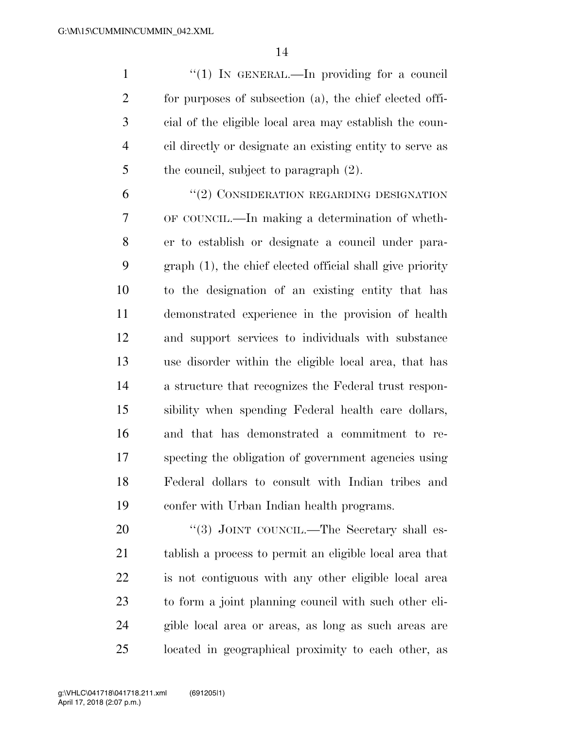1 "(1) In GENERAL.—In providing for a council for purposes of subsection (a), the chief elected offi- cial of the eligible local area may establish the coun- cil directly or designate an existing entity to serve as 5 the council, subject to paragraph  $(2)$ .

6 "(2) CONSIDERATION REGARDING DESIGNATION OF COUNCIL.—In making a determination of wheth- er to establish or designate a council under para- graph (1), the chief elected official shall give priority to the designation of an existing entity that has demonstrated experience in the provision of health and support services to individuals with substance use disorder within the eligible local area, that has a structure that recognizes the Federal trust respon- sibility when spending Federal health care dollars, and that has demonstrated a commitment to re- specting the obligation of government agencies using Federal dollars to consult with Indian tribes and confer with Urban Indian health programs.

20 "(3) JOINT COUNCIL.—The Secretary shall es- tablish a process to permit an eligible local area that is not contiguous with any other eligible local area to form a joint planning council with such other eli- gible local area or areas, as long as such areas are located in geographical proximity to each other, as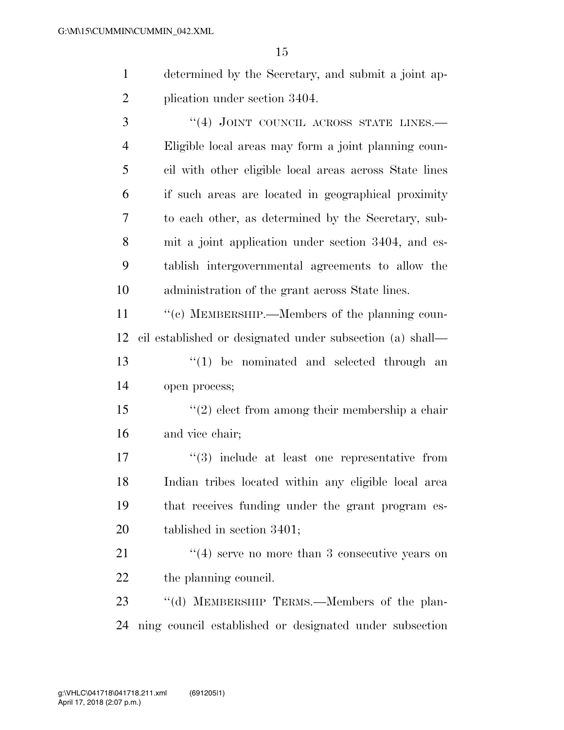determined by the Secretary, and submit a joint ap-plication under section 3404.

3 "(4) JOINT COUNCIL ACROSS STATE LINES. Eligible local areas may form a joint planning coun- cil with other eligible local areas across State lines if such areas are located in geographical proximity to each other, as determined by the Secretary, sub- mit a joint application under section 3404, and es- tablish intergovernmental agreements to allow the administration of the grant across State lines.

 $\cdot$  (c) MEMBERSHIP.—Members of the planning coun- cil established or designated under subsection (a) shall— 13 ''(1) be nominated and selected through an open process;

 ''(2) elect from among their membership a chair and vice chair;

 $\frac{17}{2}$   $\frac{17}{2}$  include at least one representative from Indian tribes located within any eligible local area that receives funding under the grant program es-tablished in section 3401;

21 ''(4) serve no more than 3 consecutive years on 22 the planning council.

23 "(d) MEMBERSHIP TERMS.—Members of the plan-ning council established or designated under subsection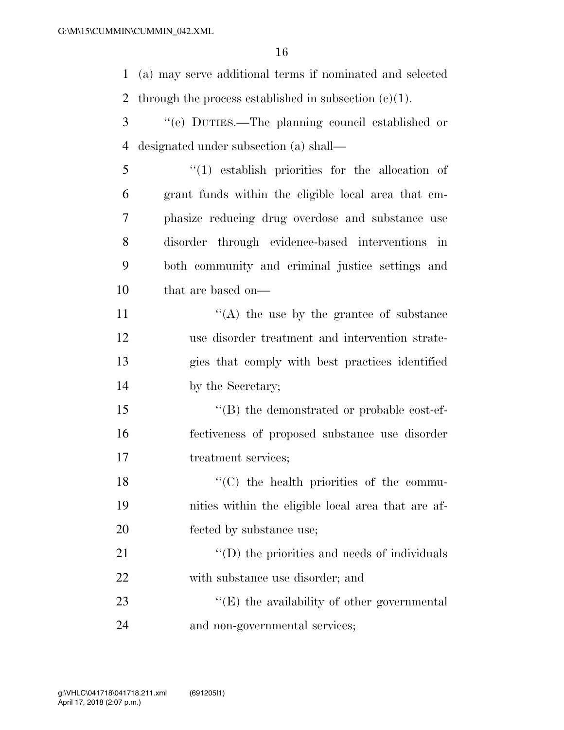(a) may serve additional terms if nominated and selected 2 through the process established in subsection  $(c)(1)$ .

- ''(e) DUTIES.—The planning council established or designated under subsection (a) shall—
- ''(1) establish priorities for the allocation of grant funds within the eligible local area that em- phasize reducing drug overdose and substance use disorder through evidence-based interventions in both community and criminal justice settings and that are based on—

11 ''(A) the use by the grantee of substance use disorder treatment and intervention strate- gies that comply with best practices identified by the Secretary;

15  $\langle$  (B) the demonstrated or probable cost-ef- fectiveness of proposed substance use disorder treatment services;

18  $\cdot$  (C) the health priorities of the commu- nities within the eligible local area that are af-fected by substance use;

21  $\cdot$  (D) the priorities and needs of individuals with substance use disorder; and

23  $\langle E \rangle$  the availability of other governmental and non-governmental services;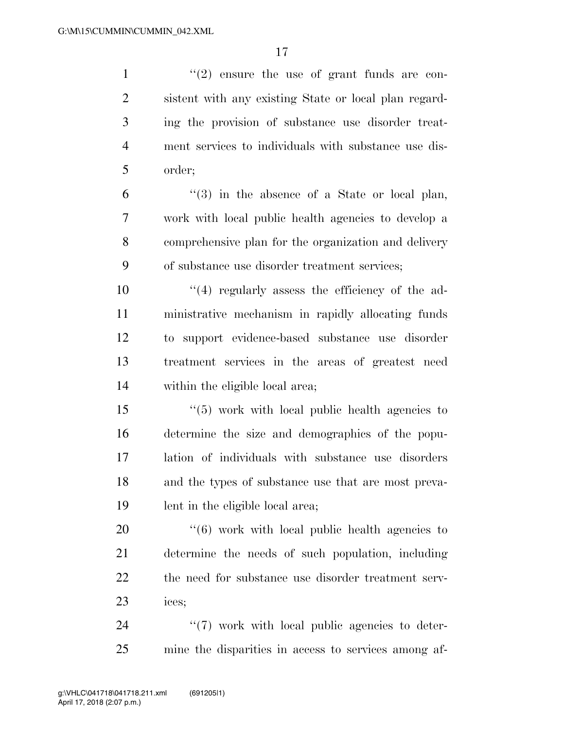$\frac{1}{2}$  ''(2) ensure the use of grant funds are con- sistent with any existing State or local plan regard- ing the provision of substance use disorder treat- ment services to individuals with substance use dis- order; ''(3) in the absence of a State or local plan, work with local public health agencies to develop a comprehensive plan for the organization and delivery of substance use disorder treatment services;  $(4)$  regularly assess the efficiency of the ad- ministrative mechanism in rapidly allocating funds to support evidence-based substance use disorder treatment services in the areas of greatest need within the eligible local area; ''(5) work with local public health agencies to determine the size and demographics of the popu- lation of individuals with substance use disorders and the types of substance use that are most preva- lent in the eligible local area;  $\frac{1}{16}$  work with local public health agencies to determine the needs of such population, including the need for substance use disorder treatment serv- ices;  $\frac{1}{2}$  (7) work with local public agencies to deter-

mine the disparities in access to services among af-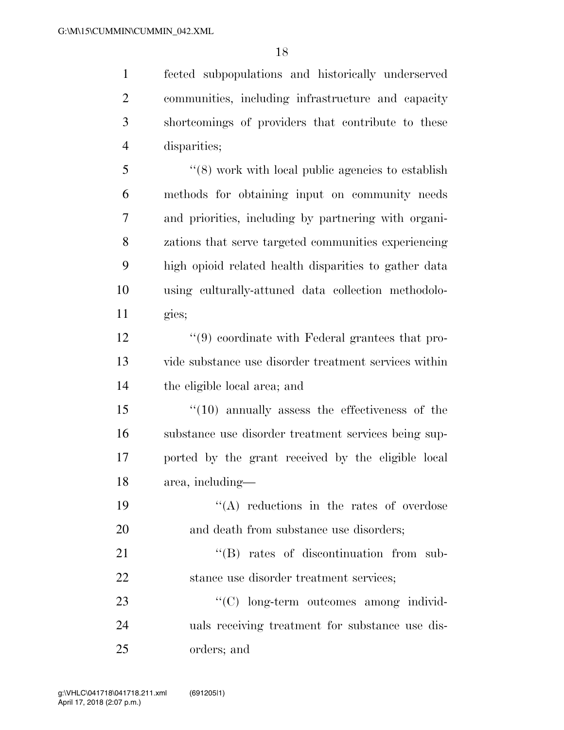fected subpopulations and historically underserved communities, including infrastructure and capacity shortcomings of providers that contribute to these disparities;

 ''(8) work with local public agencies to establish methods for obtaining input on community needs and priorities, including by partnering with organi- zations that serve targeted communities experiencing high opioid related health disparities to gather data using culturally-attuned data collection methodolo-gies;

 ''(9) coordinate with Federal grantees that pro- vide substance use disorder treatment services within the eligible local area; and

 ''(10) annually assess the effectiveness of the substance use disorder treatment services being sup- ported by the grant received by the eligible local area, including—

19  $\langle (A) \rangle$  reductions in the rates of overdose 20 and death from substance use disorders:

21  $\text{``(B)}$  rates of discontinuation from sub-22 stance use disorder treatment services;

23  $\cdot$  (C) long-term outcomes among individ- uals receiving treatment for substance use dis-orders; and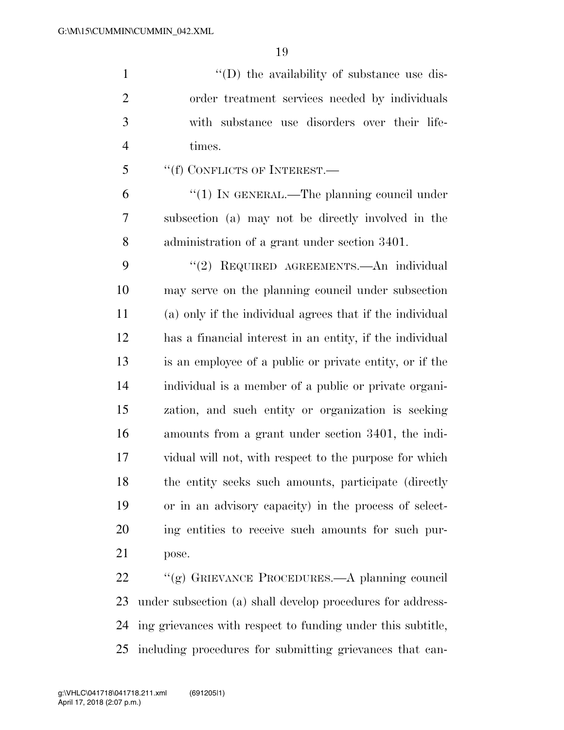$\langle (D)$  the availability of substance use dis- order treatment services needed by individuals with substance use disorders over their life-times.

''(f) CONFLICTS OF INTEREST.—

6 "(1) In GENERAL.—The planning council under subsection (a) may not be directly involved in the administration of a grant under section 3401.

 ''(2) REQUIRED AGREEMENTS.—An individual may serve on the planning council under subsection (a) only if the individual agrees that if the individual has a financial interest in an entity, if the individual is an employee of a public or private entity, or if the individual is a member of a public or private organi- zation, and such entity or organization is seeking amounts from a grant under section 3401, the indi- vidual will not, with respect to the purpose for which the entity seeks such amounts, participate (directly or in an advisory capacity) in the process of select- ing entities to receive such amounts for such pur-pose.

 ''(g) GRIEVANCE PROCEDURES.—A planning council under subsection (a) shall develop procedures for address- ing grievances with respect to funding under this subtitle, including procedures for submitting grievances that can-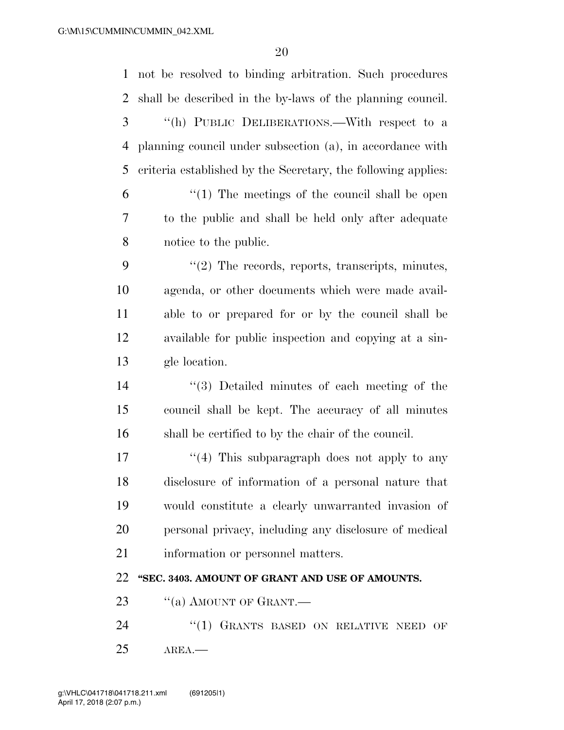| $\mathbf{1}$ | not be resolved to binding arbitration. Such procedures       |
|--------------|---------------------------------------------------------------|
| 2            | shall be described in the by-laws of the planning council.    |
| 3            | "(h) PUBLIC DELIBERATIONS.—With respect to a                  |
| 4            | planning council under subsection (a), in accordance with     |
| 5            | criteria established by the Secretary, the following applies: |
| 6            | $\lq(1)$ The meetings of the council shall be open            |
| 7            | to the public and shall be held only after adequate           |
| 8            | notice to the public.                                         |
| 9            | $\lq(2)$ The records, reports, transcripts, minutes,          |
| 10           | agenda, or other documents which were made avail-             |
| 11           | able to or prepared for or by the council shall be            |
| 12           | available for public inspection and copying at a sin-         |
| 13           | gle location.                                                 |
| 14           | $\lq(3)$ Detailed minutes of each meeting of the              |
| 15           | council shall be kept. The accuracy of all minutes            |
| 16           | shall be certified to by the chair of the council.            |
| 17           | $\lq(4)$ This subparagraph does not apply to any              |
| 18           | disclosure of information of a personal nature that           |
| 19           | would constitute a clearly unwarranted invasion of            |
| 20           | personal privacy, including any disclosure of medical         |
| 21           | information or personnel matters.                             |
| 22           | "SEC. 3403. AMOUNT OF GRANT AND USE OF AMOUNTS.               |
| 23           | "(a) AMOUNT OF GRANT.—                                        |
| 24           | "(1) GRANTS BASED ON RELATIVE NEED OF                         |
| 25           | AREA.                                                         |
|              |                                                               |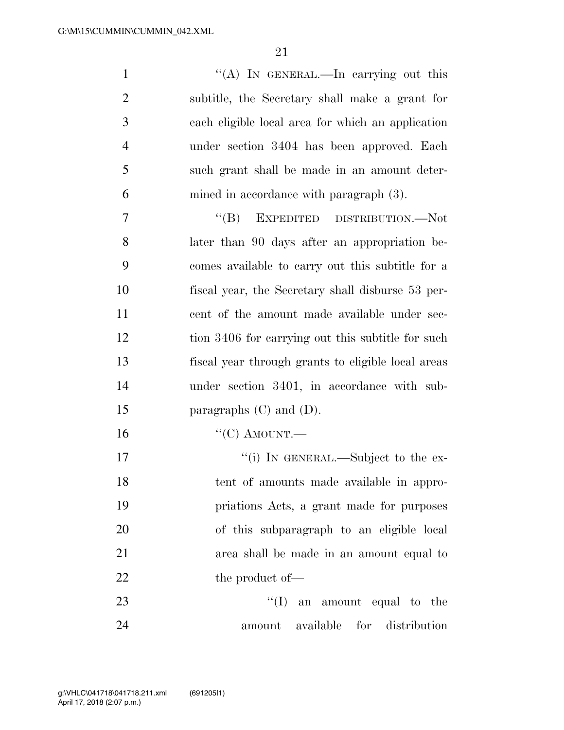1 ''(A) In GENERAL.—In carrying out this subtitle, the Secretary shall make a grant for each eligible local area for which an application under section 3404 has been approved. Each such grant shall be made in an amount deter-mined in accordance with paragraph (3).

 ''(B) EXPEDITED DISTRIBUTION.—Not later than 90 days after an appropriation be- comes available to carry out this subtitle for a fiscal year, the Secretary shall disburse 53 per- cent of the amount made available under sec- tion 3406 for carrying out this subtitle for such fiscal year through grants to eligible local areas under section 3401, in accordance with sub-15 paragraphs (C) and (D).

''(C) AMOUNT.—

 $''(i)$  In GENERAL.—Subject to the ex- tent of amounts made available in appro- priations Acts, a grant made for purposes of this subparagraph to an eligible local area shall be made in an amount equal to 22 the product of —

23  $\text{``(I)}$  an amount equal to the amount available for distribution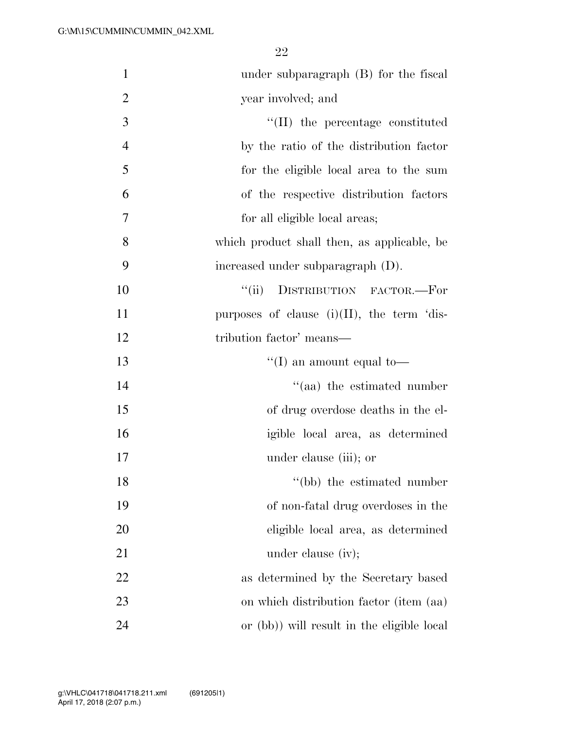| $\mathbf{1}$   | under subparagraph $(B)$ for the fiscal        |
|----------------|------------------------------------------------|
| $\overline{2}$ | year involved; and                             |
| 3              | $\lq$ (II) the percentage constituted          |
| $\overline{4}$ | by the ratio of the distribution factor        |
| 5              | for the eligible local area to the sum         |
| 6              | of the respective distribution factors         |
| 7              | for all eligible local areas;                  |
| 8              | which product shall then, as applicable, be    |
| 9              | increased under subparagraph (D).              |
| 10             | DISTRIBUTION FACTOR.-For<br>$\lq(\mathbf{ii})$ |
| 11             | purposes of clause $(i)(II)$ , the term 'dis-  |
| 12             | tribution factor' means—                       |
| 13             | "(I) an amount equal to-                       |
| 14             | "(aa) the estimated number                     |
| 15             | of drug overdose deaths in the el-             |
| 16             | igible local area, as determined               |
| 17             | under clause (iii); or                         |
| 18             | "(bb) the estimated number                     |
| 19             | of non-fatal drug overdoses in the             |
| 20             | eligible local area, as determined             |
| 21             | under clause (iv);                             |
| 22             | as determined by the Secretary based           |
| 23             | on which distribution factor (item (aa)        |
| 24             | or (bb)) will result in the eligible local     |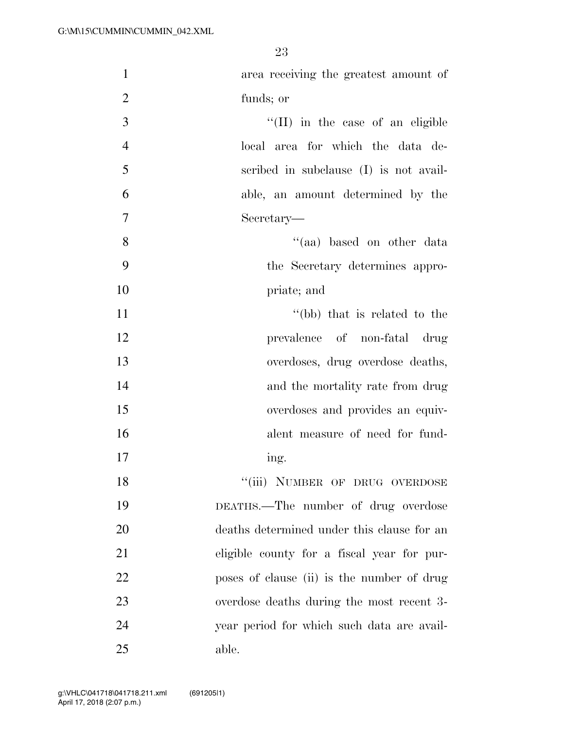| $\mathbf{1}$   | area receiving the greatest amount of      |
|----------------|--------------------------------------------|
| $\overline{2}$ | funds; or                                  |
| 3              | $\lq\lq$ (II) in the case of an eligible   |
| $\overline{4}$ | local area for which the data de-          |
| 5              | scribed in subclause (I) is not avail-     |
| 6              | able, an amount determined by the          |
| 7              | Secretary—                                 |
| 8              | "(aa) based on other data                  |
| 9              | the Secretary determines appro-            |
| 10             | priate; and                                |
| 11             | "(bb) that is related to the               |
| 12             | prevalence of non-fatal drug               |
| 13             | overdoses, drug overdose deaths,           |
| 14             | and the mortality rate from drug           |
| 15             | overdoses and provides an equiv-           |
| 16             | alent measure of need for fund-            |
| 17             | ing.                                       |
| 18             | "(iii) NUMBER OF DRUG OVERDOSE             |
| 19             | DEATHS.—The number of drug overdose        |
| 20             | deaths determined under this clause for an |
| 21             | eligible county for a fiscal year for pur- |
| 22             | poses of clause (ii) is the number of drug |
| 23             | overdose deaths during the most recent 3-  |
| 24             | year period for which such data are avail- |
| 25             | able.                                      |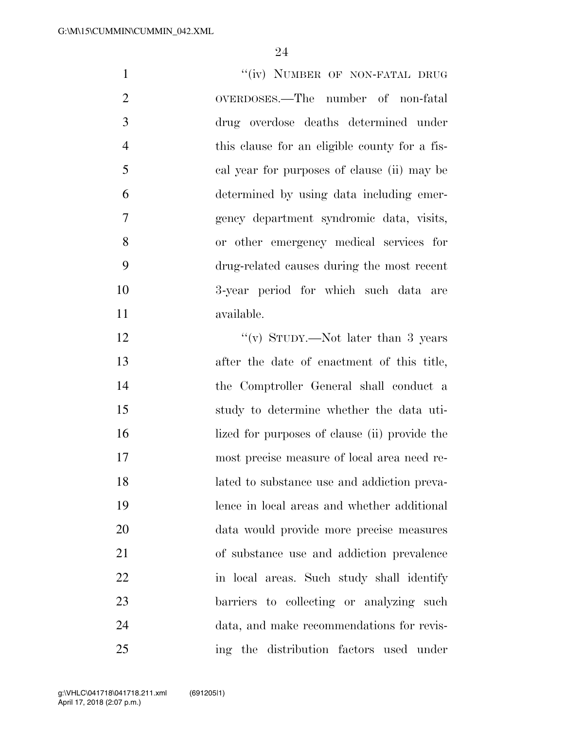| $\mathbf{1}$   | "(iv) NUMBER OF NON-FATAL DRUG                |
|----------------|-----------------------------------------------|
| 2              | OVERDOSES.—The number of non-fatal            |
| 3              | drug overdose deaths determined under         |
| $\overline{4}$ | this clause for an eligible county for a fis- |
| 5              | cal year for purposes of clause (ii) may be   |
| 6              | determined by using data including emer-      |
| $\overline{7}$ | gency department syndromic data, visits,      |
| 8              | or other emergency medical services for       |
| 9              | drug-related causes during the most recent    |
| 10             | 3-year period for which such data are         |
| 11             | available.                                    |
| 12             | "(v) STUDY.—Not later than 3 years            |

 after the date of enactment of this title, the Comptroller General shall conduct a study to determine whether the data uti-16 lized for purposes of clause (ii) provide the most precise measure of local area need re- lated to substance use and addiction preva- lence in local areas and whether additional data would provide more precise measures of substance use and addiction prevalence in local areas. Such study shall identify barriers to collecting or analyzing such data, and make recommendations for revis-ing the distribution factors used under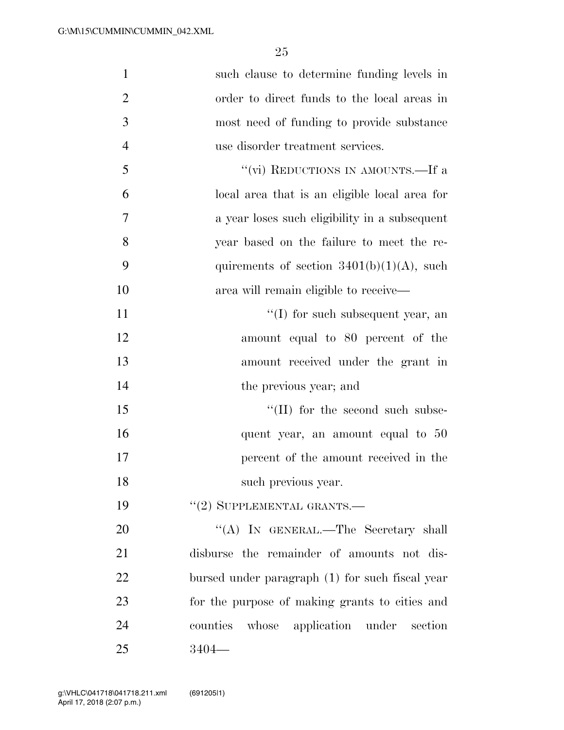| $\mathbf{1}$   | such clause to determine funding levels in      |
|----------------|-------------------------------------------------|
| $\overline{2}$ | order to direct funds to the local areas in     |
| 3              | most need of funding to provide substance       |
| $\overline{4}$ | use disorder treatment services.                |
| 5              | "(vi) REDUCTIONS IN AMOUNTS.—If a               |
| 6              | local area that is an eligible local area for   |
| 7              | a year loses such eligibility in a subsequent   |
| 8              | year based on the failure to meet the re-       |
| 9              | quirements of section $3401(b)(1)(A)$ , such    |
| 10             | area will remain eligible to receive—           |
| 11             | $\lq\lq$ for such subsequent year, an           |
| 12             | amount equal to 80 percent of the               |
| 13             | amount received under the grant in              |
| 14             | the previous year; and                          |
| 15             | $\lq\lq$ (II) for the second such subse-        |
| 16             | quent year, an amount equal to 50               |
| 17             | percent of the amount received in the           |
| 18             | such previous year.                             |
| 19             | $"(2)$ SUPPLEMENTAL GRANTS.—                    |
| 20             | "(A) IN GENERAL.—The Secretary shall            |
| 21             | disburse the remainder of amounts not dis-      |
| 22             | bursed under paragraph (1) for such fiscal year |
| 23             | for the purpose of making grants to cities and  |
| 24             | whose application under section<br>counties     |
| 25             | $3404-$                                         |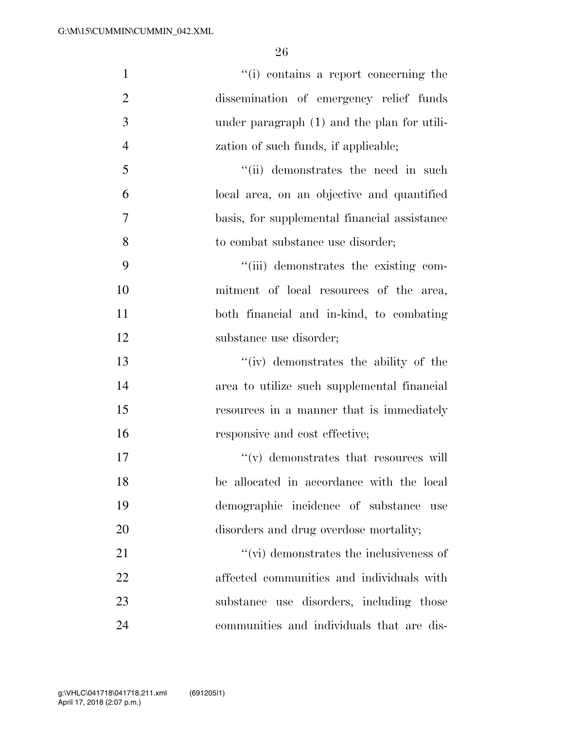| $\mathbf{1}$   | "(i) contains a report concerning the        |
|----------------|----------------------------------------------|
| $\overline{2}$ | dissemination of emergency relief funds      |
| 3              | under paragraph (1) and the plan for utili-  |
| $\overline{4}$ | zation of such funds, if applicable;         |
| 5              | "(ii) demonstrates the need in such          |
| 6              | local area, on an objective and quantified   |
| 7              | basis, for supplemental financial assistance |
| 8              | to combat substance use disorder;            |
| 9              | "(iii) demonstrates the existing com-        |
| 10             | mitment of local resources of the area,      |
| 11             | both financial and in-kind, to combating     |
| 12             | substance use disorder;                      |
| 13             | "(iv) demonstrates the ability of the        |
| 14             | area to utilize such supplemental financial  |
| 15             | resources in a manner that is immediately    |
| 16             | responsive and cost effective;               |
| 17             | $``(v)$ demonstrates that resources will     |
| 18             | be allocated in accordance with the local    |
| 19             | demographic incidence of substance<br>use    |
| 20             | disorders and drug overdose mortality;       |
| 21             | $``$ (vi) demonstrates the inclusiveness of  |
| 22             | affected communities and individuals with    |
| 23             | substance use disorders, including those     |
| 24             | communities and individuals that are dis-    |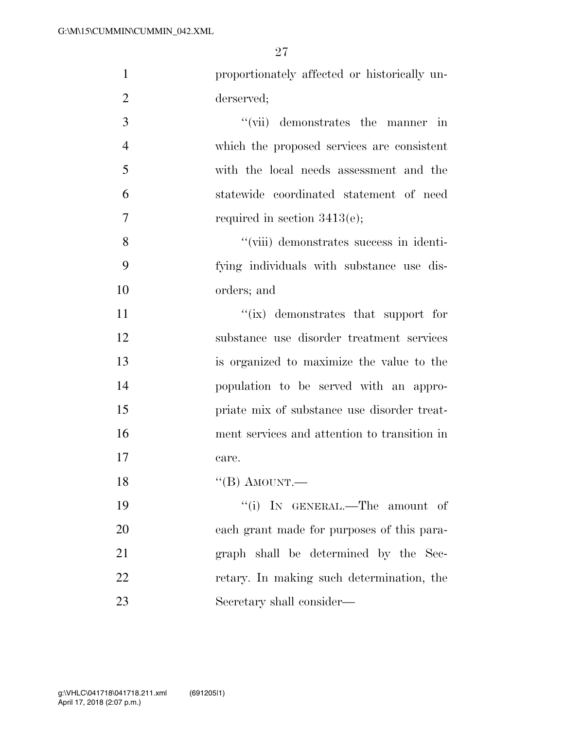| $\mathbf{1}$   | proportionately affected or historically un- |
|----------------|----------------------------------------------|
| $\overline{2}$ | derserved;                                   |
| 3              | "(vii) demonstrates the manner in            |
| 4              | which the proposed services are consistent   |
| 5              | with the local needs assessment and the      |
| 6              | statewide coordinated statement of need      |
| 7              | required in section $3413(e)$ ;              |
| 8              | "(viii) demonstrates success in identi-      |
| 9              | fying individuals with substance use dis-    |
| 10             | orders; and                                  |
| 11             | "(ix) demonstrates that support for          |
| 12             | substance use disorder treatment services    |
| 13             | is organized to maximize the value to the    |
| 14             | population to be served with an appro-       |
| 15             | priate mix of substance use disorder treat-  |
| 16             | ment services and attention to transition in |
| 17             | care.                                        |
| 18             | "(B) AMOUNT.—                                |
| 19             | "(i) IN GENERAL.—The amount of               |
| 20             | each grant made for purposes of this para-   |
| 21             | graph shall be determined by the Sec-        |
| 22             | retary. In making such determination, the    |
| 23             | Secretary shall consider—                    |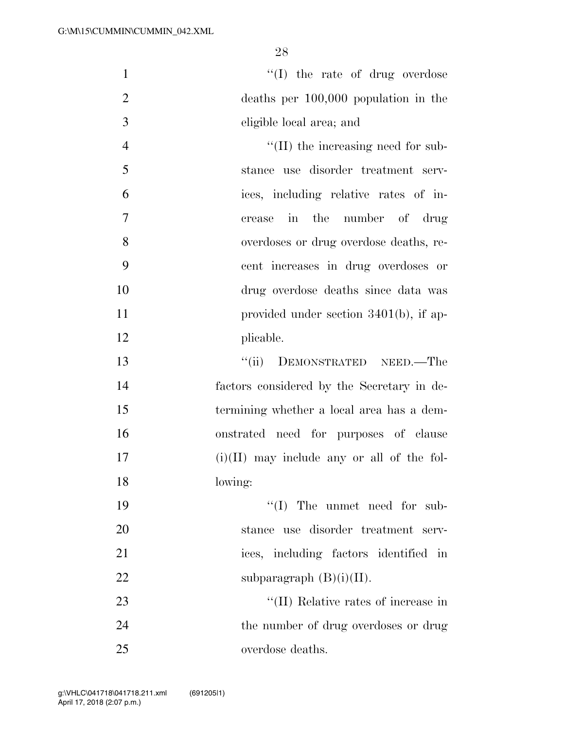$\text{``(I)}$  the rate of drug overdose deaths per 100,000 population in the eligible local area; and  $\text{``(II)}$  the increasing need for sub- stance use disorder treatment serv- ices, including relative rates of in- crease in the number of drug overdoses or drug overdose deaths, re- cent increases in drug overdoses or drug overdose deaths since data was 11 provided under section 3401(b), if ap- plicable. 13 "(ii) DEMONSTRATED NEED.—The factors considered by the Secretary in de- termining whether a local area has a dem- onstrated need for purposes of clause (i)(II) may include any or all of the fol-

lowing:

19  $\text{``(I)}$  The unmet need for sub- stance use disorder treatment serv- ices, including factors identified in 22 subparagraph  $(B)(i)(II)$ . 23 ''(II) Relative rates of increase in 24 the number of drug overdoses or drug

overdose deaths.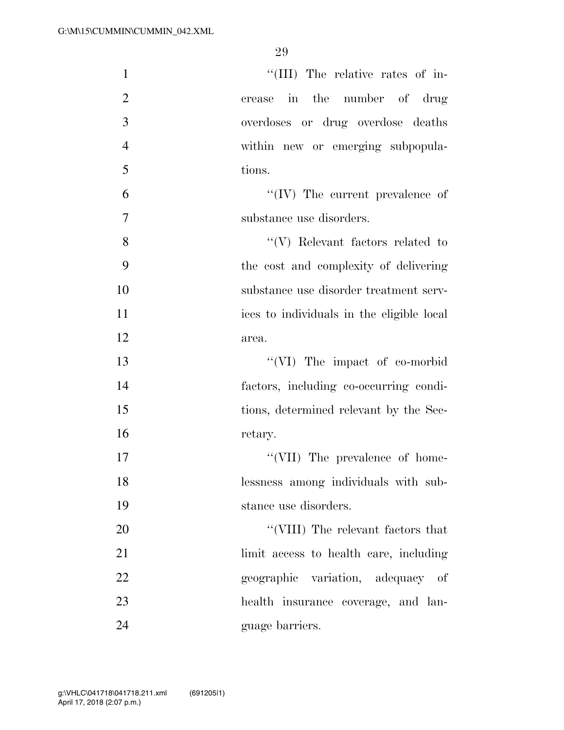| 1              | "(III) The relative rates of in-          |
|----------------|-------------------------------------------|
| $\overline{2}$ | crease in the number of drug              |
| 3              | overdoses or drug overdose deaths         |
| $\overline{4}$ | within new or emerging subpopula-         |
| 5              | tions.                                    |
| 6              | $``(IV)$ The current prevalence of        |
| $\overline{7}$ | substance use disorders.                  |
| 8              | $\lq\lq(V)$ Relevant factors related to   |
| 9              | the cost and complexity of delivering     |
| 10             | substance use disorder treatment serv-    |
| 11             | ices to individuals in the eligible local |
| 12             | area.                                     |
| 13             | "(VI) The impact of co-morbid             |
| 14             | factors, including co-occurring condi-    |
| 15             | tions, determined relevant by the Sec-    |
| 16             | retary.                                   |
| 17             | "(VII) The prevalence of home-            |
| 18             | lessness among individuals with sub-      |
| 19             | stance use disorders.                     |
| 20             | $``(VIII)$ The relevant factors that      |
| 21             | limit access to health care, including    |
| 22             | geographic variation, adequacy of         |
| 23             | health insurance coverage, and lan-       |
| 24             | guage barriers.                           |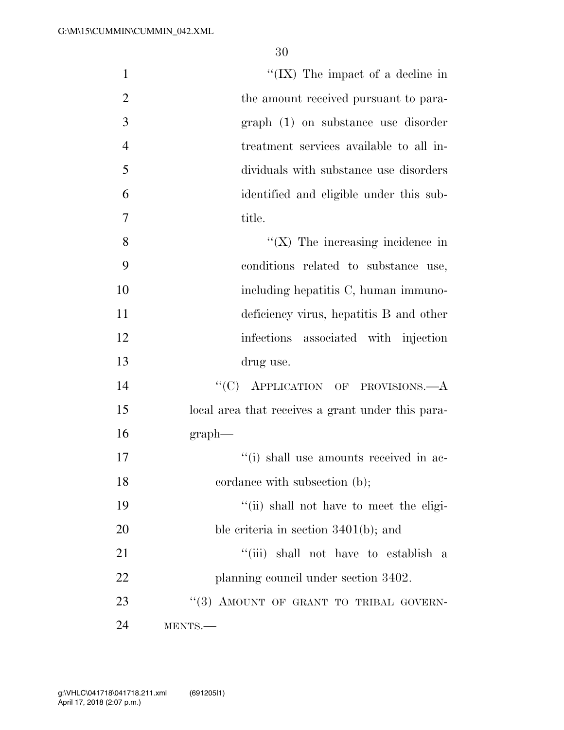| $\mathbf{1}$   | "(IX) The impact of a decline in                  |
|----------------|---------------------------------------------------|
| $\overline{2}$ | the amount received pursuant to para-             |
| 3              | graph (1) on substance use disorder               |
| $\overline{4}$ | treatment services available to all in-           |
| 5              | dividuals with substance use disorders            |
| 6              | identified and eligible under this sub-           |
| $\overline{7}$ | title.                                            |
| 8              | $\lq\lq$ (X) The increasing incidence in          |
| 9              | conditions related to substance use,              |
| 10             | including hepatitis C, human immuno-              |
| 11             | deficiency virus, hepatitis B and other           |
| 12             | infections associated with injection              |
| 13             | drug use.                                         |
| 14             | "(C) APPLICATION OF PROVISIONS.—A                 |
| 15             | local area that receives a grant under this para- |
| 16             | graph                                             |
| 17             | "(i) shall use amounts received in ac-            |
| 18             | cordance with subsection (b);                     |
| 19             | "(ii) shall not have to meet the eligi-           |
| 20             | ble criteria in section $3401(b)$ ; and           |
| 21             | "(iii) shall not have to establish a              |
| 22             | planning council under section 3402.              |
| 23             | "(3) AMOUNT OF GRANT TO TRIBAL GOVERN-            |
| 24             | MENTS.                                            |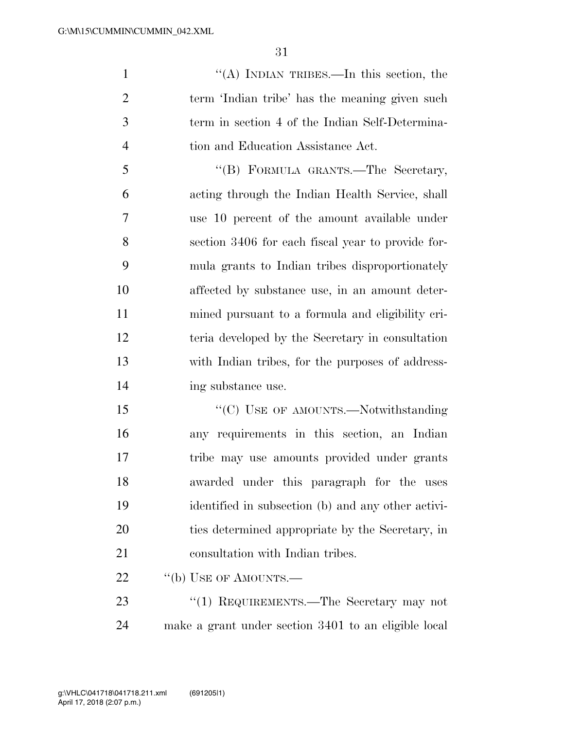''(A) INDIAN TRIBES.—In this section, the term 'Indian tribe' has the meaning given such term in section 4 of the Indian Self-Determina-4 tion and Education Assistance Act.

 ''(B) FORMULA GRANTS.—The Secretary, acting through the Indian Health Service, shall use 10 percent of the amount available under section 3406 for each fiscal year to provide for- mula grants to Indian tribes disproportionately affected by substance use, in an amount deter- mined pursuant to a formula and eligibility cri- teria developed by the Secretary in consultation with Indian tribes, for the purposes of address-14 ing substance use.

15 "'(C) USE OF AMOUNTS.—Notwithstanding any requirements in this section, an Indian tribe may use amounts provided under grants awarded under this paragraph for the uses identified in subsection (b) and any other activi- ties determined appropriate by the Secretary, in 21 consultation with Indian tribes.

22 "(b) USE OF AMOUNTS.—

23 "(1) REQUIREMENTS.—The Secretary may not make a grant under section 3401 to an eligible local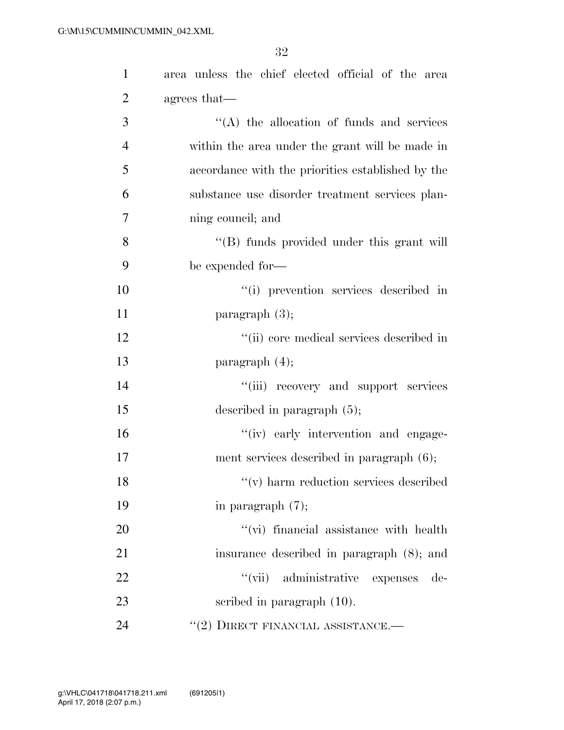| $\mathbf{1}$   | area unless the chief elected official of the area |
|----------------|----------------------------------------------------|
| $\overline{2}$ | agrees that—                                       |
| 3              | $\lq\lq$ the allocation of funds and services      |
| $\overline{4}$ | within the area under the grant will be made in    |
| 5              | accordance with the priorities established by the  |
| 6              | substance use disorder treatment services plan-    |
| 7              | ning council; and                                  |
| 8              | "(B) funds provided under this grant will          |
| 9              | be expended for-                                   |
| 10             | "(i) prevention services described in              |
| 11             | paragraph $(3)$ ;                                  |
| 12             | "(ii) core medical services described in           |
| 13             | paragraph $(4)$ ;                                  |
| 14             | "(iii) recovery and support services               |
| 15             | described in paragraph $(5)$ ;                     |
| 16             | "(iv) early intervention and engage-               |
| 17             | ment services described in paragraph (6);          |
| 18             | $\lq\lq$ (v) harm reduction services described     |
| 19             | in paragraph $(7)$ ;                               |
| 20             | "(vi) financial assistance with health             |
| 21             | insurance described in paragraph (8); and          |
| 22             | "(vii) administrative expenses<br>$de-$            |
| 23             | scribed in paragraph $(10)$ .                      |
| 24             | $``(2)$ DIRECT FINANCIAL ASSISTANCE.—              |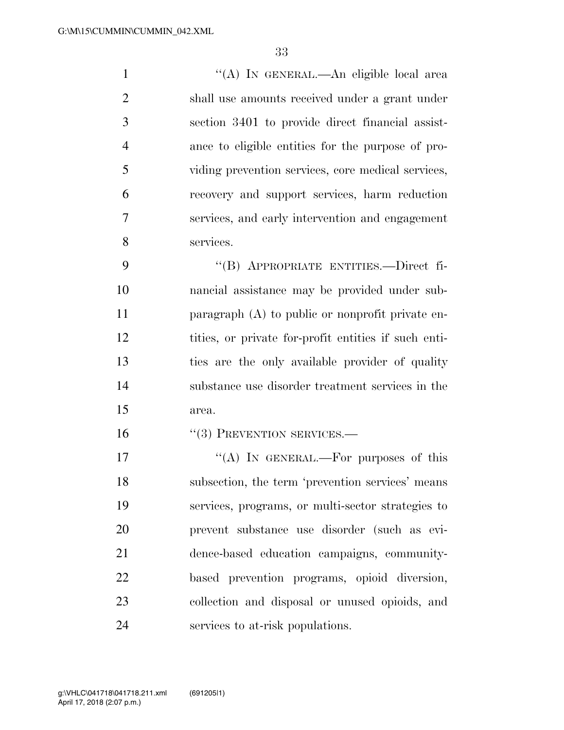''(A) IN GENERAL.—An eligible local area shall use amounts received under a grant under section 3401 to provide direct financial assist- ance to eligible entities for the purpose of pro- viding prevention services, core medical services, recovery and support services, harm reduction services, and early intervention and engagement services.

 ''(B) APPROPRIATE ENTITIES.—Direct fi- nancial assistance may be provided under sub- paragraph (A) to public or nonprofit private en- tities, or private for-profit entities if such enti- ties are the only available provider of quality substance use disorder treatment services in the area.

16 "(3) PREVENTION SERVICES.—

 $((A)$  IN GENERAL.—For purposes of this subsection, the term 'prevention services' means services, programs, or multi-sector strategies to prevent substance use disorder (such as evi- dence-based education campaigns, community- based prevention programs, opioid diversion, collection and disposal or unused opioids, and services to at-risk populations.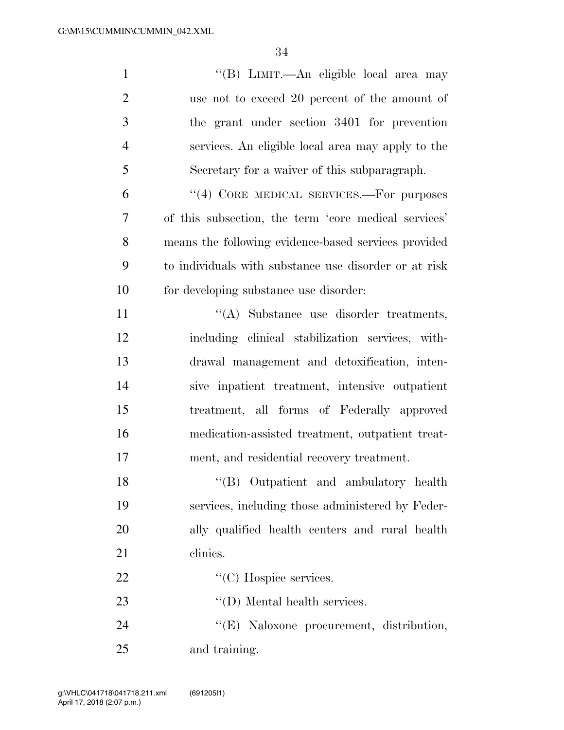| $\mathbf{1}$   | "(B) LIMIT.—An eligible local area may                |
|----------------|-------------------------------------------------------|
| $\overline{2}$ | use not to exceed 20 percent of the amount of         |
| 3              | the grant under section 3401 for prevention           |
| $\overline{4}$ | services. An eligible local area may apply to the     |
| 5              | Secretary for a waiver of this subparagraph.          |
| 6              | "(4) CORE MEDICAL SERVICES.—For purposes              |
| $\overline{7}$ | of this subsection, the term 'core medical services'  |
| 8              | means the following evidence-based services provided  |
| 9              | to individuals with substance use disorder or at risk |
| 10             | for developing substance use disorder:                |
| 11             | "(A) Substance use disorder treatments,               |
| 12             | including clinical stabilization services, with-      |
| 13             | drawal management and detoxification, inten-          |
| 14             | sive inpatient treatment, intensive outpatient        |
| 15             | treatment, all forms of Federally approved            |
| 16             | medication-assisted treatment, outpatient treat-      |
| 17             | ment, and residential recovery treatment.             |
| 18             | "(B) Outpatient and ambulatory health                 |
| 19             | services, including those administered by Feder-      |
| 20             | ally qualified health centers and rural health        |
| 21             | clinics.                                              |
| 22             | "(C) Hospice services.                                |
| 23             | $\lq\lq$ (D) Mental health services.                  |
| 24             | "(E) Naloxone procurement, distribution,              |
| 25             | and training.                                         |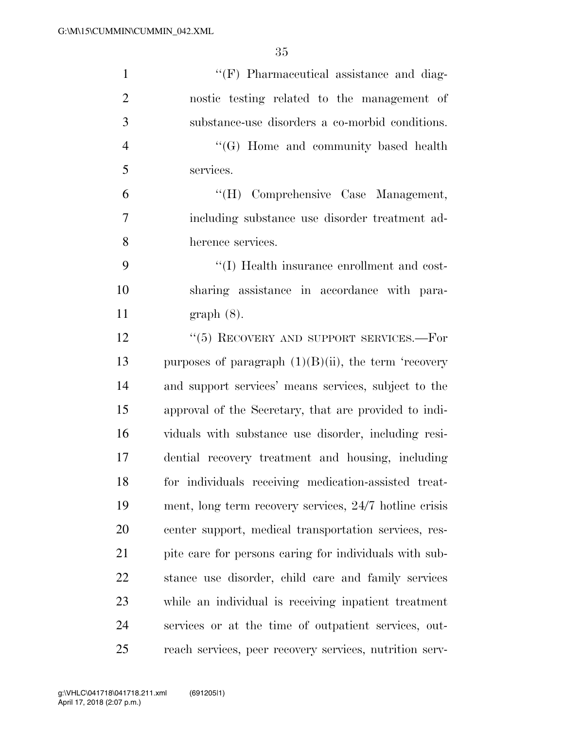| $\mathbf{1}$   | $\lq\lq(F)$ Pharmaceutical assistance and diag-         |
|----------------|---------------------------------------------------------|
| $\overline{2}$ | nostic testing related to the management of             |
| 3              | substance-use disorders a co-morbid conditions.         |
| $\overline{4}$ | $\lq\lq (G)$ Home and community based health            |
| 5              | services.                                               |
| 6              | "(H) Comprehensive Case Management,                     |
| 7              | including substance use disorder treatment ad-          |
| 8              | herence services.                                       |
| 9              | "(I) Health insurance enrollment and cost-              |
| 10             | sharing assistance in accordance with para-             |
| 11             | $graph(8)$ .                                            |
| 12             | " $(5)$ RECOVERY AND SUPPORT SERVICES.—For              |
| 13             | purposes of paragraph $(1)(B)(ii)$ , the term 'recovery |
| 14             | and support services' means services, subject to the    |
| 15             | approval of the Secretary, that are provided to indi-   |
| 16             | viduals with substance use disorder, including resi-    |
| 17             | dential recovery treatment and housing, including       |
| 18             | for individuals receiving medication-assisted treat-    |
| 19             | ment, long term recovery services, 24/7 hotline crisis  |
| 20             | center support, medical transportation services, res-   |
| 21             | pite care for persons caring for individuals with sub-  |
| 22             | stance use disorder, child care and family services     |
| 23             | while an individual is receiving inpatient treatment    |
| 24             | services or at the time of outpatient services, out-    |
| 25             | reach services, peer recovery services, nutrition serv- |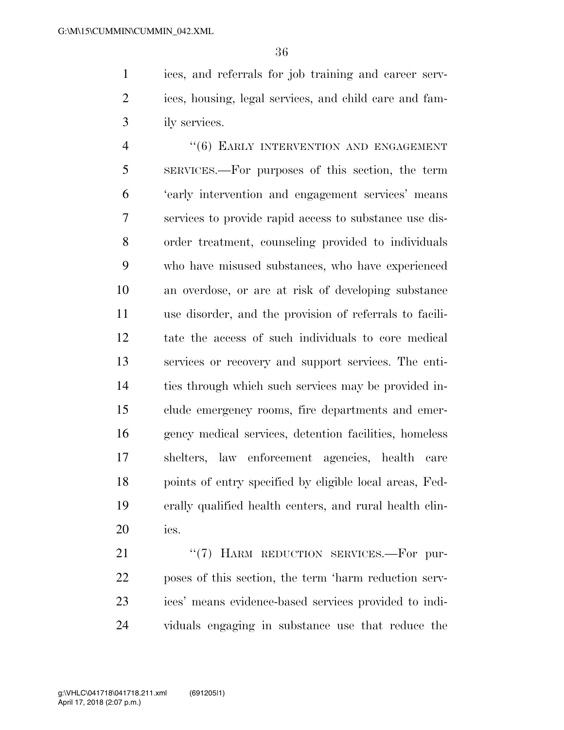ices, and referrals for job training and career serv- ices, housing, legal services, and child care and fam-ily services.

4 "(6) EARLY INTERVENTION AND ENGAGEMENT SERVICES.—For purposes of this section, the term 'early intervention and engagement services' means services to provide rapid access to substance use dis- order treatment, counseling provided to individuals who have misused substances, who have experienced an overdose, or are at risk of developing substance use disorder, and the provision of referrals to facili- tate the access of such individuals to core medical services or recovery and support services. The enti- ties through which such services may be provided in- clude emergency rooms, fire departments and emer- gency medical services, detention facilities, homeless shelters, law enforcement agencies, health care points of entry specified by eligible local areas, Fed- erally qualified health centers, and rural health clin-ics.

21 "(7) HARM REDUCTION SERVICES.—For pur- poses of this section, the term 'harm reduction serv- ices' means evidence-based services provided to indi-viduals engaging in substance use that reduce the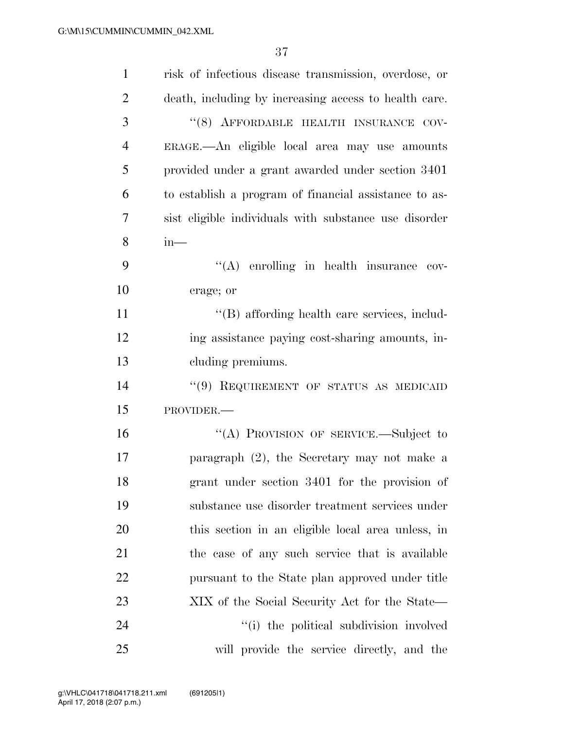| $\mathbf{1}$   | risk of infectious disease transmission, overdose, or |
|----------------|-------------------------------------------------------|
| $\overline{2}$ | death, including by increasing access to health care. |
| 3              | "(8) AFFORDABLE HEALTH INSURANCE COV-                 |
| $\overline{4}$ | ERAGE.—An eligible local area may use amounts         |
| 5              | provided under a grant awarded under section 3401     |
| 6              | to establish a program of financial assistance to as- |
| 7              | sist eligible individuals with substance use disorder |
| 8              | $in-$                                                 |
| 9              | $\lq\lq$ enrolling in health insurance cov-           |
| 10             | erage; or                                             |
| 11             | "(B) affording health care services, includ-          |
| 12             | ing assistance paying cost-sharing amounts, in-       |
| 13             | cluding premiums.                                     |
| 14             | "(9) REQUIREMENT OF STATUS AS MEDICAID                |
| 15             | PROVIDER.-                                            |
| 16             | "(A) PROVISION OF SERVICE.—Subject to                 |
| 17             | paragraph $(2)$ , the Secretary may not make a        |
| 18             | grant under section 3401 for the provision of         |
| 19             | substance use disorder treatment services under       |
| 20             | this section in an eligible local area unless, in     |
| 21             | the case of any such service that is available        |
| 22             | pursuant to the State plan approved under title       |
| 23             | XIX of the Social Security Act for the State—         |
| 24             | "(i) the political subdivision involved               |
| 25             | will provide the service directly, and the            |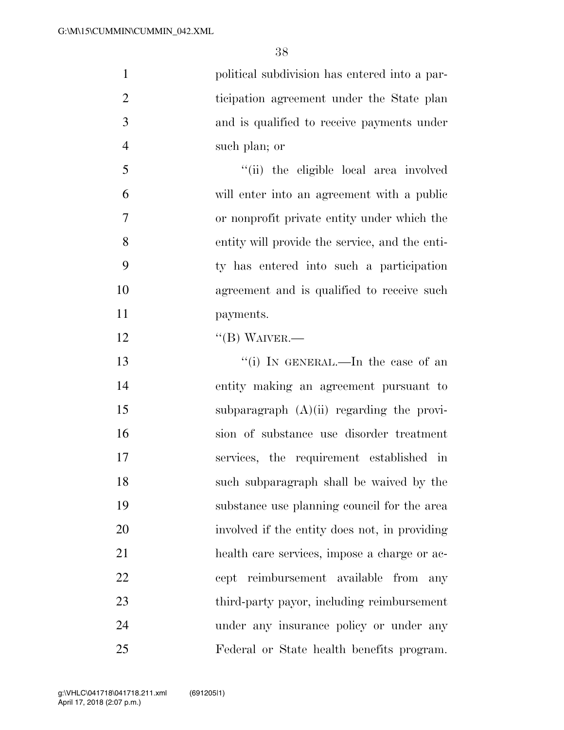| $\mathbf{1}$   | political subdivision has entered into a par-  |
|----------------|------------------------------------------------|
| $\overline{2}$ | ticipation agreement under the State plan      |
| 3              | and is qualified to receive payments under     |
| $\overline{4}$ | such plan; or                                  |
| 5              | "(ii) the eligible local area involved         |
| 6              | will enter into an agreement with a public     |
| $\tau$         | or nonprofit private entity under which the    |
| 8              | entity will provide the service, and the enti- |
| 9              | ty has entered into such a participation       |
| 10             | agreement and is qualified to receive such     |
| 11             | payments.                                      |
| 12             | $\lq\lq (B)$ WAIVER.—                          |
| 13             | "(i) IN GENERAL.—In the case of an             |
| 14             | entity making an agreement pursuant to         |
| 15             | subparagraph $(A)(ii)$ regarding the provi-    |
| 16             | sion of substance use disorder treatment       |

 entity making an agreement pursuant to 15 subparagraph (A)(ii) regarding the provi- sion of substance use disorder treatment services, the requirement established in such subparagraph shall be waived by the substance use planning council for the area involved if the entity does not, in providing health care services, impose a charge or ac- cept reimbursement available from any third-party payor, including reimbursement under any insurance policy or under any Federal or State health benefits program.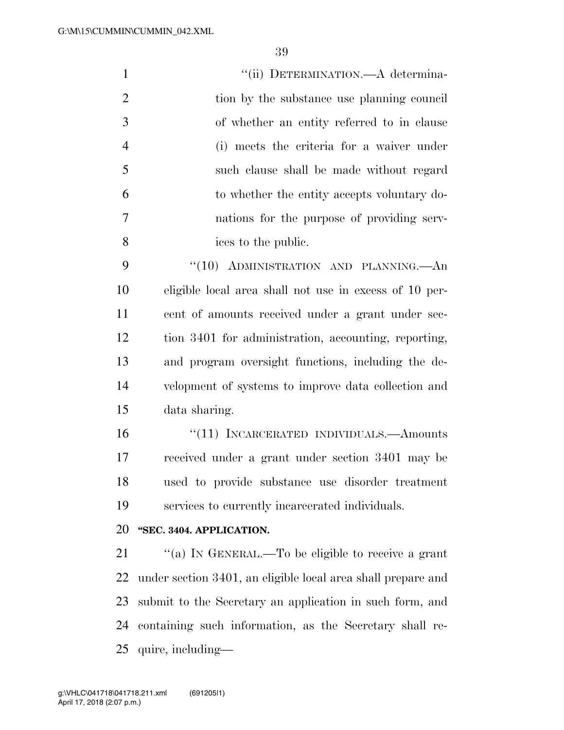| $\mathbf{1}$   | "(ii) DETERMINATION.—A determina-                            |
|----------------|--------------------------------------------------------------|
| $\overline{2}$ | tion by the substance use planning council                   |
| 3              | of whether an entity referred to in clause                   |
| 4              | (i) meets the criteria for a waiver under                    |
| 5              | such clause shall be made without regard                     |
| 6              | to whether the entity accepts voluntary do-                  |
| 7              | nations for the purpose of providing serv-                   |
| 8              | ices to the public.                                          |
| 9              | "(10) ADMINISTRATION AND PLANNING.—An                        |
| 10             | eligible local area shall not use in excess of 10 per-       |
| 11             | cent of amounts received under a grant under sec-            |
| 12             | tion 3401 for administration, accounting, reporting,         |
| 13             | and program oversight functions, including the de-           |
| 14             | velopment of systems to improve data collection and          |
| 15             | data sharing.                                                |
| 16             | "(11) INCARCERATED INDIVIDUALS.—Amounts                      |
| 17             | received under a grant under section 3401 may be             |
| 18             | used to provide substance use disorder treatment             |
| 19             | services to currently incarcerated individuals.              |
| 20             | "SEC. 3404. APPLICATION.                                     |
| 21             | "(a) IN GENERAL.—To be eligible to receive a grant           |
| 22             | under section 3401, an eligible local area shall prepare and |
| 23             | submit to the Secretary an application in such form, and     |

 containing such information, as the Secretary shall re-quire, including—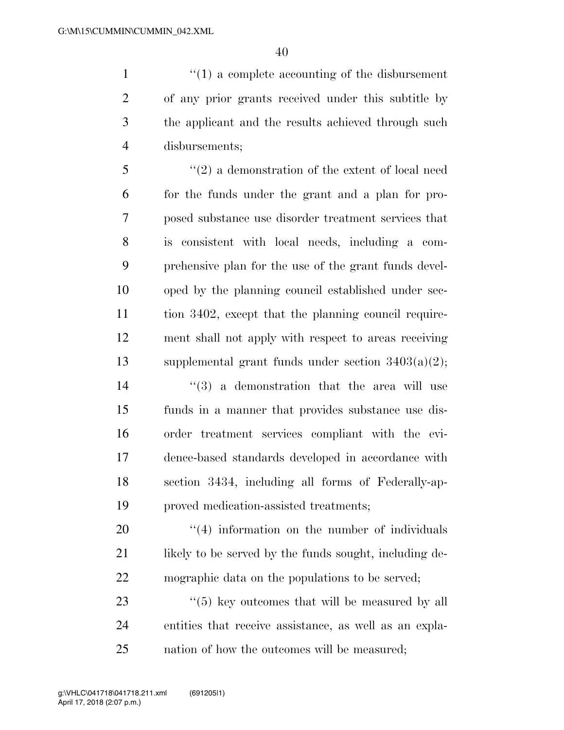$\frac{1}{1}$  <sup>(1)</sup> a complete accounting of the disbursement of any prior grants received under this subtitle by the applicant and the results achieved through such disbursements;

 ''(2) a demonstration of the extent of local need for the funds under the grant and a plan for pro- posed substance use disorder treatment services that is consistent with local needs, including a com- prehensive plan for the use of the grant funds devel- oped by the planning council established under sec- tion 3402, except that the planning council require- ment shall not apply with respect to areas receiving supplemental grant funds under section 3403(a)(2); ''(3) a demonstration that the area will use funds in a manner that provides substance use dis-order treatment services compliant with the evi-

 dence-based standards developed in accordance with section 3434, including all forms of Federally-ap-proved medication-assisted treatments;

20  $\frac{4}{4}$  information on the number of individuals 21 likely to be served by the funds sought, including de-mographic data on the populations to be served;

23 ''(5) key outcomes that will be measured by all entities that receive assistance, as well as an expla-nation of how the outcomes will be measured;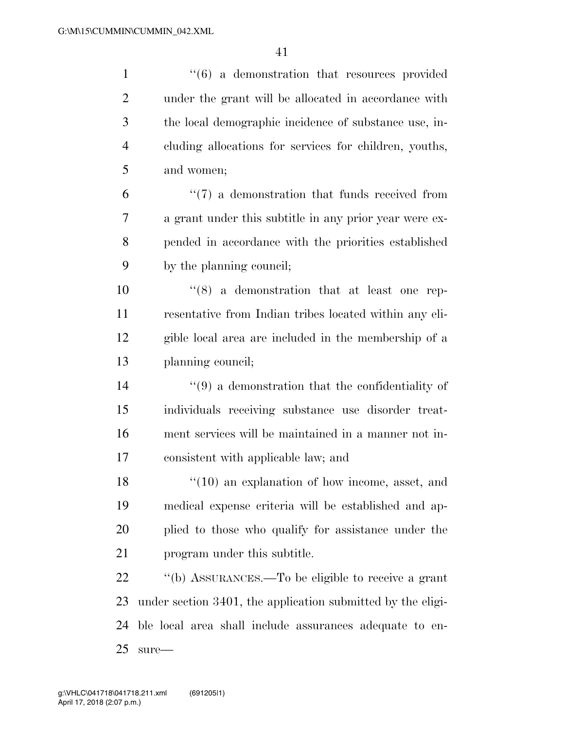| $\mathbf{1}$   | $\cdot\cdot\cdot(6)$ a demonstration that resources provided     |
|----------------|------------------------------------------------------------------|
| $\overline{2}$ | under the grant will be allocated in accordance with             |
| 3              | the local demographic incidence of substance use, in-            |
| $\overline{4}$ | cluding allocations for services for children, youths,           |
| 5              | and women;                                                       |
| 6              | $\lq(7)$ a demonstration that funds received from                |
| 7              | a grant under this subtitle in any prior year were ex-           |
| 8              | pended in accordance with the priorities established             |
| 9              | by the planning council;                                         |
| 10             | $(8)$ a demonstration that at least one rep-                     |
| 11             | resentative from Indian tribes located within any eli-           |
| 12             | gible local area are included in the membership of a             |
| 13             | planning council;                                                |
| 14             | $\cdot\cdot\cdot(9)$ a demonstration that the confidentiality of |
| 15             | individuals receiving substance use disorder treat-              |
| 16             | ment services will be maintained in a manner not in-             |
| 17             | consistent with applicable law; and                              |
| 18             | $\lq(10)$ an explanation of how income, asset, and               |
| 19             | medical expense criteria will be established and ap-             |
| 20             | plied to those who qualify for assistance under the              |
| 21             | program under this subtitle.                                     |
| 22             | "(b) ASSURANCES.—To be eligible to receive a grant               |
| 23             | under section 3401, the application submitted by the eligi-      |
| 24             | ble local area shall include assurances adequate to en-          |
| 25             | $sure-$                                                          |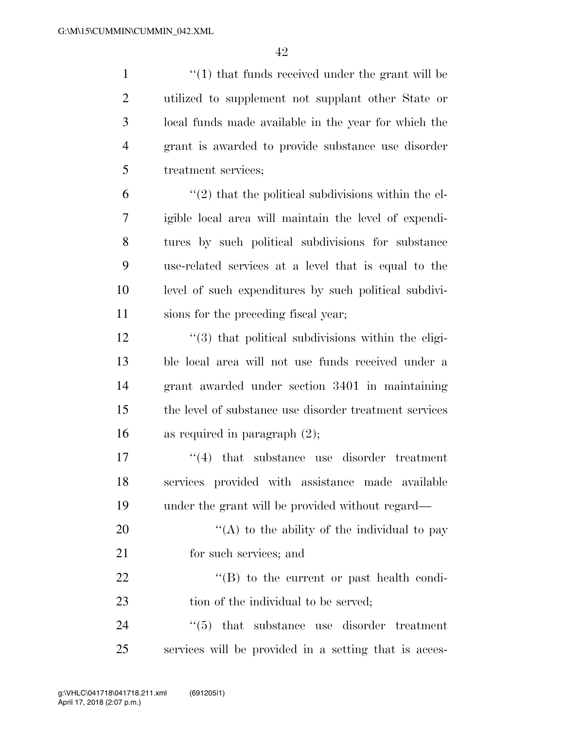$\frac{1}{2}$   $\frac{1}{2}$  that funds received under the grant will be utilized to supplement not supplant other State or local funds made available in the year for which the grant is awarded to provide substance use disorder treatment services;

 $(2)$  that the political subdivisions within the el- igible local area will maintain the level of expendi- tures by such political subdivisions for substance use-related services at a level that is equal to the level of such expenditures by such political subdivi-sions for the preceding fiscal year;

12 ''(3) that political subdivisions within the eligi- ble local area will not use funds received under a grant awarded under section 3401 in maintaining the level of substance use disorder treatment services as required in paragraph (2);

17  $\frac{17}{2}$  that substance use disorder treatment 18 services provided with assistance made available 19 under the grant will be provided without regard—

20  $\langle (A)$  to the ability of the individual to pay 21 for such services; and

22 ''(B) to the current or past health condi-23 tion of the individual to be served;

24  $\frac{1}{2}$  (5) that substance use disorder treatment 25 services will be provided in a setting that is acces-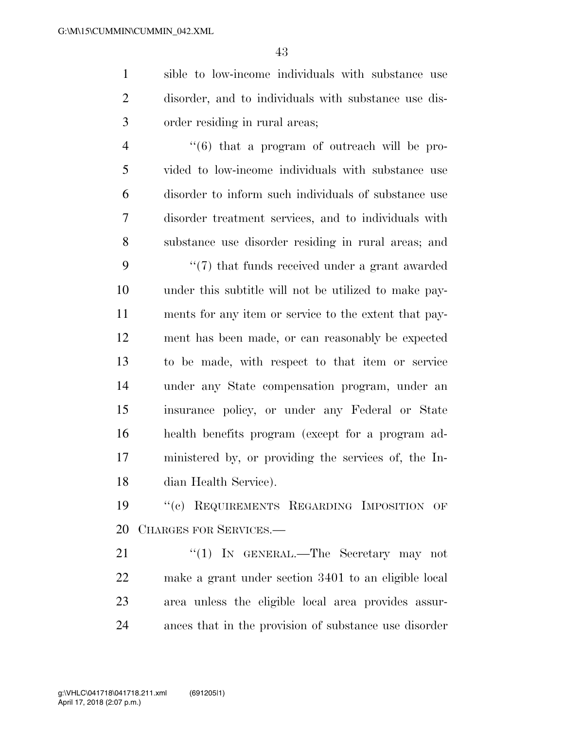sible to low-income individuals with substance use disorder, and to individuals with substance use dis-order residing in rural areas;

 $\frac{4}{6}$  ''(6) that a program of outreach will be pro- vided to low-income individuals with substance use disorder to inform such individuals of substance use disorder treatment services, and to individuals with substance use disorder residing in rural areas; and

9 ''(7) that funds received under a grant awarded under this subtitle will not be utilized to make pay- ments for any item or service to the extent that pay- ment has been made, or can reasonably be expected to be made, with respect to that item or service under any State compensation program, under an insurance policy, or under any Federal or State health benefits program (except for a program ad- ministered by, or providing the services of, the In-dian Health Service).

 ''(c) REQUIREMENTS REGARDING IMPOSITION OF CHARGES FOR SERVICES.—

21 "(1) IN GENERAL.—The Secretary may not make a grant under section 3401 to an eligible local area unless the eligible local area provides assur-ances that in the provision of substance use disorder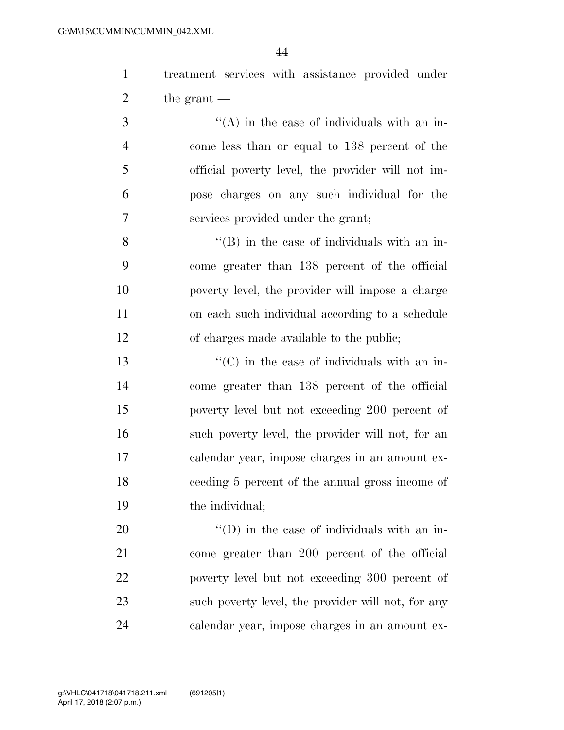treatment services with assistance provided under 2 the grant —

 ''(A) in the case of individuals with an in- come less than or equal to 138 percent of the official poverty level, the provider will not im- pose charges on any such individual for the services provided under the grant;

 ''(B) in the case of individuals with an in- come greater than 138 percent of the official poverty level, the provider will impose a charge on each such individual according to a schedule of charges made available to the public;

 $\cdot$  (C) in the case of individuals with an in- come greater than 138 percent of the official poverty level but not exceeding 200 percent of such poverty level, the provider will not, for an calendar year, impose charges in an amount ex- ceeding 5 percent of the annual gross income of the individual;

 $\langle (D)$  in the case of individuals with an in- come greater than 200 percent of the official poverty level but not exceeding 300 percent of such poverty level, the provider will not, for any calendar year, impose charges in an amount ex-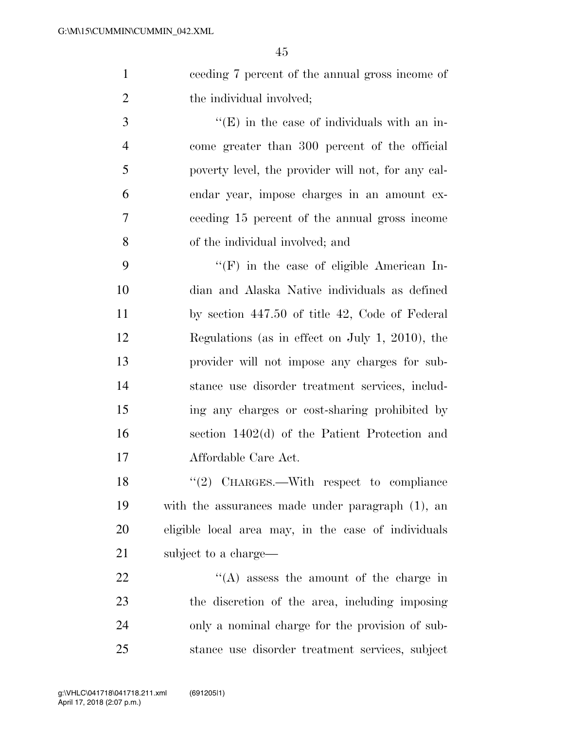ceeding 7 percent of the annual gross income of 2 the individual involved;

 $\cdot$  (E) in the case of individuals with an in- come greater than 300 percent of the official poverty level, the provider will not, for any cal- endar year, impose charges in an amount ex- ceeding 15 percent of the annual gross income of the individual involved; and

 ''(F) in the case of eligible American In- dian and Alaska Native individuals as defined by section 447.50 of title 42, Code of Federal Regulations (as in effect on July 1, 2010), the provider will not impose any charges for sub- stance use disorder treatment services, includ- ing any charges or cost-sharing prohibited by section 1402(d) of the Patient Protection and Affordable Care Act.

18 "(2) CHARGES.—With respect to compliance with the assurances made under paragraph (1), an eligible local area may, in the case of individuals 21 subject to a charge—

 $\langle (A)$  assess the amount of the charge in the discretion of the area, including imposing only a nominal charge for the provision of sub-stance use disorder treatment services, subject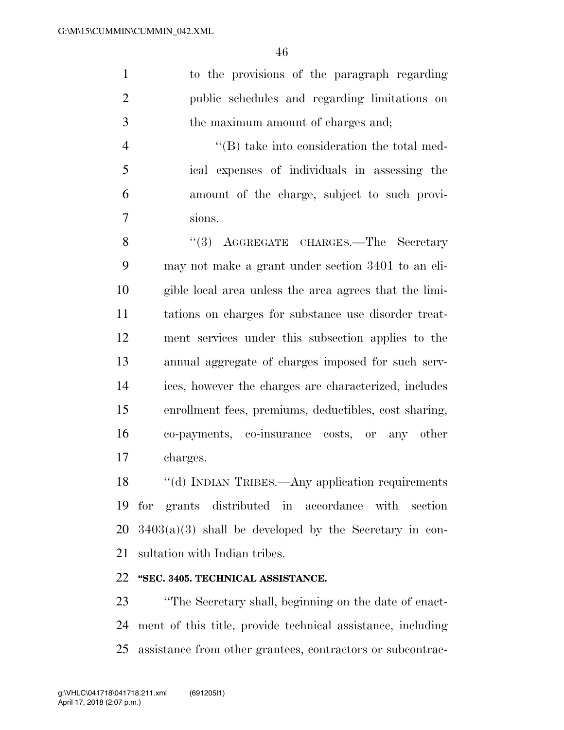to the provisions of the paragraph regarding public schedules and regarding limitations on the maximum amount of charges and;

 ''(B) take into consideration the total med- ical expenses of individuals in assessing the amount of the charge, subject to such provi-sions.

8 "(3) AGGREGATE CHARGES.—The Secretary may not make a grant under section 3401 to an eli- gible local area unless the area agrees that the limi- tations on charges for substance use disorder treat- ment services under this subsection applies to the annual aggregate of charges imposed for such serv- ices, however the charges are characterized, includes enrollment fees, premiums, deductibles, cost sharing, co-payments, co-insurance costs, or any other charges.

18 "(d) INDIAN TRIBES.—Any application requirements for grants distributed in accordance with section  $20\quad3403(a)(3)$  shall be developed by the Secretary in con-sultation with Indian tribes.

## **''SEC. 3405. TECHNICAL ASSISTANCE.**

 ''The Secretary shall, beginning on the date of enact- ment of this title, provide technical assistance, including assistance from other grantees, contractors or subcontrac-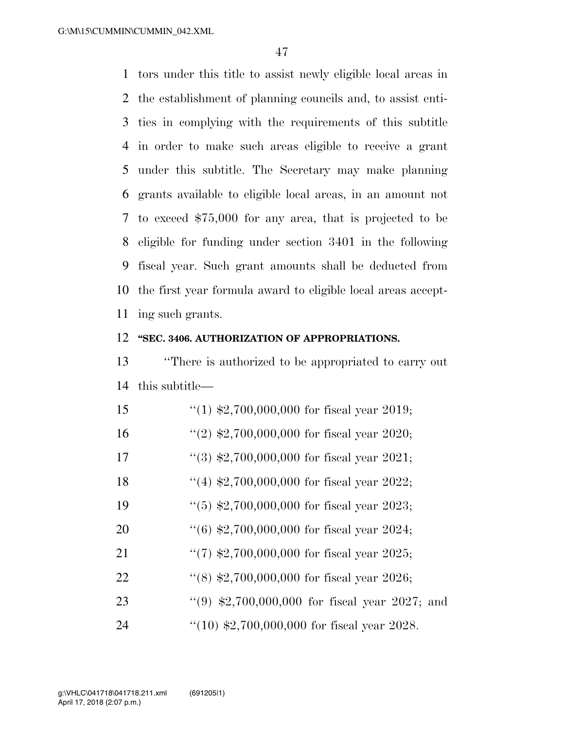tors under this title to assist newly eligible local areas in the establishment of planning councils and, to assist enti- ties in complying with the requirements of this subtitle in order to make such areas eligible to receive a grant under this subtitle. The Secretary may make planning grants available to eligible local areas, in an amount not to exceed \$75,000 for any area, that is projected to be eligible for funding under section 3401 in the following fiscal year. Such grant amounts shall be deducted from the first year formula award to eligible local areas accept-ing such grants.

#### **''SEC. 3406. AUTHORIZATION OF APPROPRIATIONS.**

 ''There is authorized to be appropriated to carry out this subtitle—

| 15 | "(1) $$2,700,000,000$ for fiscal year 2019;            |
|----|--------------------------------------------------------|
| 16 | "(2) $\text{$}2,700,000,000$ for fiscal year 2020;     |
| 17 | $\lq(3)$ \$2,700,000,000 for fiscal year 2021;         |
| 18 | "(4) $\text{$}2,700,000,000$ for fiscal year 2022;     |
| 19 | $(5)$ \$2,700,000,000 for fiscal year 2023;            |
| 20 | $(6)$ \$2,700,000,000 for fiscal year 2024;            |
| 21 | $\lq(7)$ \$2,700,000,000 for fiscal year 2025;         |
| 22 | $(8)$ \$2,700,000,000 for fiscal year 2026;            |
| 23 | "(9) $\text{$}2,700,000,000$ for fiscal year 2027; and |
| 24 | $(10)$ \$2,700,000,000 for fiscal year 2028.           |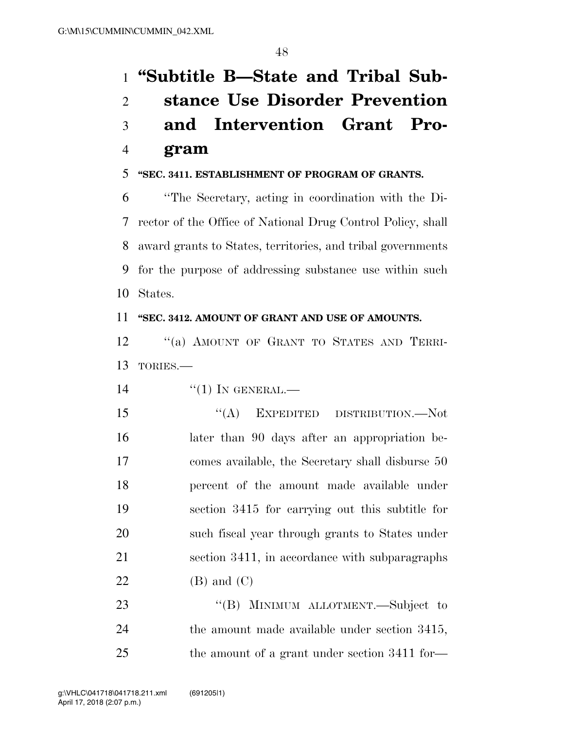# **''Subtitle B—State and Tribal Sub- stance Use Disorder Prevention and Intervention Grant Pro-gram**

## **''SEC. 3411. ESTABLISHMENT OF PROGRAM OF GRANTS.**

 ''The Secretary, acting in coordination with the Di- rector of the Office of National Drug Control Policy, shall award grants to States, territories, and tribal governments for the purpose of addressing substance use within such States.

#### **''SEC. 3412. AMOUNT OF GRANT AND USE OF AMOUNTS.**

12 "(a) AMOUNT OF GRANT TO STATES AND TERRI-TORIES.—

14 "(1) IN GENERAL.—

15 "(A) EXPEDITED DISTRIBUTION.—Not later than 90 days after an appropriation be- comes available, the Secretary shall disburse 50 percent of the amount made available under section 3415 for carrying out this subtitle for such fiscal year through grants to States under section 3411, in accordance with subparagraphs  $(B)$  and  $(C)$ 

23 "'(B) MINIMUM ALLOTMENT.—Subject to the amount made available under section 3415, 25 the amount of a grant under section 3411 for—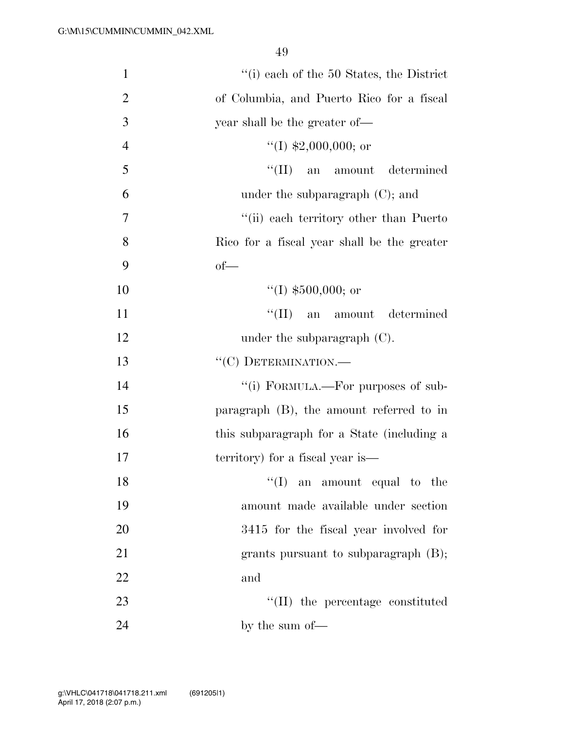| $\mathbf{1}$   | $f'(i)$ each of the 50 States, the District |
|----------------|---------------------------------------------|
| $\overline{2}$ | of Columbia, and Puerto Rico for a fiscal   |
| 3              | year shall be the greater of—               |
| $\overline{4}$ | "(I) $$2,000,000$ ; or                      |
| 5              | "(II) an amount determined                  |
| 6              | under the subparagraph $(C)$ ; and          |
| 7              | "(ii) each territory other than Puerto"     |
| 8              | Rico for a fiscal year shall be the greater |
| 9              | $of$ —                                      |
| 10             | "(I) $$500,000$ ; or                        |
| 11             | $\lq\lq$ (II) an amount determined          |
| 12             | under the subparagraph $(C)$ .              |
| 13             | "(C) DETERMINATION.-                        |
| 14             | "(i) FORMULA.—For purposes of sub-          |
| 15             | paragraph $(B)$ , the amount referred to in |
| 16             | this subparagraph for a State (including a  |
| 17             | territory) for a fiscal year is—            |
| 18             | $\lq\lq$ (I) an amount equal to the         |
| 19             | amount made available under section         |
| 20             | 3415 for the fiscal year involved for       |
| 21             | grants pursuant to subparagraph (B);        |
| 22             | and                                         |
| 23             | $\lq\lq$ (II) the percentage constituted    |
| 24             | by the sum of—                              |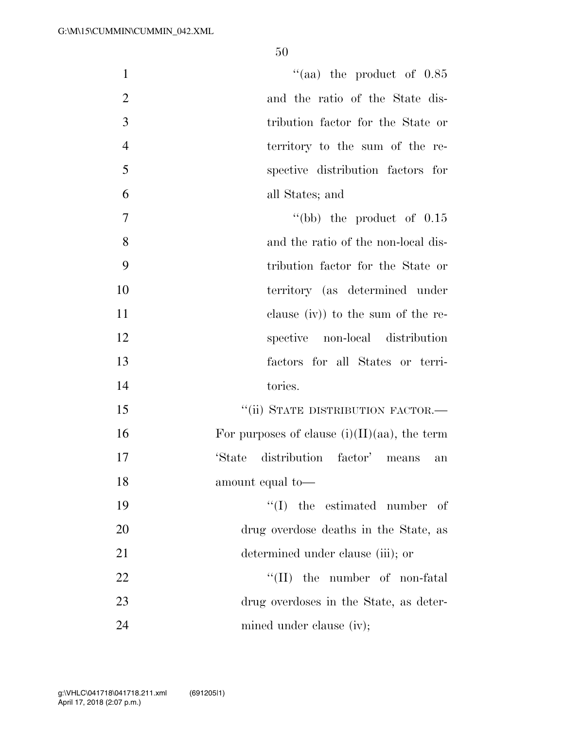| $\mathbf{1}$   | "(aa) the product of $0.85$                     |
|----------------|-------------------------------------------------|
| $\overline{2}$ | and the ratio of the State dis-                 |
| 3              | tribution factor for the State or               |
| $\overline{4}$ | territory to the sum of the re-                 |
| 5              | spective distribution factors for               |
| 6              | all States; and                                 |
| 7              | "(bb) the product of $0.15$                     |
| 8              | and the ratio of the non-local dis-             |
| 9              | tribution factor for the State or               |
| 10             | territory (as determined under                  |
| 11             | clause $(iv)$ to the sum of the re-             |
| 12             | spective non-local distribution                 |
| 13             | factors for all States or terri-                |
| 14             | tories.                                         |
| 15             | "(ii) STATE DISTRIBUTION FACTOR.—               |
| 16             | For purposes of clause $(i)(II)(aa)$ , the term |
| 17             | distribution factor' means<br>'State<br>an      |
| 18             | amount equal to-                                |
| 19             | $\lq\lq$ (I) the estimated number of            |
| 20             | drug overdose deaths in the State, as           |
| 21             | determined under clause (iii); or               |
| 22             | $\lq\lq$ (II) the number of non-fatal           |
| 23             | drug overdoses in the State, as deter-          |
| 24             | mined under clause (iv);                        |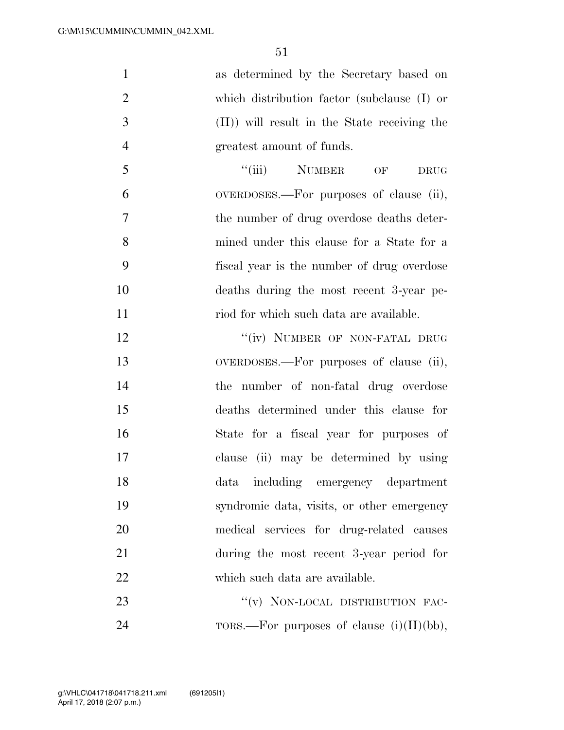as determined by the Secretary based on which distribution factor (subclause (I) or (II)) will result in the State receiving the greatest amount of funds. 5 "(iii) NUMBER OF DRUG OVERDOSES.—For purposes of clause (ii), the number of drug overdose deaths deter-

 mined under this clause for a State for a fiscal year is the number of drug overdose deaths during the most recent 3-year pe-

11 riod for which such data are available. 12 "(iv) NUMBER OF NON-FATAL DRUG OVERDOSES.—For purposes of clause (ii), the number of non-fatal drug overdose deaths determined under this clause for State for a fiscal year for purposes of clause (ii) may be determined by using data including emergency department syndromic data, visits, or other emergency medical services for drug-related causes during the most recent 3-year period for which such data are available.

23 "(v) NON-LOCAL DISTRIBUTION FAC-24 TORS.—For purposes of clause (i)(II)(bb),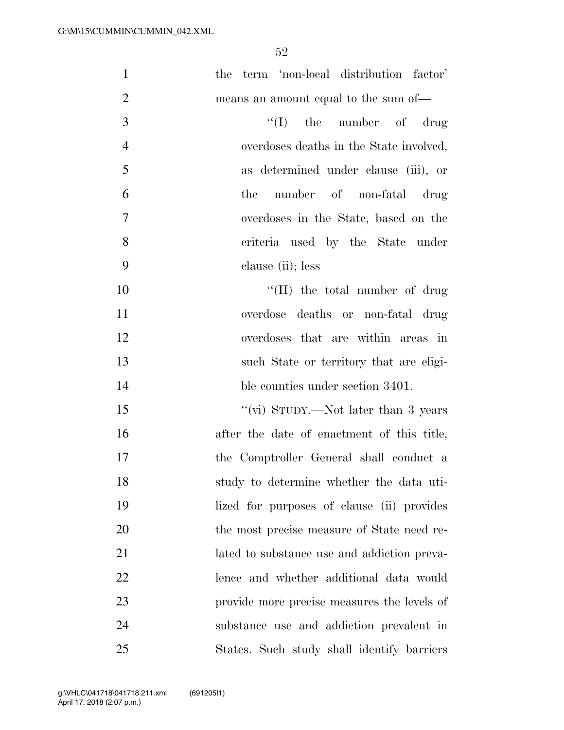| $\mathbf{1}$   | the term 'non-local distribution factor'    |
|----------------|---------------------------------------------|
| $\overline{2}$ | means an amount equal to the sum of—        |
| 3              | $\lq\lq$ the number of drug                 |
| $\overline{4}$ | overdoses deaths in the State involved,     |
| 5              | as determined under clause (iii), or        |
| 6              | number of non-fatal drug<br>the             |
| $\tau$         | overdoses in the State, based on the        |
| 8              | criteria used by the State under            |
| 9              | clause (ii); less                           |
| 10             | $\lq\lq$ (II) the total number of drug      |
| 11             | overdose deaths or non-fatal drug           |
| 12             | overdoses that are within areas in          |
| 13             | such State or territory that are eligi-     |
| 14             | ble counties under section 3401.            |
| 15             | "(vi) STUDY.—Not later than 3 years         |
| 16             | after the date of enactment of this title,  |
| 17             | the Comptroller General shall conduct a     |
| 18             | study to determine whether the data uti-    |
| 19             | lized for purposes of clause (ii) provides  |
| 20             | the most precise measure of State need re-  |
| 21             | lated to substance use and addiction preva- |
| 22             | lence and whether additional data would     |
| 23             | provide more precise measures the levels of |
| 24             | substance use and addiction prevalent in    |
| 25             | States. Such study shall identify barriers  |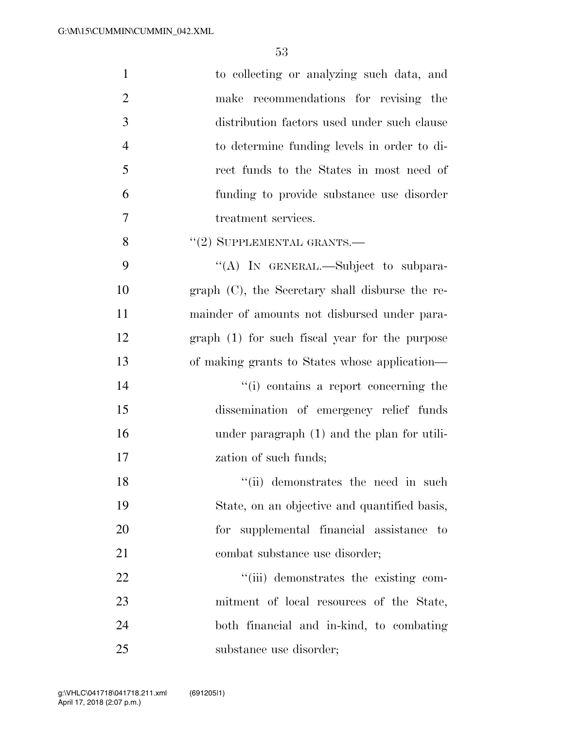| $\mathbf{1}$   | to collecting or analyzing such data, and          |
|----------------|----------------------------------------------------|
| $\overline{2}$ | make recommendations for revising the              |
| 3              | distribution factors used under such clause        |
| $\overline{4}$ | to determine funding levels in order to di-        |
| 5              | rect funds to the States in most need of           |
| 6              | funding to provide substance use disorder          |
| 7              | treatment services.                                |
| 8              | $``(2)$ SUPPLEMENTAL GRANTS.—                      |
| 9              | "(A) IN GENERAL.—Subject to subpara-               |
| 10             | graph $(C)$ , the Secretary shall disburse the re- |
| 11             | mainder of amounts not disbursed under para-       |
| 12             | $graph(1)$ for such fiscal year for the purpose    |
| 13             | of making grants to States whose application—      |
| 14             | "(i) contains a report concerning the              |
| 15             | dissemination of emergency relief funds            |
| 16             | under paragraph (1) and the plan for utili-        |
| 17             | zation of such funds;                              |
| 18             | "(ii) demonstrates the need in such                |
| 19             | State, on an objective and quantified basis,       |
| 20             | for supplemental financial assistance to           |
| 21             | combat substance use disorder;                     |
| 22             | "(iii) demonstrates the existing com-              |
| 23             | mitment of local resources of the State,           |
| 24             | both financial and in-kind, to combating           |
| 25             | substance use disorder;                            |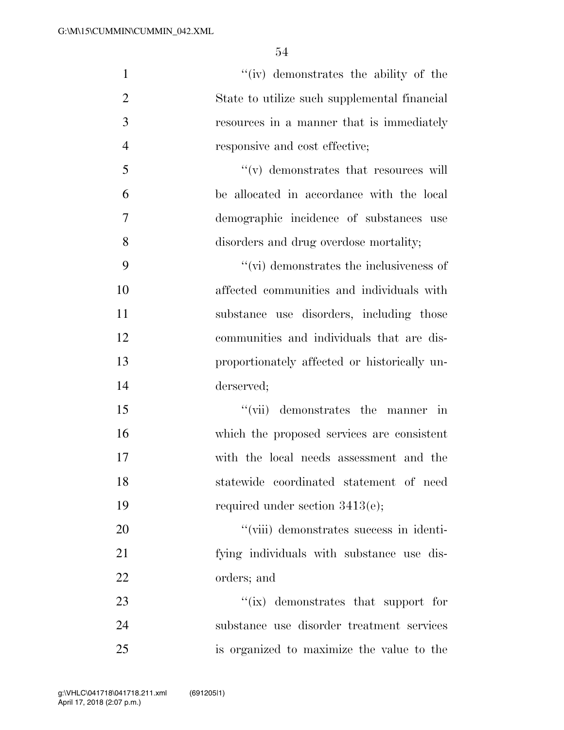| $\mathbf{1}$   | "(iv) demonstrates the ability of the           |
|----------------|-------------------------------------------------|
| $\overline{2}$ | State to utilize such supplemental financial    |
| 3              | resources in a manner that is immediately       |
| $\overline{4}$ | responsive and cost effective;                  |
| 5              | $f'(v)$ demonstrates that resources will        |
| 6              | be allocated in accordance with the local       |
| $\overline{7}$ | demographic incidence of substances use         |
| 8              | disorders and drug overdose mortality;          |
| 9              | $\lq\lq$ (vi) demonstrates the inclusiveness of |
| 10             | affected communities and individuals with       |
| 11             | substance use disorders, including those        |
| 12             | communities and individuals that are dis-       |
| 13             | proportionately affected or historically un-    |
| 14             | derserved;                                      |
| 15             | "(vii) demonstrates the manner in               |
| 16             | which the proposed services are consistent      |
| 17             | with the local needs assessment and the         |
| 18             | statewide coordinated statement of need         |
| 19             | required under section $3413(e)$ ;              |
| 20             | "(viii) demonstrates success in identi-         |
| 21             | fying individuals with substance use dis-       |
| 22             | orders; and                                     |
| 23             | $\lq\lq$ (ix) demonstrates that support for     |
| 24             | substance use disorder treatment services       |
| 25             | is organized to maximize the value to the       |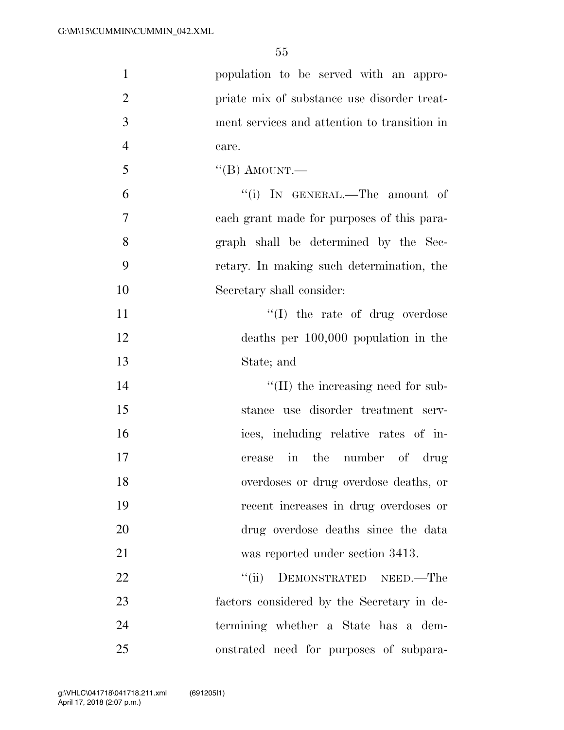| $\mathbf{1}$   | population to be served with an appro-       |
|----------------|----------------------------------------------|
| $\overline{2}$ | priate mix of substance use disorder treat-  |
| 3              | ment services and attention to transition in |
| $\overline{4}$ | care.                                        |
| 5              | "(B) AMOUNT.—                                |
| 6              | "(i) IN GENERAL.—The amount of               |
| $\overline{7}$ | each grant made for purposes of this para-   |
| 8              | graph shall be determined by the Sec-        |
| 9              | retary. In making such determination, the    |
| 10             | Secretary shall consider:                    |
| 11             | $\lq\lq$ (I) the rate of drug overdose       |
| 12             | deaths per $100,000$ population in the       |
| 13             | State; and                                   |
| 14             | $\lq\lq$ (II) the increasing need for sub-   |
| 15             | stance use disorder treatment serv-          |
| 16             | ices, including relative rates of in-        |
| 17             | in the number of drug<br>crease              |
| 18             | overdoses or drug overdose deaths, or        |
| 19             | recent increases in drug overdoses or        |
| 20             | drug overdose deaths since the data          |
| 21             | was reported under section 3413.             |
| 22             | DEMONSTRATED NEED.-The<br>``(ii)             |
| 23             | factors considered by the Secretary in de-   |
| 24             | termining whether a State has a dem-         |
| 25             | onstrated need for purposes of subpara-      |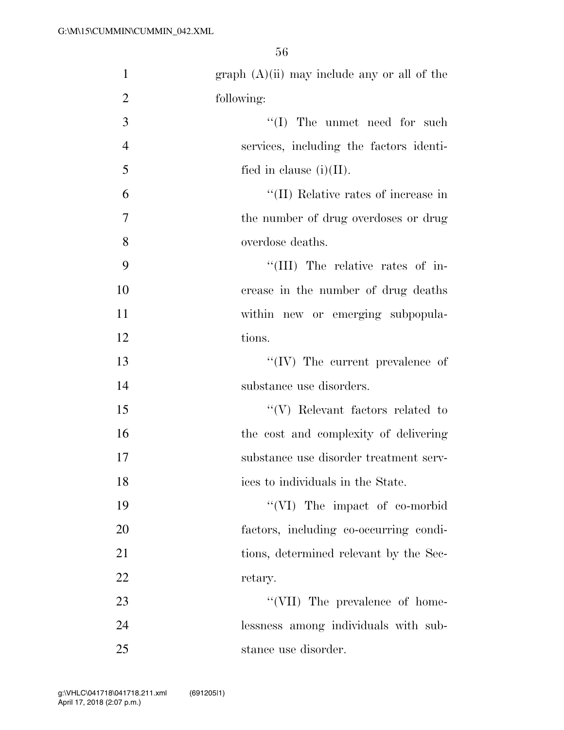| $\mathbf{1}$   | $graph (A)(ii)$ may include any or all of the |
|----------------|-----------------------------------------------|
| $\overline{2}$ | following:                                    |
| 3              | $\lq\lq$ (I) The unmet need for such          |
| $\overline{4}$ | services, including the factors identi-       |
| 5              | fied in clause $(i)(II)$ .                    |
| 6              | "(II) Relative rates of increase in           |
| $\tau$         | the number of drug overdoses or drug          |
| 8              | overdose deaths.                              |
| 9              | "(III) The relative rates of in-              |
| 10             | crease in the number of drug deaths           |
| 11             | within new or emerging subpopula-             |
| 12             | tions.                                        |
| 13             | $``(IV)$ The current prevalence of            |
| 14             | substance use disorders.                      |
| 15             | $\lq\lq(V)$ Relevant factors related to       |
| 16             | the cost and complexity of delivering         |
| 17             | substance use disorder treatment serv-        |
| 18             | ices to individuals in the State.             |
| 19             | "(VI) The impact of co-morbid                 |
| 20             | factors, including co-occurring condi-        |
| 21             | tions, determined relevant by the Sec-        |
| 22             | retary.                                       |
| 23             | "(VII) The prevalence of home-                |
| 24             | lessness among individuals with sub-          |
| 25             | stance use disorder.                          |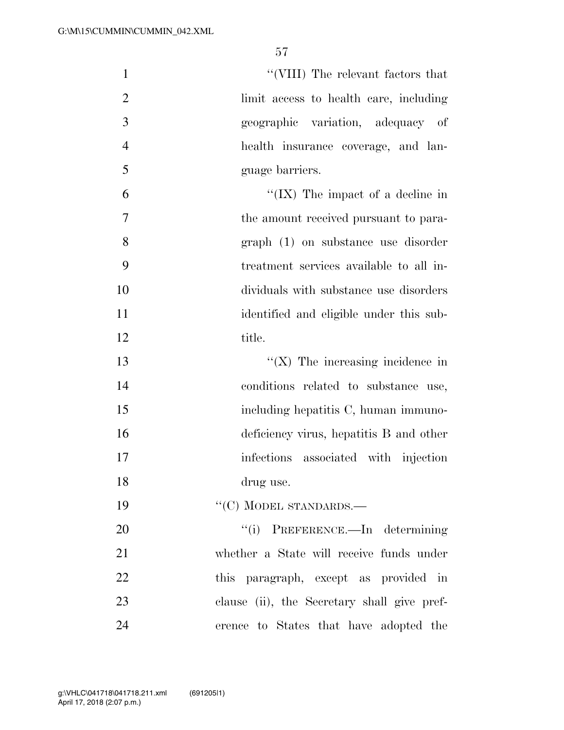1 ''(VIII) The relevant factors that limit access to health care, including geographic variation, adequacy of health insurance coverage, and lan- guage barriers. ''(IX) The impact of a decline in the amount received pursuant to para-graph (1) on substance use disorder

- treatment services available to all in-
- dividuals with substance use disorders identified and eligible under this sub-
- 12 title.
- 13  $\frac{1}{2}$  The increasing incidence in conditions related to substance use, 15 including hepatitis C, human immuno- deficiency virus, hepatitis B and other 17 infections associated with injection drug use.
- 19 "'(C) MODEL STANDARDS.—

 $\frac{1}{1}$  PREFERENCE.—In determining whether a State will receive funds under this paragraph, except as provided in clause (ii), the Secretary shall give pref-erence to States that have adopted the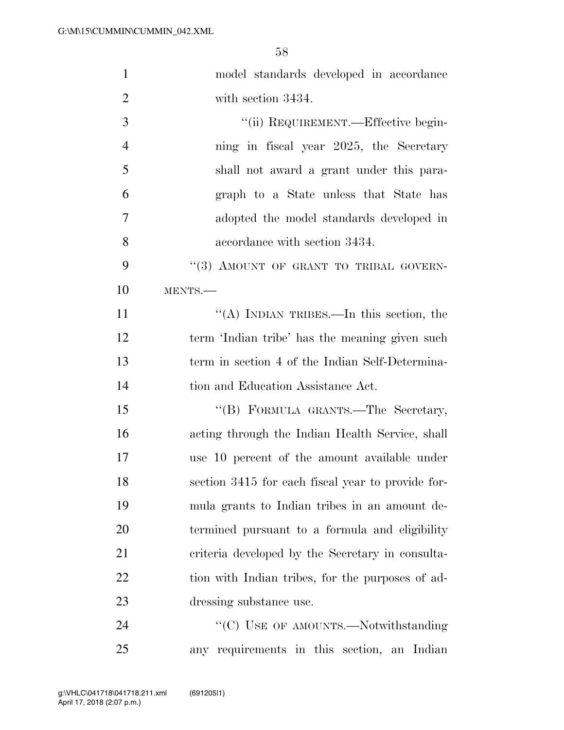| $\mathbf{1}$   | model standards developed in accordance           |
|----------------|---------------------------------------------------|
| $\overline{2}$ | with section 3434.                                |
| 3              | "(ii) REQUIREMENT.—Effective begin-               |
| $\overline{4}$ | ning in fiscal year 2025, the Secretary           |
| 5              | shall not award a grant under this para-          |
| 6              | graph to a State unless that State has            |
| $\tau$         | adopted the model standards developed in          |
| 8              | accordance with section 3434.                     |
| 9              | "(3) AMOUNT OF GRANT TO TRIBAL GOVERN-            |
| 10             | MENTS.                                            |
| 11             | "(A) INDIAN TRIBES.—In this section, the          |
| 12             | term 'Indian tribe' has the meaning given such    |
| 13             | term in section 4 of the Indian Self-Determina-   |
| 14             | tion and Education Assistance Act.                |
| 15             | "(B) FORMULA GRANTS.-The Secretary,               |
| 16             | acting through the Indian Health Service, shall   |
| 17             | use 10 percent of the amount available under      |
| 18             | section 3415 for each fiscal year to provide for- |
| 19             | mula grants to Indian tribes in an amount de-     |
| 20             | termined pursuant to a formula and eligibility    |
| 21             | criteria developed by the Secretary in consulta-  |
| 22             | tion with Indian tribes, for the purposes of ad-  |
| 23             | dressing substance use.                           |
| 24             | "(C) USE OF AMOUNTS.—Notwithstanding              |
| 25             | any requirements in this section, an Indian       |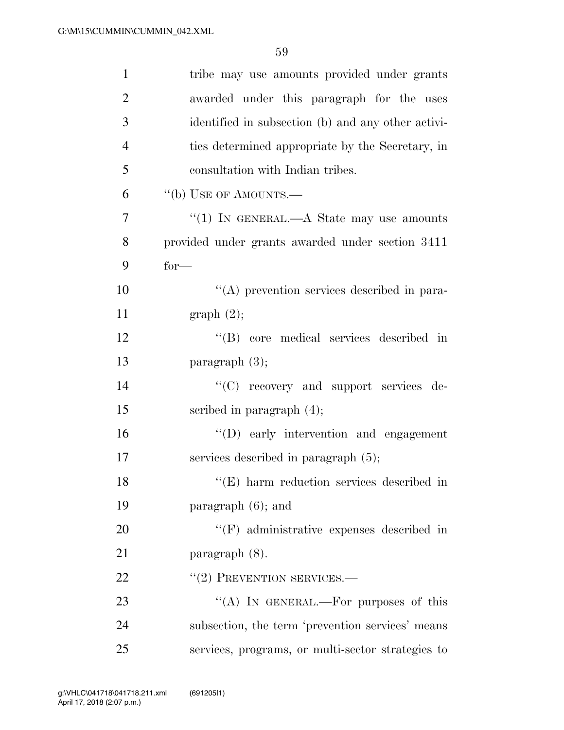| $\mathbf{1}$   | tribe may use amounts provided under grants        |
|----------------|----------------------------------------------------|
| $\overline{2}$ | awarded under this paragraph for the uses          |
| 3              | identified in subsection (b) and any other activi- |
| $\overline{4}$ | ties determined appropriate by the Secretary, in   |
| 5              | consultation with Indian tribes.                   |
| 6              | "(b) USE OF AMOUNTS.—                              |
| $\overline{7}$ | "(1) IN GENERAL.— $A$ State may use amounts        |
| 8              | provided under grants awarded under section 3411   |
| 9              | $for-$                                             |
| 10             | $\lq\lq$ prevention services described in para-    |
| 11             | graph(2);                                          |
| 12             | "(B) core medical services described in            |
| 13             | paragraph $(3)$ ;                                  |
| 14             | "(C) recovery and support services de-             |
| 15             | scribed in paragraph $(4)$ ;                       |
| 16             | "(D) early intervention and engagement             |
| 17             | services described in paragraph $(5)$ ;            |
| 18             | $\lq\lq$ (E) harm reduction services described in  |
| 19             | paragraph $(6)$ ; and                              |
| 20             | $\lq\lq(F)$ administrative expenses described in   |
| 21             | paragraph (8).                                     |
| 22             | $``(2)$ PREVENTION SERVICES.—                      |
| 23             | "(A) IN GENERAL.—For purposes of this              |
| 24             | subsection, the term 'prevention services' means   |
| 25             | services, programs, or multi-sector strategies to  |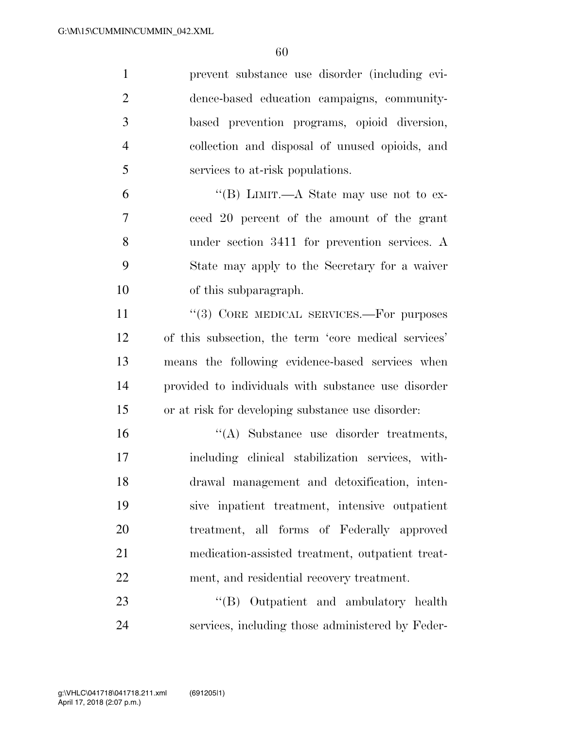| $\mathbf{1}$   | prevent substance use disorder (including evi-       |
|----------------|------------------------------------------------------|
| $\overline{2}$ | dence-based education campaigns, community-          |
| 3              | based prevention programs, opioid diversion,         |
| $\overline{4}$ | collection and disposal of unused opioids, and       |
| 5              | services to at-risk populations.                     |
| 6              | "(B) LIMIT.—A State may use not to ex-               |
| 7              | ceed 20 percent of the amount of the grant           |
| 8              | under section 3411 for prevention services. A        |
| 9              | State may apply to the Secretary for a waiver        |
| 10             | of this subparagraph.                                |
| 11             | "(3) CORE MEDICAL SERVICES.—For purposes             |
| 12             | of this subsection, the term 'core medical services' |
| 13             | means the following evidence-based services when     |
| 14             | provided to individuals with substance use disorder  |
| 15             | or at risk for developing substance use disorder:    |
| 16             | "(A) Substance use disorder treatments,              |
| 17             | including clinical stabilization services, with-     |
| 18             | drawal management and detoxification, inten-         |
| 19             | sive inpatient treatment, intensive outpatient       |
| 20             | treatment, all forms of Federally approved           |
| 21             | medication-assisted treatment, outpatient treat-     |
| 22             | ment, and residential recovery treatment.            |
| 23             | "(B) Outpatient and ambulatory health                |
| 24             | services, including those administered by Feder-     |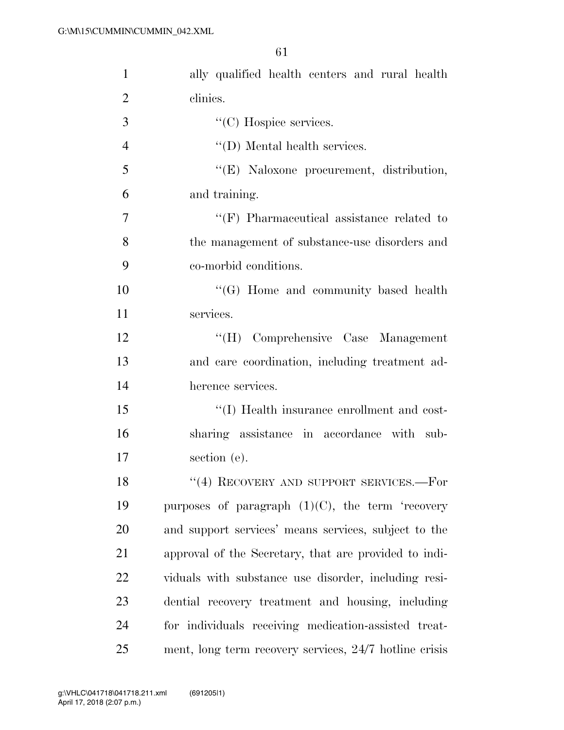| 1              | ally qualified health centers and rural health         |
|----------------|--------------------------------------------------------|
| $\overline{2}$ | clinics.                                               |
| 3              | $\lq\lq$ <sup>c</sup> (C) Hospice services.            |
| $\overline{4}$ | $\lq\lq$ (D) Mental health services.                   |
| 5              | "(E) Naloxone procurement, distribution,               |
| 6              | and training.                                          |
| $\overline{7}$ | $\lq\lq(F)$ Pharmaceutical assistance related to       |
| 8              | the management of substance-use disorders and          |
| 9              | co-morbid conditions.                                  |
| 10             | $\lq\lq(G)$ Home and community based health            |
| 11             | services.                                              |
| 12             | "(H) Comprehensive Case Management                     |
| 13             | and care coordination, including treatment ad-         |
| 14             | herence services.                                      |
| 15             | "(I) Health insurance enrollment and cost-             |
| 16             | sharing assistance in accordance with sub-             |
| 17             | section (e).                                           |
| 18             | $``(4)$ RECOVERY AND SUPPORT SERVICES.—For             |
| 19             | purposes of paragraph $(1)(C)$ , the term 'recovery    |
| 20             | and support services' means services, subject to the   |
| 21             | approval of the Secretary, that are provided to indi-  |
| 22             | viduals with substance use disorder, including resi-   |
| 23             | dential recovery treatment and housing, including      |
| 24             | for individuals receiving medication-assisted treat-   |
| 25             | ment, long term recovery services, 24/7 hotline crisis |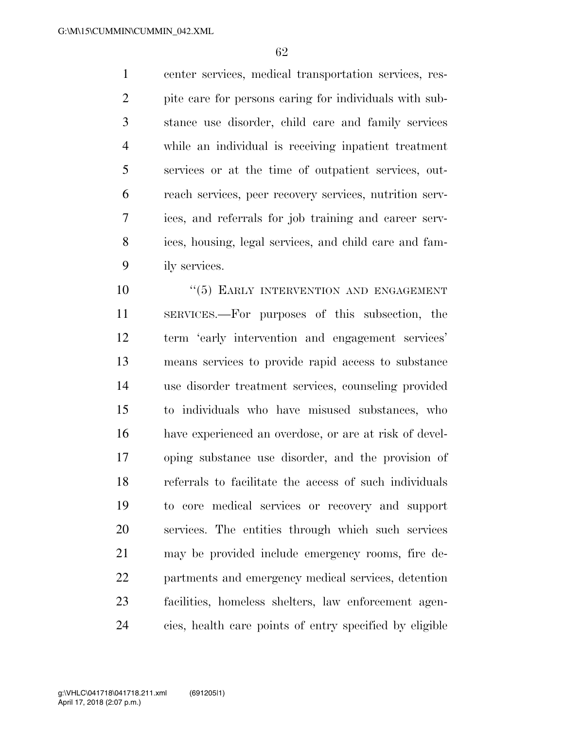center services, medical transportation services, res- pite care for persons caring for individuals with sub- stance use disorder, child care and family services while an individual is receiving inpatient treatment services or at the time of outpatient services, out- reach services, peer recovery services, nutrition serv- ices, and referrals for job training and career serv- ices, housing, legal services, and child care and fam-ily services.

 $(5)$  EARLY INTERVENTION AND ENGAGEMENT SERVICES.—For purposes of this subsection, the term 'early intervention and engagement services' means services to provide rapid access to substance use disorder treatment services, counseling provided to individuals who have misused substances, who have experienced an overdose, or are at risk of devel- oping substance use disorder, and the provision of referrals to facilitate the access of such individuals to core medical services or recovery and support services. The entities through which such services may be provided include emergency rooms, fire de- partments and emergency medical services, detention facilities, homeless shelters, law enforcement agen-cies, health care points of entry specified by eligible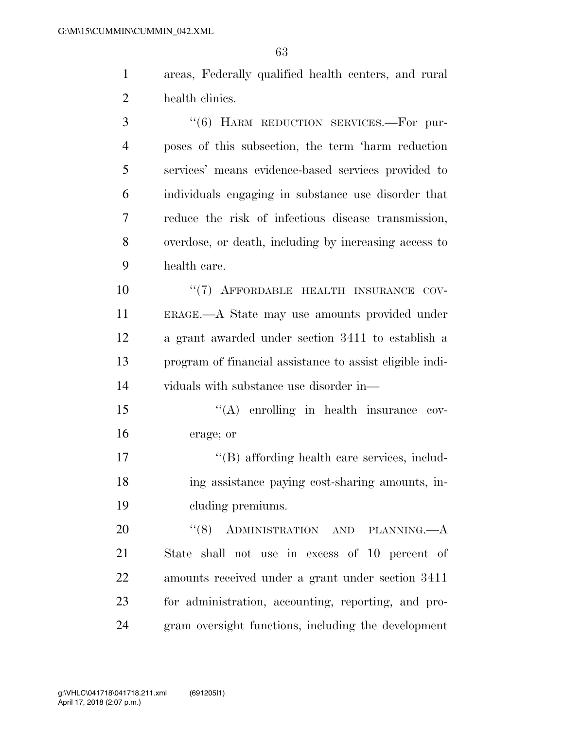- areas, Federally qualified health centers, and rural health clinics.
- ''(6) HARM REDUCTION SERVICES.—For pur- poses of this subsection, the term 'harm reduction services' means evidence-based services provided to individuals engaging in substance use disorder that reduce the risk of infectious disease transmission, overdose, or death, including by increasing access to health care. 10  $(7)$  AFFORDABLE HEALTH INSURANCE COV- ERAGE.—A State may use amounts provided under a grant awarded under section 3411 to establish a program of financial assistance to assist eligible indi-viduals with substance use disorder in—
- 15 "(A) enrolling in health insurance cov-erage; or
- 17  $\langle G \rangle$  affording health care services, includ- ing assistance paying cost-sharing amounts, in-cluding premiums.

20 "(8) ADMINISTRATION AND PLANNING.—A State shall not use in excess of 10 percent of amounts received under a grant under section 3411 for administration, accounting, reporting, and pro-gram oversight functions, including the development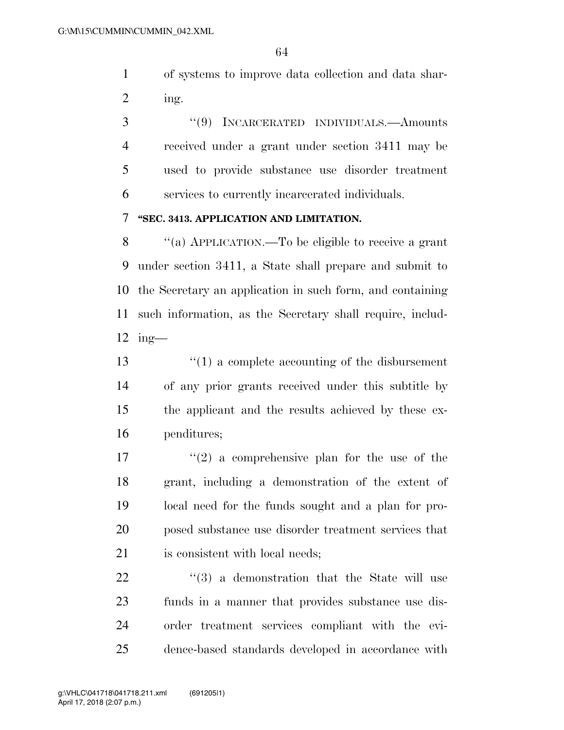of systems to improve data collection and data shar-ing.

 ''(9) INCARCERATED INDIVIDUALS.—Amounts received under a grant under section 3411 may be used to provide substance use disorder treatment services to currently incarcerated individuals.

#### **''SEC. 3413. APPLICATION AND LIMITATION.**

 ''(a) APPLICATION.—To be eligible to receive a grant under section 3411, a State shall prepare and submit to the Secretary an application in such form, and containing such information, as the Secretary shall require, includ-ing—

 ''(1) a complete accounting of the disbursement of any prior grants received under this subtitle by the applicant and the results achieved by these ex-penditures;

 $\frac{17}{2}$  a comprehensive plan for the use of the grant, including a demonstration of the extent of local need for the funds sought and a plan for pro- posed substance use disorder treatment services that is consistent with local needs;

  $(3)$  a demonstration that the State will use funds in a manner that provides substance use dis- order treatment services compliant with the evi-dence-based standards developed in accordance with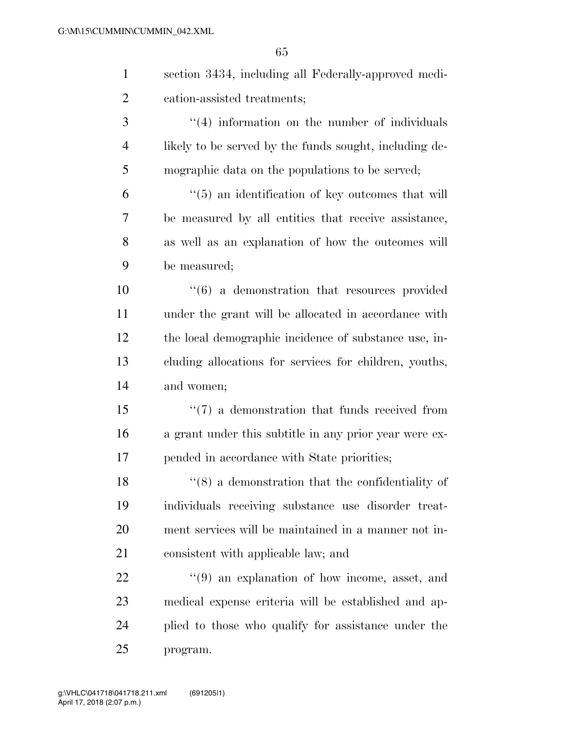| $\mathbf{1}$   | section 3434, including all Federally-approved medi-          |
|----------------|---------------------------------------------------------------|
| $\overline{2}$ | cation-assisted treatments;                                   |
| 3              | $\lq(4)$ information on the number of individuals             |
| $\overline{4}$ | likely to be served by the funds sought, including de-        |
| 5              | mographic data on the populations to be served;               |
| 6              | $\lq(5)$ an identification of key outcomes that will          |
| 7              | be measured by all entities that receive assistance,          |
| 8              | as well as an explanation of how the outcomes will            |
| 9              | be measured;                                                  |
| 10             | $\cdot\cdot\cdot(6)$ a demonstration that resources provided  |
| 11             | under the grant will be allocated in accordance with          |
| 12             | the local demographic incidence of substance use, in-         |
| 13             | cluding allocations for services for children, youths,        |
| 14             | and women;                                                    |
| 15             | $\lq(7)$ a demonstration that funds received from             |
| 16             | a grant under this subtitle in any prior year were ex-        |
| 17             | pended in accordance with State priorities;                   |
| 18             | $\cdot$ (8) a demonstration that the confidentiality of       |
| 19             | individuals receiving substance use disorder treat-           |
| 20             | ment services will be maintained in a manner not in-          |
| 21             | consistent with applicable law; and                           |
| 22             | $\cdot\cdot\cdot(9)$ an explanation of how income, asset, and |
| 23             | medical expense criteria will be established and ap-          |
| 24             | plied to those who qualify for assistance under the           |

program.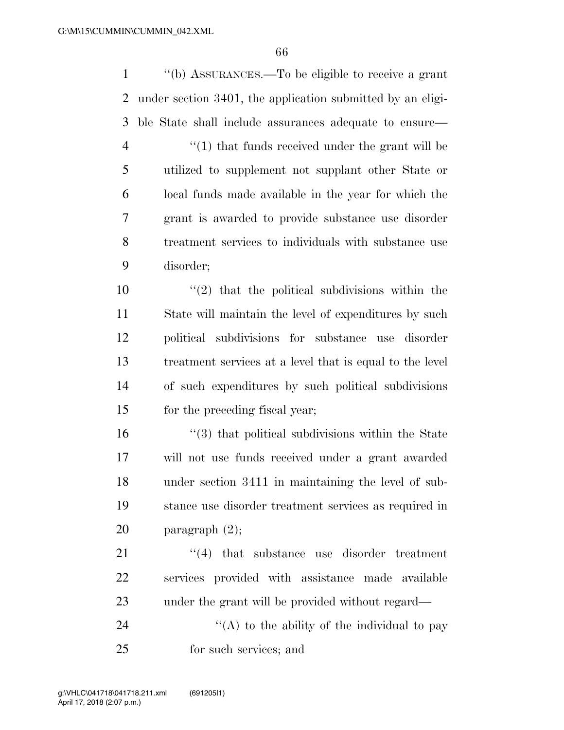''(b) ASSURANCES.—To be eligible to receive a grant under section 3401, the application submitted by an eligi- ble State shall include assurances adequate to ensure— 4 ''(1) that funds received under the grant will be utilized to supplement not supplant other State or local funds made available in the year for which the grant is awarded to provide substance use disorder treatment services to individuals with substance use disorder;  $\frac{10}{2}$  that the political subdivisions within the State will maintain the level of expenditures by such political subdivisions for substance use disorder treatment services at a level that is equal to the level of such expenditures by such political subdivisions for the preceding fiscal year; ''(3) that political subdivisions within the State will not use funds received under a grant awarded under section 3411 in maintaining the level of sub- stance use disorder treatment services as required in paragraph (2); 21 ''(4) that substance use disorder treatment services provided with assistance made available under the grant will be provided without regard—  $\langle (A)$  to the ability of the individual to pay for such services; and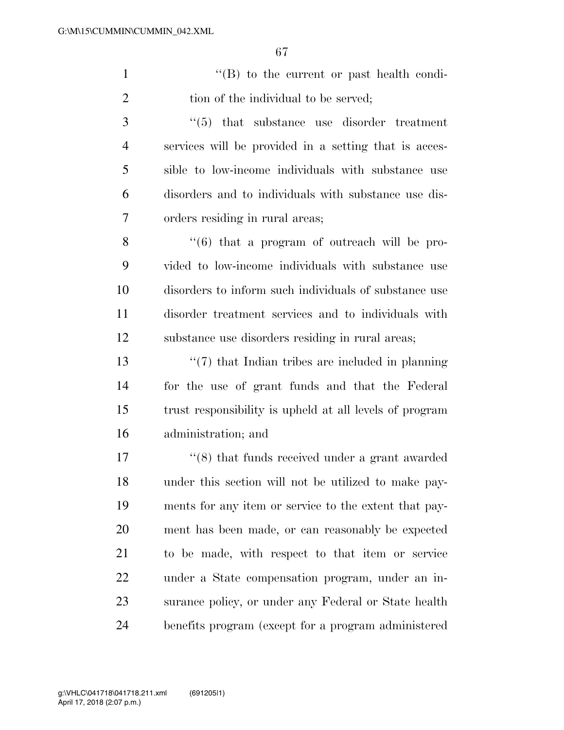1 ''(B) to the current or past health condi-2 tion of the individual to be served;

3 ''(5) that substance use disorder treatment services will be provided in a setting that is acces- sible to low-income individuals with substance use disorders and to individuals with substance use dis-orders residing in rural areas;

 ''(6) that a program of outreach will be pro- vided to low-income individuals with substance use disorders to inform such individuals of substance use disorder treatment services and to individuals with substance use disorders residing in rural areas;

 ''(7) that Indian tribes are included in planning for the use of grant funds and that the Federal trust responsibility is upheld at all levels of program administration; and

 ''(8) that funds received under a grant awarded under this section will not be utilized to make pay- ments for any item or service to the extent that pay- ment has been made, or can reasonably be expected to be made, with respect to that item or service under a State compensation program, under an in- surance policy, or under any Federal or State health benefits program (except for a program administered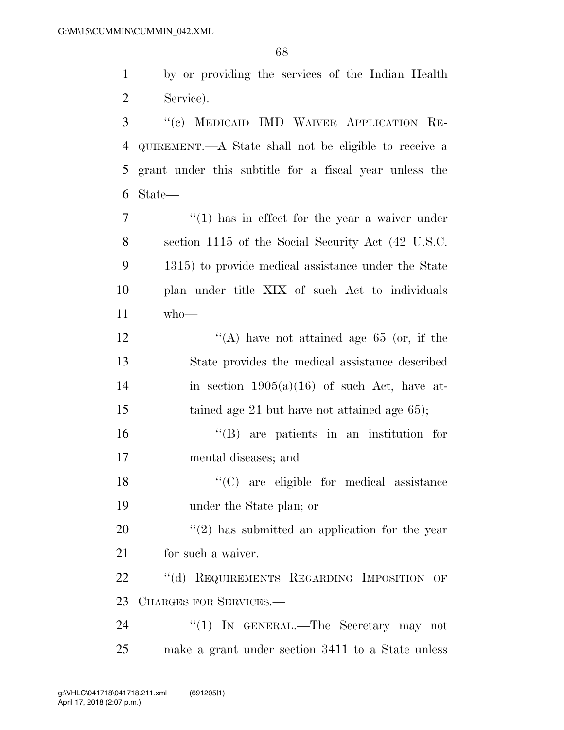by or providing the services of the Indian Health Service).

 ''(c) MEDICAID IMD WAIVER APPLICATION RE- QUIREMENT.—A State shall not be eligible to receive a grant under this subtitle for a fiscal year unless the State—

 $\frac{1}{1}$  has in effect for the year a waiver under section 1115 of the Social Security Act (42 U.S.C. 1315) to provide medical assistance under the State plan under title XIX of such Act to individuals who—

12  $\langle (A) \rangle$  have not attained age 65 (or, if the State provides the medical assistance described 14 in section  $1905(a)(16)$  of such Act, have at-15 tained age 21 but have not attained age 65);

 ''(B) are patients in an institution for mental diseases; and

18 "'(C) are eligible for medical assistance under the State plan; or

 ''(2) has submitted an application for the year for such a waiver.

22 "(d) REQUIREMENTS REGARDING IMPOSITION OF CHARGES FOR SERVICES.—

24 "(1) IN GENERAL.—The Secretary may not make a grant under section 3411 to a State unless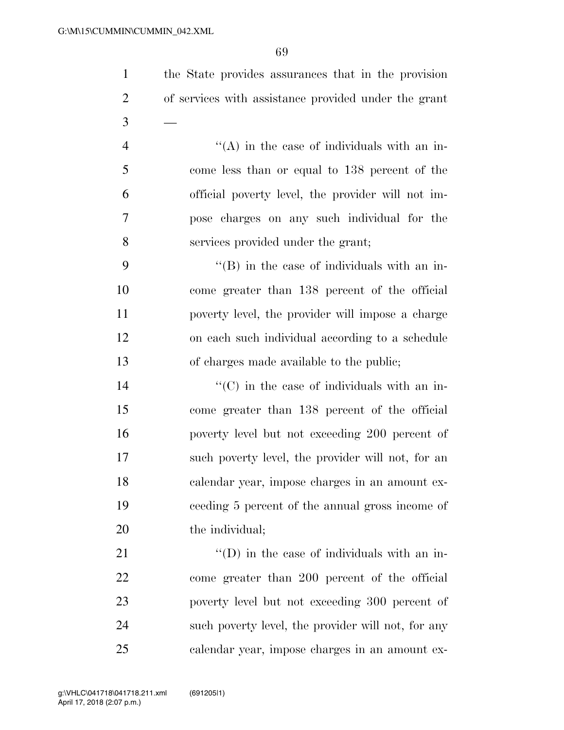| $\mathbf{1}$   | the State provides assurances that in the provision  |
|----------------|------------------------------------------------------|
| $\overline{2}$ | of services with assistance provided under the grant |
| 3              |                                                      |
| $\overline{4}$ | $\lq\lq$ in the case of individuals with an in-      |
| 5              | come less than or equal to 138 percent of the        |
| 6              | official poverty level, the provider will not im-    |
| 7              | pose charges on any such individual for the          |
| 8              | services provided under the grant;                   |
| 9              | $\lq\lq$ (B) in the case of individuals with an in-  |
| 10             | come greater than 138 percent of the official        |
| 11             | poverty level, the provider will impose a charge     |
| 12             | on each such individual according to a schedule      |
| 13             | of charges made available to the public;             |
| 14             | $\lq\lq$ (C) in the case of individuals with an in-  |
| 15             | come greater than 138 percent of the official        |
| 16             | poverty level but not exceeding 200 percent of       |
| 17             | such poverty level, the provider will not, for an    |
| 18             | calendar year, impose charges in an amount ex-       |
| 19             | ceeding 5 percent of the annual gross income of      |
| 20             | the individual;                                      |
| 21             | $\lq\lq$ (D) in the case of individuals with an in-  |
| 22             | come greater than 200 percent of the official        |
| 23             | poverty level but not exceeding 300 percent of       |
| 24             | such poverty level, the provider will not, for any   |
| 25             | calendar year, impose charges in an amount ex-       |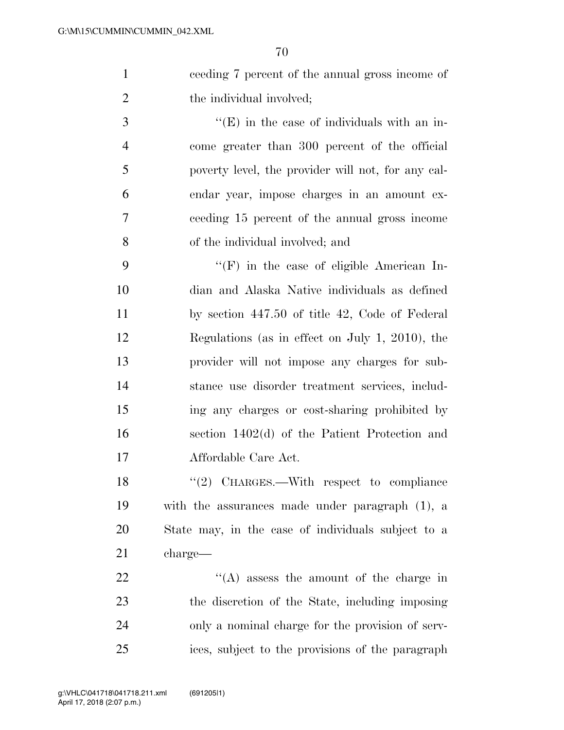ceeding 7 percent of the annual gross income of 2 the individual involved;

 $\cdot$  (E) in the case of individuals with an in- come greater than 300 percent of the official poverty level, the provider will not, for any cal- endar year, impose charges in an amount ex- ceeding 15 percent of the annual gross income of the individual involved; and

 ''(F) in the case of eligible American In- dian and Alaska Native individuals as defined by section 447.50 of title 42, Code of Federal Regulations (as in effect on July 1, 2010), the provider will not impose any charges for sub- stance use disorder treatment services, includ- ing any charges or cost-sharing prohibited by section 1402(d) of the Patient Protection and Affordable Care Act.

18 "(2) CHARGES.—With respect to compliance with the assurances made under paragraph (1), a State may, in the case of individuals subject to a charge—

 $\langle (A)$  assess the amount of the charge in the discretion of the State, including imposing only a nominal charge for the provision of serv-ices, subject to the provisions of the paragraph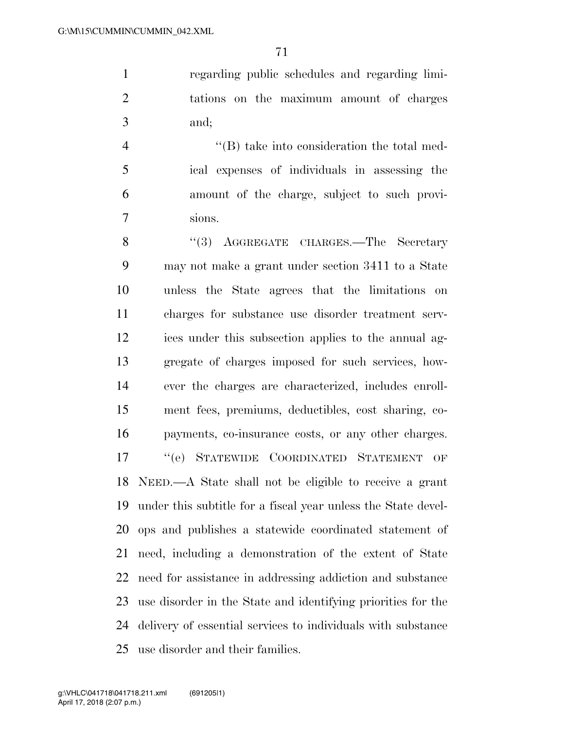regarding public schedules and regarding limi- tations on the maximum amount of charges and;

 ''(B) take into consideration the total med- ical expenses of individuals in assessing the amount of the charge, subject to such provi-sions.

8 "(3) AGGREGATE CHARGES.—The Secretary may not make a grant under section 3411 to a State unless the State agrees that the limitations on charges for substance use disorder treatment serv- ices under this subsection applies to the annual ag- gregate of charges imposed for such services, how- ever the charges are characterized, includes enroll- ment fees, premiums, deductibles, cost sharing, co- payments, co-insurance costs, or any other charges. ''(e) STATEWIDE COORDINATED STATEMENT OF NEED.—A State shall not be eligible to receive a grant under this subtitle for a fiscal year unless the State devel- ops and publishes a statewide coordinated statement of need, including a demonstration of the extent of State need for assistance in addressing addiction and substance use disorder in the State and identifying priorities for the delivery of essential services to individuals with substance use disorder and their families.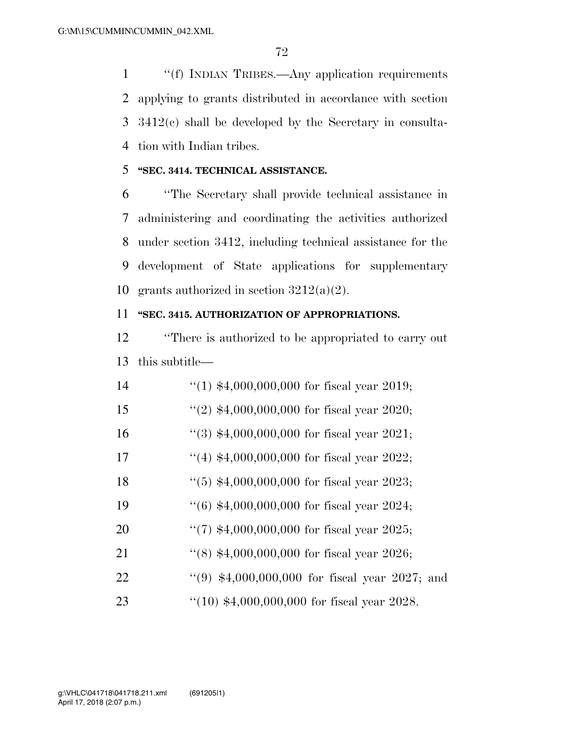''(f) INDIAN TRIBES.—Any application requirements applying to grants distributed in accordance with section 3412(c) shall be developed by the Secretary in consulta-tion with Indian tribes.

## **''SEC. 3414. TECHNICAL ASSISTANCE.**

 ''The Secretary shall provide technical assistance in administering and coordinating the activities authorized under section 3412, including technical assistance for the development of State applications for supplementary 10 grants authorized in section  $3212(a)(2)$ .

### **''SEC. 3415. AUTHORIZATION OF APPROPRIATIONS.**

 ''There is authorized to be appropriated to carry out this subtitle—

| 14 | $(1)$ \$4,000,000,000 for fiscal year 2019;     |
|----|-------------------------------------------------|
| 15 | $(2)$ \$4,000,000,000 for fiscal year 2020;     |
| 16 | "(3) $$4,000,000,000$ for fiscal year 2021;     |
| 17 | $(4)$ \$4,000,000,000 for fiscal year 2022;     |
| 18 | $(5)$ \$4,000,000,000 for fiscal year 2023;     |
| 19 | $(6)$ \$4,000,000,000 for fiscal year 2024;     |
| 20 | "(7) $$4,000,000,000$ for fiscal year 2025;     |
| 21 | $\lq(8)$ \$4,000,000,000 for fiscal year 2026;  |
| 22 | "(9) $$4,000,000,000$ for fiscal year 2027; and |
| 23 | $(10)$ \$4,000,000,000 for fiscal year 2028.    |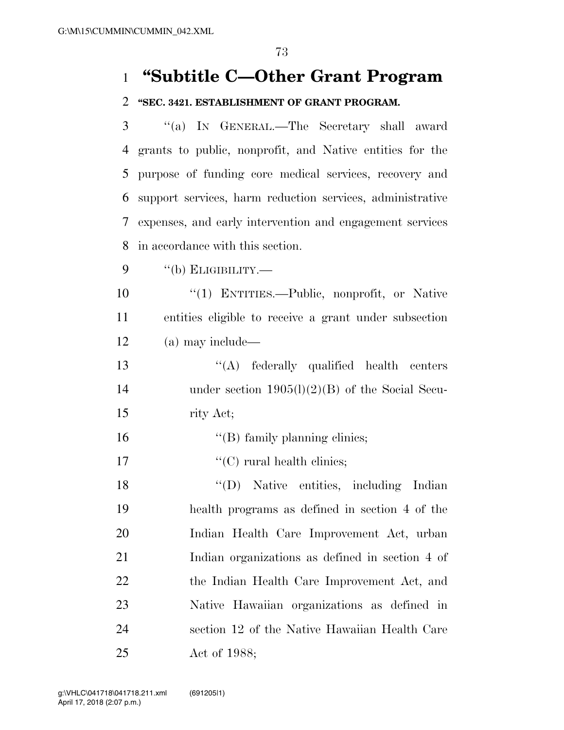# **''Subtitle C—Other Grant Program**

## **''SEC. 3421. ESTABLISHMENT OF GRANT PROGRAM.**

 ''(a) IN GENERAL.—The Secretary shall award grants to public, nonprofit, and Native entities for the purpose of funding core medical services, recovery and support services, harm reduction services, administrative expenses, and early intervention and engagement services in accordance with this section.

''(b) ELIGIBILITY.—

 ''(1) ENTITIES.—Public, nonprofit, or Native entities eligible to receive a grant under subsection (a) may include—

13 "(A) federally qualified health centers under section 1905(l)(2)(B) of the Social Secu-rity Act;

- 16  $"$ (B) family planning clinics;
- 17  $\text{``(C)}$  rural health clinics;

 ''(D) Native entities, including Indian health programs as defined in section 4 of the Indian Health Care Improvement Act, urban Indian organizations as defined in section 4 of the Indian Health Care Improvement Act, and Native Hawaiian organizations as defined in section 12 of the Native Hawaiian Health Care Act of 1988;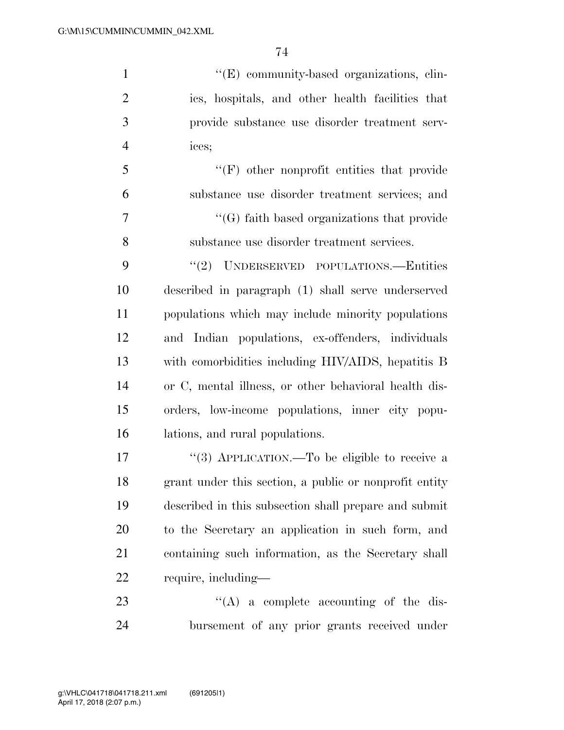$''(E)$  community-based organizations, clin- ics, hospitals, and other health facilities that provide substance use disorder treatment serv- ices; ''(F) other nonprofit entities that provide substance use disorder treatment services; and ''(G) faith based organizations that provide substance use disorder treatment services. 9 "(2) UNDERSERVED POPULATIONS.—Entities described in paragraph (1) shall serve underserved populations which may include minority populations and Indian populations, ex-offenders, individuals with comorbidities including HIV/AIDS, hepatitis B or C, mental illness, or other behavioral health dis- orders, low-income populations, inner city popu- lations, and rural populations. 17 "(3) APPLICATION.—To be eligible to receive a grant under this section, a public or nonprofit entity described in this subsection shall prepare and submit to the Secretary an application in such form, and containing such information, as the Secretary shall

require, including—

23  $\cdot$  (A) a complete accounting of the dis-bursement of any prior grants received under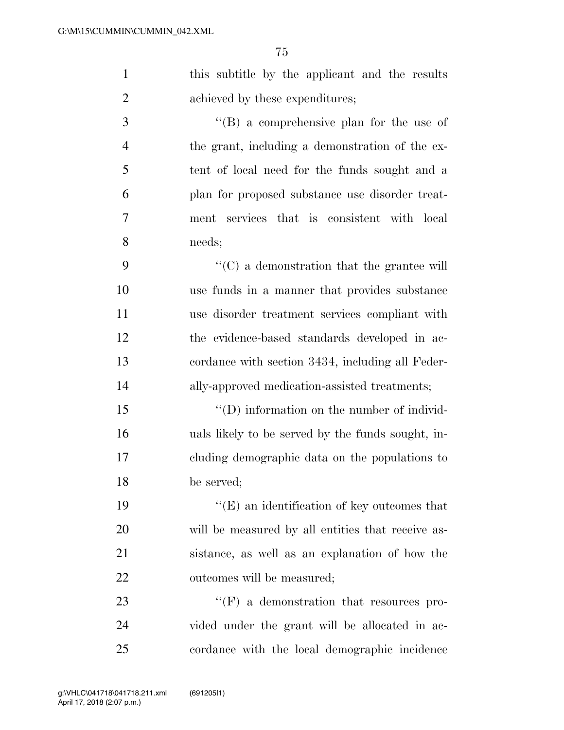| $\mathbf{1}$   | this subtitle by the applicant and the results     |
|----------------|----------------------------------------------------|
| $\overline{2}$ | achieved by these expenditures;                    |
| 3              | $\lq\lq (B)$ a comprehensive plan for the use of   |
| $\overline{4}$ | the grant, including a demonstration of the ex-    |
| 5              | tent of local need for the funds sought and a      |
| 6              | plan for proposed substance use disorder treat-    |
| 7              | ment services that is consistent with local        |
| 8              | needs;                                             |
| 9              | $\lq\lq$ (C) a demonstration that the grantee will |
| 10             | use funds in a manner that provides substance      |
| 11             | use disorder treatment services compliant with     |
| 12             | the evidence-based standards developed in ac-      |
| 13             | cordance with section 3434, including all Feder-   |
| 14             | ally-approved medication-assisted treatments;      |
| 15             | $\lq\lq$ (D) information on the number of individ- |
| 16             | uals likely to be served by the funds sought, in-  |
| 17             | cluding demographic data on the populations to     |
| 18             | be served;                                         |
| 19             | $\lq\lq(E)$ an identification of key outcomes that |
| 20             | will be measured by all entities that receive as-  |
| 21             | sistance, as well as an explanation of how the     |
| 22             | outcomes will be measured;                         |
| 23             | $\lq\lq(F)$ a demonstration that resources pro-    |
| 24             | vided under the grant will be allocated in ac-     |
| 25             | cordance with the local demographic incidence      |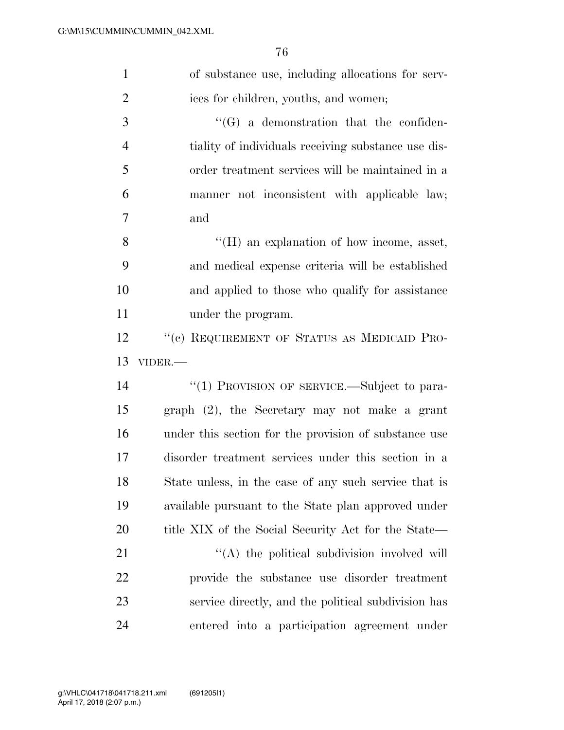| $\mathbf{1}$   | of substance use, including allocations for serv-     |
|----------------|-------------------------------------------------------|
| $\overline{2}$ | ices for children, youths, and women;                 |
| 3              | $\lq\lq (G)$ a demonstration that the confiden-       |
| $\overline{4}$ | tiality of individuals receiving substance use dis-   |
| 5              | order treatment services will be maintained in a      |
| 6              | manner not inconsistent with applicable law;          |
| 7              | and                                                   |
| 8              | $\lq\lq (H)$ an explanation of how income, asset,     |
| 9              | and medical expense criteria will be established      |
| 10             | and applied to those who qualify for assistance       |
| 11             | under the program.                                    |
| 12             | "(c) REQUIREMENT OF STATUS AS MEDICAID PRO-           |
|                |                                                       |
| 13             | VIDER.-                                               |
| 14             | "(1) PROVISION OF SERVICE.—Subject to para-           |
| 15             | graph (2), the Secretary may not make a grant         |
| 16             | under this section for the provision of substance use |
| 17             | disorder treatment services under this section in a   |
| 18             | State unless, in the case of any such service that is |
| 19             | available pursuant to the State plan approved under   |
| 20             | title XIX of the Social Security Act for the State—   |
| 21             | "(A) the political subdivision involved will          |
| 22             | provide the substance use disorder treatment          |
| 23             | service directly, and the political subdivision has   |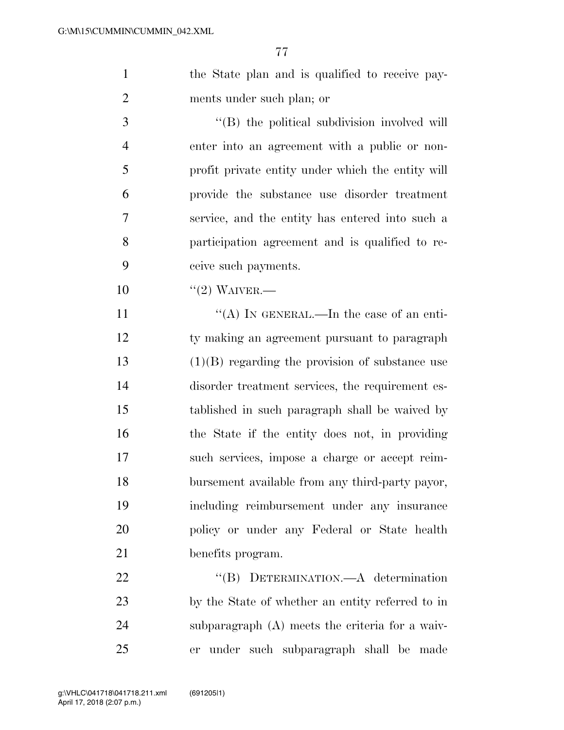1 the State plan and is qualified to receive pay-ments under such plan; or

 $\cdot$  (B) the political subdivision involved will enter into an agreement with a public or non- profit private entity under which the entity will provide the substance use disorder treatment service, and the entity has entered into such a participation agreement and is qualified to re-ceive such payments.

10 "(2) WAIVER.—

 $((A)$  In GENERAL.—In the case of an enti- ty making an agreement pursuant to paragraph (1)(B) regarding the provision of substance use disorder treatment services, the requirement es- tablished in such paragraph shall be waived by the State if the entity does not, in providing such services, impose a charge or accept reim- bursement available from any third-party payor, including reimbursement under any insurance policy or under any Federal or State health benefits program.

22 "(B) DETERMINATION.—A determination by the State of whether an entity referred to in subparagraph (A) meets the criteria for a waiv-er under such subparagraph shall be made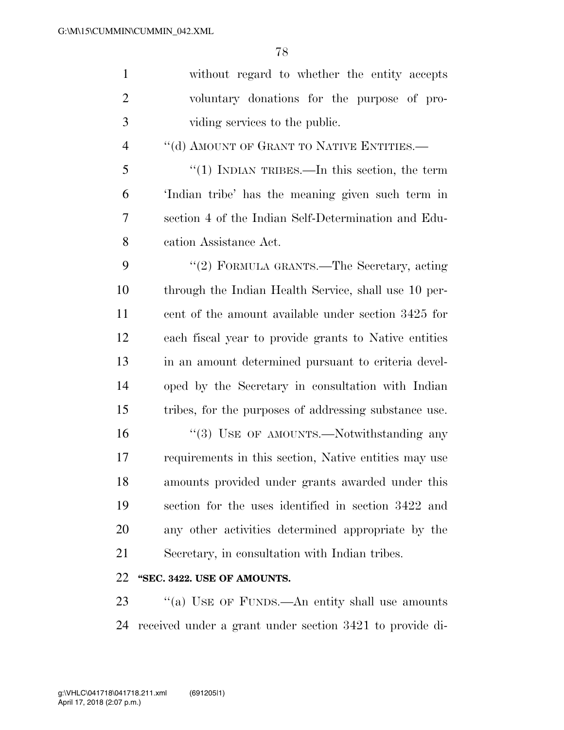| $\mathbf{1}$   | without regard to whether the entity accepts          |
|----------------|-------------------------------------------------------|
| $\overline{2}$ | voluntary donations for the purpose of pro-           |
| 3              | viding services to the public.                        |
| 4              | "(d) AMOUNT OF GRANT TO NATIVE ENTITIES.—             |
| 5              | "(1) INDIAN TRIBES.—In this section, the term         |
| 6              | 'Indian tribe' has the meaning given such term in     |
| 7              | section 4 of the Indian Self-Determination and Edu-   |
| 8              | cation Assistance Act.                                |
| 9              | "(2) FORMULA GRANTS.—The Secretary, acting            |
| 10             | through the Indian Health Service, shall use 10 per-  |
| 11             | cent of the amount available under section 3425 for   |
| 12             | each fiscal year to provide grants to Native entities |
| 13             | in an amount determined pursuant to criteria devel-   |
| 14             | oped by the Secretary in consultation with Indian     |
| 15             | tribes, for the purposes of addressing substance use. |
| 16             | "(3) USE OF AMOUNTS.—Notwithstanding any              |
| 17             | requirements in this section, Native entities may use |
| 18             | amounts provided under grants awarded under this      |
| 19             | section for the uses identified in section 3422 and   |
| 20             | any other activities determined appropriate by the    |
| 21             | Secretary, in consultation with Indian tribes.        |
| 22             | "SEC. 3422. USE OF AMOUNTS.                           |

23 "(a) USE OF FUNDS.—An entity shall use amounts received under a grant under section 3421 to provide di-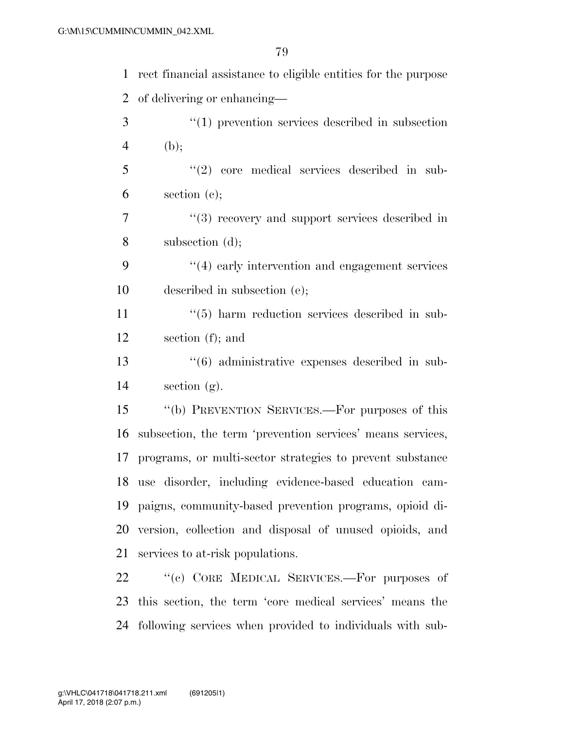| $\mathbf{1}$   | rect financial assistance to eligible entities for the purpose |
|----------------|----------------------------------------------------------------|
| 2              | of delivering or enhancing—                                    |
| 3              | $\lq(1)$ prevention services described in subsection           |
| $\overline{4}$ | (b);                                                           |
| 5              | $\lq(2)$ core medical services described in sub-               |
| 6              | section $(e)$ ;                                                |
| 7              | $(3)$ recovery and support services described in               |
| 8              | subsection $(d)$ ;                                             |
| 9              | $\cdot$ (4) early intervention and engagement services         |
| 10             | described in subsection (e);                                   |
| 11             | $\cdot\cdot$ (5) harm reduction services described in sub-     |
| 12             | section $(f)$ ; and                                            |
| 13             | $\cdot\cdot\cdot(6)$ administrative expenses described in sub- |
| 14             | section $(g)$ .                                                |
| 15             | "(b) PREVENTION SERVICES.—For purposes of this                 |
| 16             | subsection, the term 'prevention services' means services,     |
| 17             | programs, or multi-sector strategies to prevent substance      |
|                | 18 use disorder, including evidence-based education cam-       |
| 19             | paigns, community-based prevention programs, opioid di-        |
| 20             | version, collection and disposal of unused opioids, and        |
| 21             | services to at-risk populations.                               |
| 22             | "(c) CORE MEDICAL SERVICES.—For purposes of                    |
| 23             | this section, the term 'core medical services' means the       |
| 24             | following services when provided to individuals with sub-      |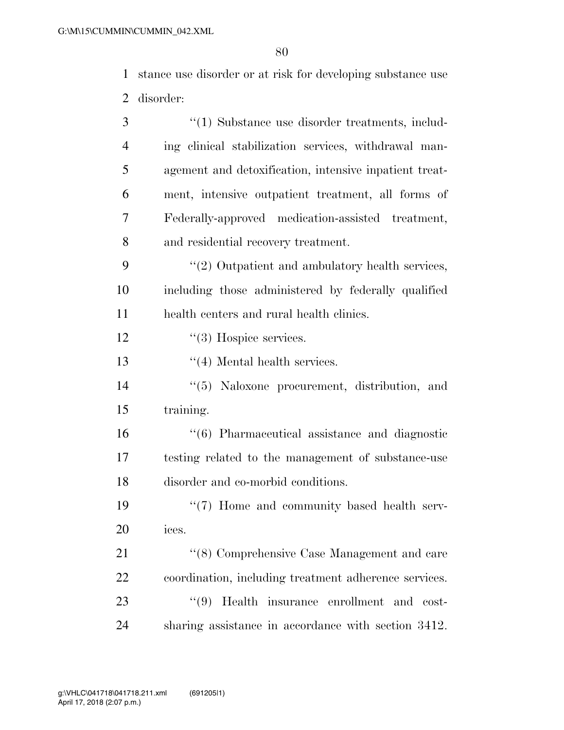stance use disorder or at risk for developing substance use disorder:

| 3              | $\cdot\cdot\cdot(1)$ Substance use disorder treatments, includ- |
|----------------|-----------------------------------------------------------------|
| $\overline{4}$ | ing clinical stabilization services, withdrawal man-            |
| 5              | agement and detoxification, intensive inpatient treat-          |
| 6              | ment, intensive outpatient treatment, all forms of              |
| 7              | Federally-approved medication-assisted treatment,               |
| 8              | and residential recovery treatment.                             |
| 9              | $\lq(2)$ Outpatient and ambulatory health services,             |
| 10             | including those administered by federally qualified             |
| 11             | health centers and rural health clinics.                        |
| 12             | $\lq(3)$ Hospice services.                                      |
| 13             | $\lq(4)$ Mental health services.                                |
| 14             | "(5) Naloxone procurement, distribution, and                    |
| 15             | training.                                                       |
| 16             | $\cdot\cdot$ (6) Pharmaceutical assistance and diagnostic       |
| 17             | testing related to the management of substance-use              |
| 18             | disorder and co-morbid conditions.                              |
| 19             | $\lq(7)$ Home and community based health serv-                  |
| 20             | ices.                                                           |
| 21             | "(8) Comprehensive Case Management and care                     |
| 22             | coordination, including treatment adherence services.           |
| 23             | (9)<br>Health insurance enrollment and cost-                    |
| 24             | sharing assistance in accordance with section 3412.             |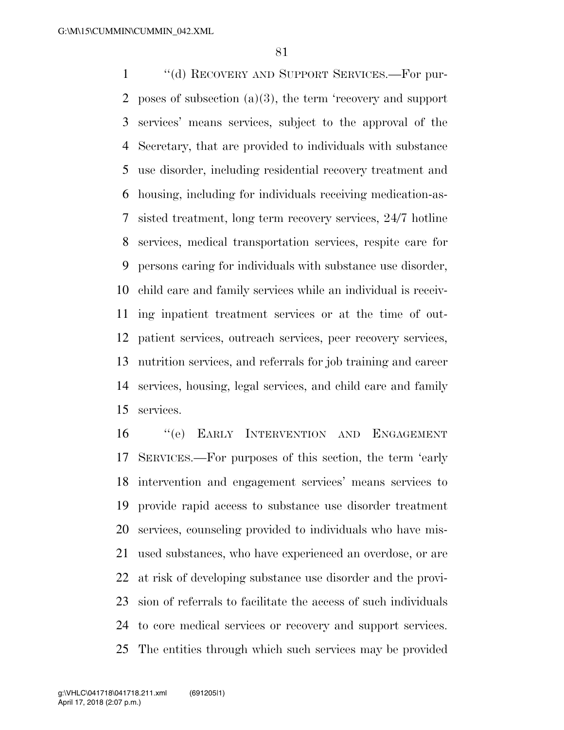''(d) RECOVERY AND SUPPORT SERVICES.—For pur- poses of subsection (a)(3), the term 'recovery and support services' means services, subject to the approval of the Secretary, that are provided to individuals with substance use disorder, including residential recovery treatment and housing, including for individuals receiving medication-as- sisted treatment, long term recovery services, 24/7 hotline services, medical transportation services, respite care for persons caring for individuals with substance use disorder, child care and family services while an individual is receiv- ing inpatient treatment services or at the time of out- patient services, outreach services, peer recovery services, nutrition services, and referrals for job training and career services, housing, legal services, and child care and family services.

 ''(e) EARLY INTERVENTION AND ENGAGEMENT SERVICES.—For purposes of this section, the term 'early intervention and engagement services' means services to provide rapid access to substance use disorder treatment services, counseling provided to individuals who have mis- used substances, who have experienced an overdose, or are at risk of developing substance use disorder and the provi- sion of referrals to facilitate the access of such individuals to core medical services or recovery and support services. The entities through which such services may be provided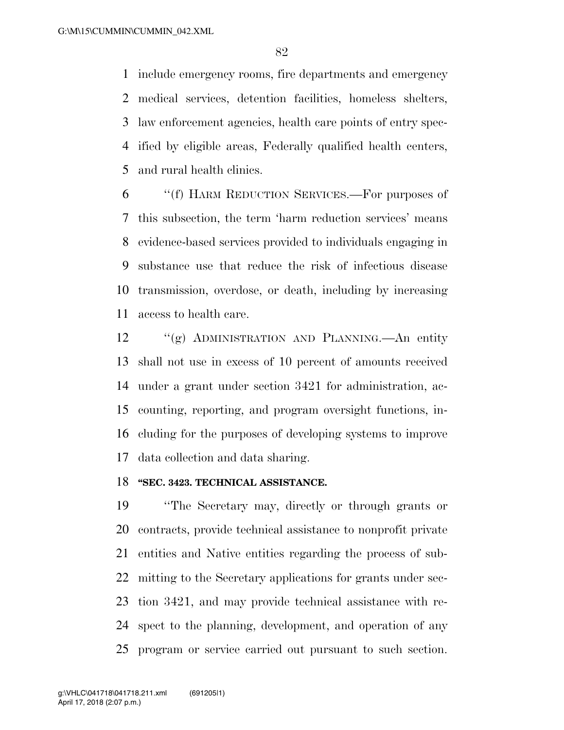include emergency rooms, fire departments and emergency medical services, detention facilities, homeless shelters, law enforcement agencies, health care points of entry spec- ified by eligible areas, Federally qualified health centers, and rural health clinics.

 ''(f) HARM REDUCTION SERVICES.—For purposes of this subsection, the term 'harm reduction services' means evidence-based services provided to individuals engaging in substance use that reduce the risk of infectious disease transmission, overdose, or death, including by increasing access to health care.

 ''(g) ADMINISTRATION AND PLANNING.—An entity shall not use in excess of 10 percent of amounts received under a grant under section 3421 for administration, ac- counting, reporting, and program oversight functions, in- cluding for the purposes of developing systems to improve data collection and data sharing.

### **''SEC. 3423. TECHNICAL ASSISTANCE.**

 ''The Secretary may, directly or through grants or contracts, provide technical assistance to nonprofit private entities and Native entities regarding the process of sub- mitting to the Secretary applications for grants under sec- tion 3421, and may provide technical assistance with re- spect to the planning, development, and operation of any program or service carried out pursuant to such section.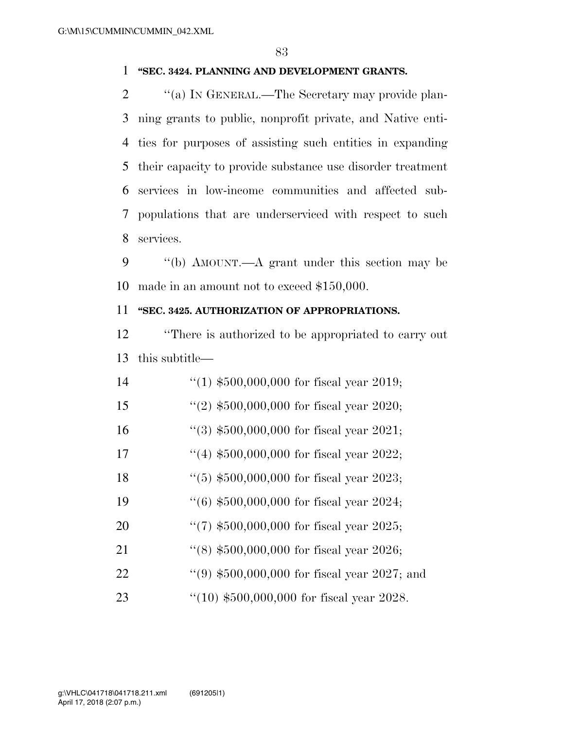#### **''SEC. 3424. PLANNING AND DEVELOPMENT GRANTS.**

 $\langle$  (a) IN GENERAL.—The Secretary may provide plan- ning grants to public, nonprofit private, and Native enti- ties for purposes of assisting such entities in expanding their capacity to provide substance use disorder treatment services in low-income communities and affected sub- populations that are underserviced with respect to such services.

9 "(b) AMOUNT.—A grant under this section may be made in an amount not to exceed \$150,000.

# **''SEC. 3425. AUTHORIZATION OF APPROPRIATIONS.**

 ''There is authorized to be appropriated to carry out this subtitle—

| 14 | $(1)$ \$500,000,000 for fiscal year 2019;     |
|----|-----------------------------------------------|
| 15 | "(2) $$500,000,000$ for fiscal year 2020;     |
| 16 | $(3)$ \$500,000,000 for fiscal year 2021;     |
| 17 | $(4)$ \$500,000,000 for fiscal year 2022;     |
| 18 | $(5)$ \$500,000,000 for fiscal year 2023;     |
| 19 | $(6)$ \$500,000,000 for fiscal year 2024;     |
| 20 | "(7) $$500,000,000$ for fiscal year 2025;     |
| 21 | "(8) $$500,000,000$ for fiscal year 2026;     |
| 22 | $(9)$ \$500,000,000 for fiscal year 2027; and |
| 23 | "(10) $$500,000,000$ for fiscal year 2028.    |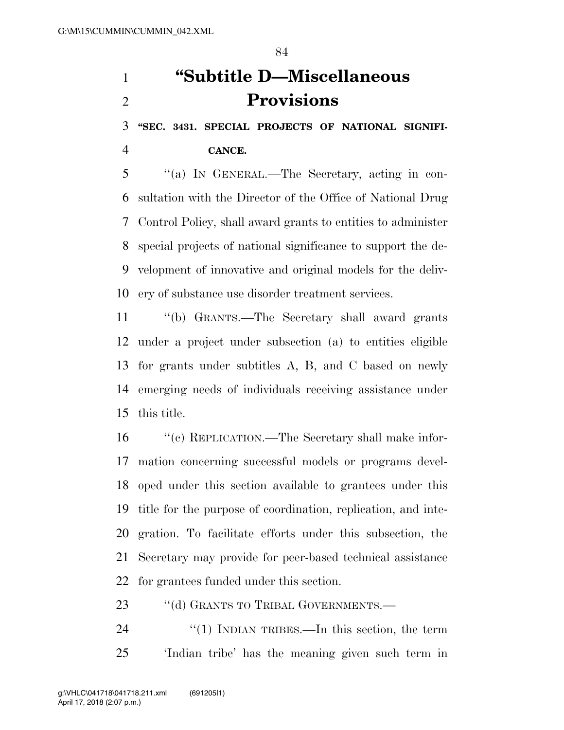**''SEC. 3431. SPECIAL PROJECTS OF NATIONAL SIGNIFI-**

**CANCE.** 

 ''(a) IN GENERAL.—The Secretary, acting in con- sultation with the Director of the Office of National Drug Control Policy, shall award grants to entities to administer special projects of national significance to support the de- velopment of innovative and original models for the deliv-ery of substance use disorder treatment services.

 ''(b) GRANTS.—The Secretary shall award grants under a project under subsection (a) to entities eligible for grants under subtitles A, B, and C based on newly emerging needs of individuals receiving assistance under this title.

 ''(c) REPLICATION.—The Secretary shall make infor- mation concerning successful models or programs devel- oped under this section available to grantees under this title for the purpose of coordination, replication, and inte- gration. To facilitate efforts under this subsection, the Secretary may provide for peer-based technical assistance for grantees funded under this section.

23 "(d) GRANTS TO TRIBAL GOVERNMENTS.—

24 "(1) INDIAN TRIBES.—In this section, the term 'Indian tribe' has the meaning given such term in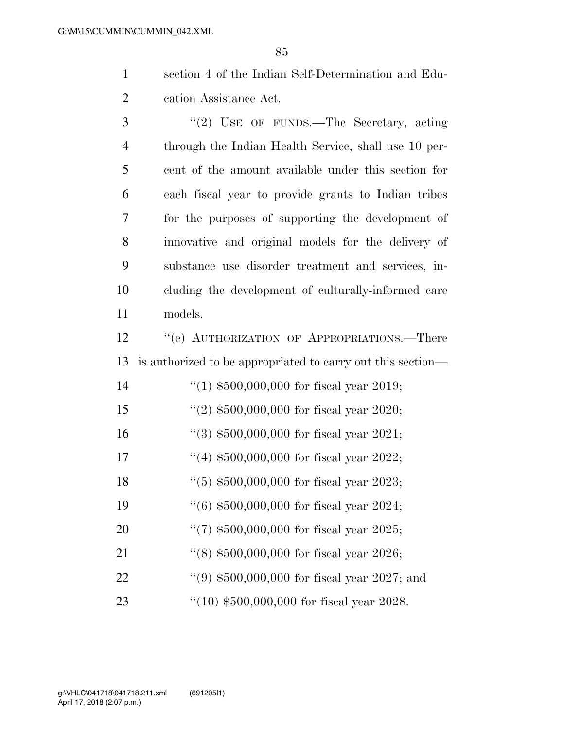section 4 of the Indian Self-Determination and Edu-cation Assistance Act.

3 "(2) USE OF FUNDS.—The Secretary, acting through the Indian Health Service, shall use 10 per- cent of the amount available under this section for each fiscal year to provide grants to Indian tribes for the purposes of supporting the development of innovative and original models for the delivery of substance use disorder treatment and services, in- cluding the development of culturally-informed care models.

12 "(e) AUTHORIZATION OF APPROPRIATIONS.—There is authorized to be appropriated to carry out this section—

| 14 | $(1)$ \$500,000,000 for fiscal year 2019;     |
|----|-----------------------------------------------|
| 15 | $(2)$ \$500,000,000 for fiscal year 2020;     |
| 16 | $(3)$ \$500,000,000 for fiscal year 2021;     |
| 17 | $(4)$ \$500,000,000 for fiscal year 2022;     |
| 18 | $(5)$ \$500,000,000 for fiscal year 2023;     |
| 19 | $(6)$ \$500,000,000 for fiscal year 2024;     |
| 20 | "(7) $$500,000,000$ for fiscal year 2025;     |
| 21 | $(18)$ \$500,000,000 for fiscal year 2026;    |
| 22 | $(9)$ \$500,000,000 for fiscal year 2027; and |
| 23 | $(10)$ \$500,000,000 for fiscal year 2028.    |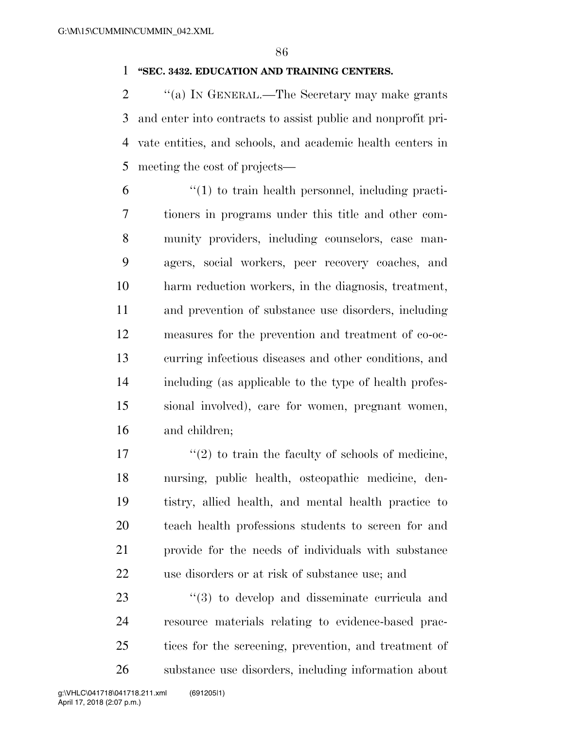### **''SEC. 3432. EDUCATION AND TRAINING CENTERS.**

2 "(a) IN GENERAL.—The Secretary may make grants and enter into contracts to assist public and nonprofit pri- vate entities, and schools, and academic health centers in meeting the cost of projects—

 ''(1) to train health personnel, including practi- tioners in programs under this title and other com- munity providers, including counselors, case man- agers, social workers, peer recovery coaches, and harm reduction workers, in the diagnosis, treatment, and prevention of substance use disorders, including measures for the prevention and treatment of co-oc- curring infectious diseases and other conditions, and including (as applicable to the type of health profes- sional involved), care for women, pregnant women, and children;

 $\frac{17}{2}$  ''(2) to train the faculty of schools of medicine, nursing, public health, osteopathic medicine, den- tistry, allied health, and mental health practice to teach health professions students to screen for and provide for the needs of individuals with substance use disorders or at risk of substance use; and

 $\frac{1}{2}$  (3) to develop and disseminate curricula and resource materials relating to evidence-based prac- tices for the screening, prevention, and treatment of substance use disorders, including information about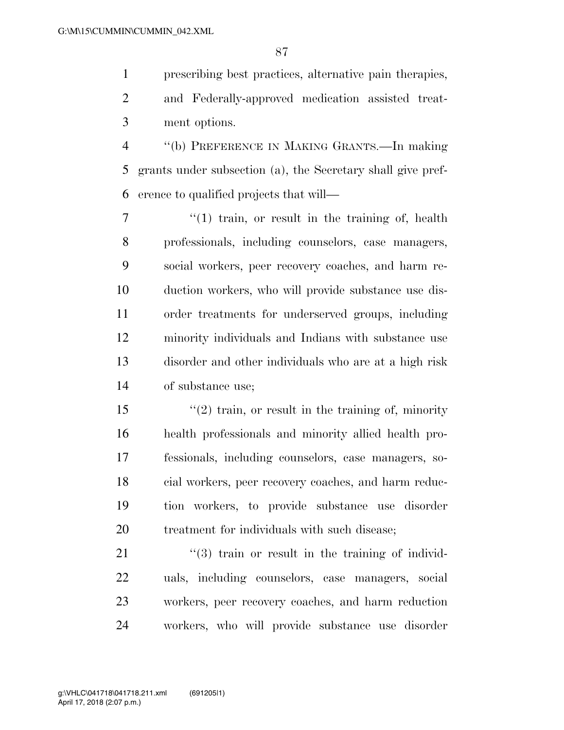prescribing best practices, alternative pain therapies, and Federally-approved medication assisted treat-ment options.

 ''(b) PREFERENCE IN MAKING GRANTS.—In making grants under subsection (a), the Secretary shall give pref-erence to qualified projects that will—

7 "(1) train, or result in the training of, health professionals, including counselors, case managers, social workers, peer recovery coaches, and harm re- duction workers, who will provide substance use dis- order treatments for underserved groups, including minority individuals and Indians with substance use disorder and other individuals who are at a high risk of substance use;

 ''(2) train, or result in the training of, minority health professionals and minority allied health pro- fessionals, including counselors, case managers, so- cial workers, peer recovery coaches, and harm reduc- tion workers, to provide substance use disorder 20 treatment for individuals with such disease:

21 ''(3) train or result in the training of individ- uals, including counselors, case managers, social workers, peer recovery coaches, and harm reduction workers, who will provide substance use disorder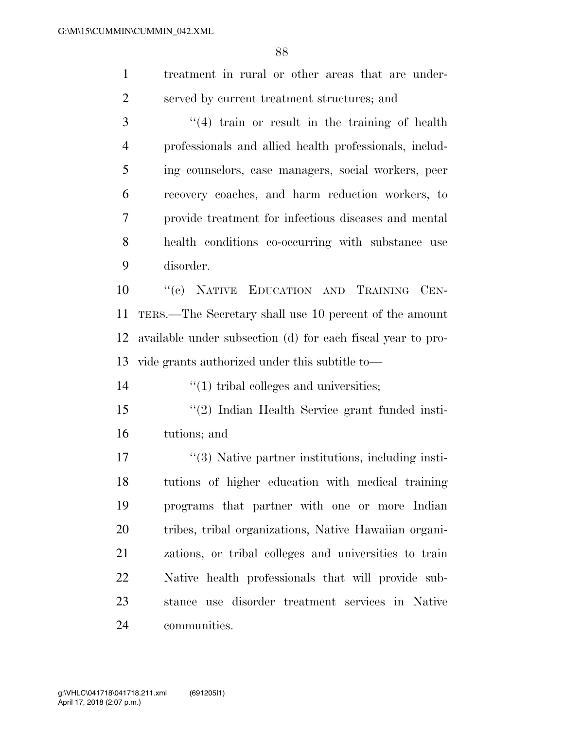treatment in rural or other areas that are under-served by current treatment structures; and

 ''(4) train or result in the training of health professionals and allied health professionals, includ- ing counselors, case managers, social workers, peer recovery coaches, and harm reduction workers, to provide treatment for infectious diseases and mental health conditions co-occurring with substance use disorder.

 ''(c) NATIVE EDUCATION AND TRAINING CEN- TERS.—The Secretary shall use 10 percent of the amount available under subsection (d) for each fiscal year to pro-vide grants authorized under this subtitle to—

14  $\frac{1}{2}$  (1) tribal colleges and universities;

 ''(2) Indian Health Service grant funded insti-tutions; and

17 ''(3) Native partner institutions, including insti- tutions of higher education with medical training programs that partner with one or more Indian tribes, tribal organizations, Native Hawaiian organi- zations, or tribal colleges and universities to train Native health professionals that will provide sub- stance use disorder treatment services in Native communities.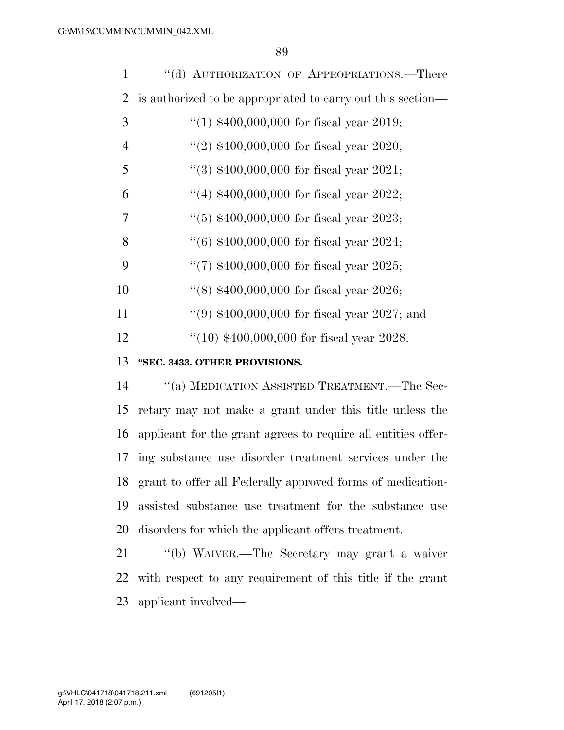| 1              | "(d) AUTHORIZATION OF APPROPRIATIONS.—There                 |
|----------------|-------------------------------------------------------------|
| 2              | is authorized to be appropriated to carry out this section— |
| 3              | "(1) $$400,000,000$ for fiscal year 2019;                   |
| $\overline{4}$ | "(2) $$400,000,000$ for fiscal year 2020;                   |
| 5              | "(3) $$400,000,000$ for fiscal year 2021;                   |
| 6              | "(4) $$400,000,000$ for fiscal year 2022;                   |
| 7              | $(5)$ \$400,000,000 for fiscal year 2023;                   |
| 8              | $(6)$ \$400,000,000 for fiscal year 2024;                   |
| 9              | "(7) $$400,000,000$ for fiscal year 2025;                   |
| 10             | "(8) $$400,000,000$ for fiscal year 2026;                   |
| 11             | "(9) $$400,000,000$ for fiscal year 2027; and               |
| 12             | $(10)$ \$400,000,000 for fiscal year 2028.                  |
| 13             | "SEC. 3433. OTHER PROVISIONS.                               |

 ''(a) MEDICATION ASSISTED TREATMENT.—The Sec- retary may not make a grant under this title unless the applicant for the grant agrees to require all entities offer- ing substance use disorder treatment services under the grant to offer all Federally approved forms of medication- assisted substance use treatment for the substance use disorders for which the applicant offers treatment.

 ''(b) WAIVER.—The Secretary may grant a waiver with respect to any requirement of this title if the grant applicant involved—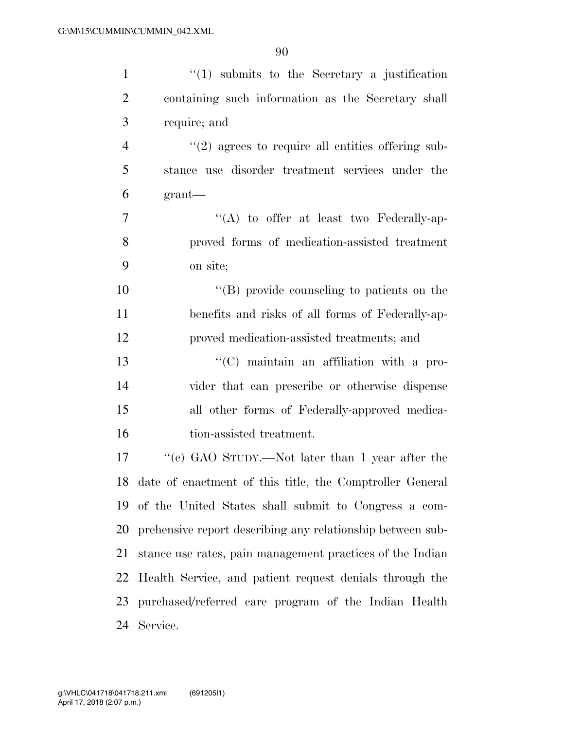| $\mathbf{1}$   | $\lq(1)$ submits to the Secretary a justification           |
|----------------|-------------------------------------------------------------|
| $\overline{2}$ | containing such information as the Secretary shall          |
| 3              | require; and                                                |
| $\overline{4}$ | $\lq(2)$ agrees to require all entities offering sub-       |
| 5              | stance use disorder treatment services under the            |
| 6              | grant                                                       |
| 7              | $\lq\lq$ to offer at least two Federally-ap-                |
| 8              | proved forms of medication-assisted treatment               |
| 9              | on site;                                                    |
| 10             | "(B) provide counseling to patients on the                  |
| 11             | benefits and risks of all forms of Federally-ap-            |
| 12             | proved medication-assisted treatments; and                  |
| 13             | $\lq\lq$ maintain an affiliation with a pro-                |
| 14             | vider that can prescribe or otherwise dispense              |
| 15             | all other forms of Federally-approved medica-               |
| 16             | tion-assisted treatment.                                    |
| 17             | "(c) GAO STUDY.—Not later than 1 year after the             |
|                | 18 date of enactment of this title, the Comptroller General |
| 19             | of the United States shall submit to Congress a com-        |
| 20             | prehensive report describing any relationship between sub-  |
| 21             | stance use rates, pain management practices of the Indian   |
| 22             | Health Service, and patient request denials through the     |
| 23             | purchased/referred care program of the Indian Health        |
| 24             | Service.                                                    |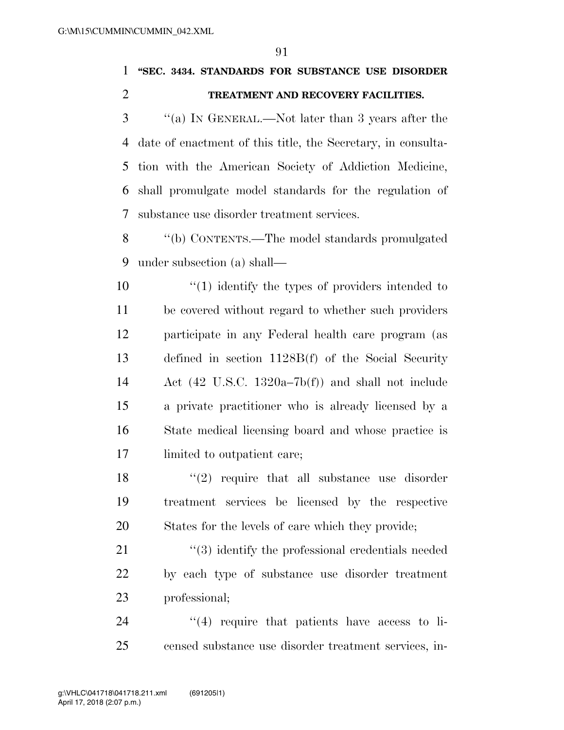**''SEC. 3434. STANDARDS FOR SUBSTANCE USE DISORDER TREATMENT AND RECOVERY FACILITIES.** 

 ''(a) IN GENERAL.—Not later than 3 years after the date of enactment of this title, the Secretary, in consulta- tion with the American Society of Addiction Medicine, shall promulgate model standards for the regulation of substance use disorder treatment services.

 ''(b) CONTENTS.—The model standards promulgated under subsection (a) shall—

 $\frac{10}{10}$  identify the types of providers intended to be covered without regard to whether such providers participate in any Federal health care program (as defined in section 1128B(f) of the Social Security Act (42 U.S.C. 1320a–7b(f)) and shall not include a private practitioner who is already licensed by a State medical licensing board and whose practice is limited to outpatient care;

 $\frac{18}{2}$  ''(2) require that all substance use disorder treatment services be licensed by the respective States for the levels of care which they provide;

21 ''(3) identify the professional credentials needed by each type of substance use disorder treatment professional;

24  $(4)$  require that patients have access to li-censed substance use disorder treatment services, in-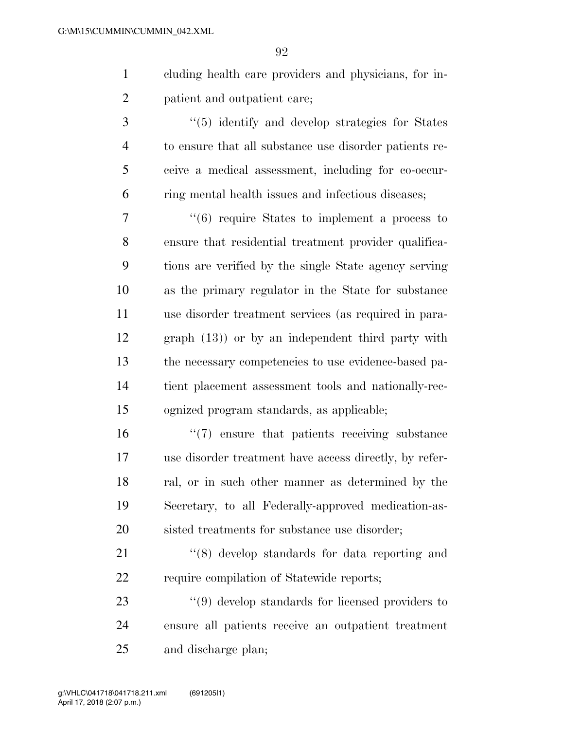- cluding health care providers and physicians, for in-patient and outpatient care;
- 3 (5) identify and develop strategies for States to ensure that all substance use disorder patients re- ceive a medical assessment, including for co-occur-ring mental health issues and infectious diseases;

 ''(6) require States to implement a process to ensure that residential treatment provider qualifica- tions are verified by the single State agency serving as the primary regulator in the State for substance use disorder treatment services (as required in para- graph (13)) or by an independent third party with the necessary competencies to use evidence-based pa- tient placement assessment tools and nationally-rec-ognized program standards, as applicable;

 ''(7) ensure that patients receiving substance use disorder treatment have access directly, by refer- ral, or in such other manner as determined by the Secretary, to all Federally-approved medication-as-20 sisted treatments for substance use disorder:

21 ''(8) develop standards for data reporting and 22 require compilation of Statewide reports;

23 ''(9) develop standards for licensed providers to ensure all patients receive an outpatient treatment and discharge plan;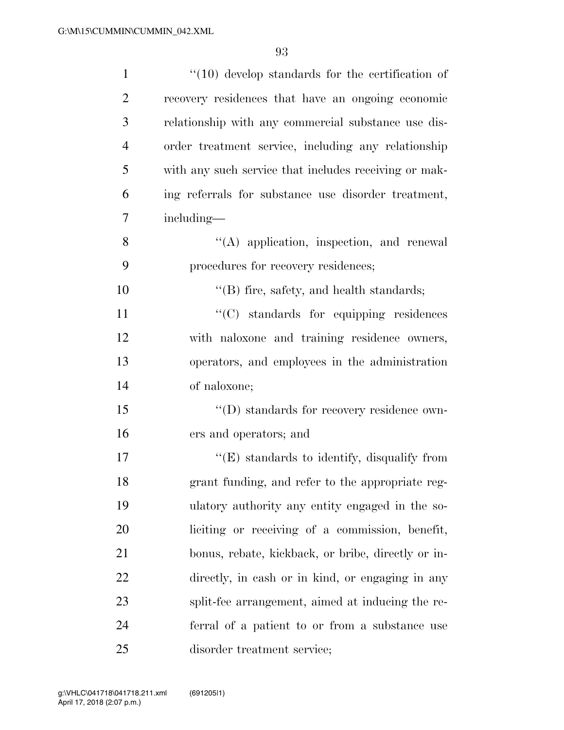| $\mathbf{1}$   | $\lq(10)$ develop standards for the certification of  |
|----------------|-------------------------------------------------------|
| $\overline{2}$ | recovery residences that have an ongoing economic     |
| 3              | relationship with any commercial substance use dis-   |
| $\overline{4}$ | order treatment service, including any relationship   |
| 5              | with any such service that includes receiving or mak- |
| 6              | ing referrals for substance use disorder treatment,   |
| 7              | including—                                            |
| 8              | $\lq\lq$ application, inspection, and renewal         |
| 9              | procedures for recovery residences;                   |
| 10             | $\lq\lq$ fire, safety, and health standards;          |
| 11             | "(C) standards for equipping residences               |
| 12             | with naloxone and training residence owners,          |
| 13             | operators, and employees in the administration        |
| 14             | of naloxone;                                          |
| 15             | $\lq\lq$ ) standards for recovery residence own-      |
| 16             | ers and operators; and                                |
| 17             | $\lq\lq(E)$ standards to identify, disqualify from    |
| 18             | grant funding, and refer to the appropriate reg-      |
| 19             | ulatory authority any entity engaged in the so-       |
| 20             | liciting or receiving of a commission, benefit,       |
| 21             | bonus, rebate, kickback, or bribe, directly or in-    |
| 22             | directly, in cash or in kind, or engaging in any      |
| 23             | split-fee arrangement, aimed at inducing the re-      |
| 24             | ferral of a patient to or from a substance use        |
| 25             | disorder treatment service;                           |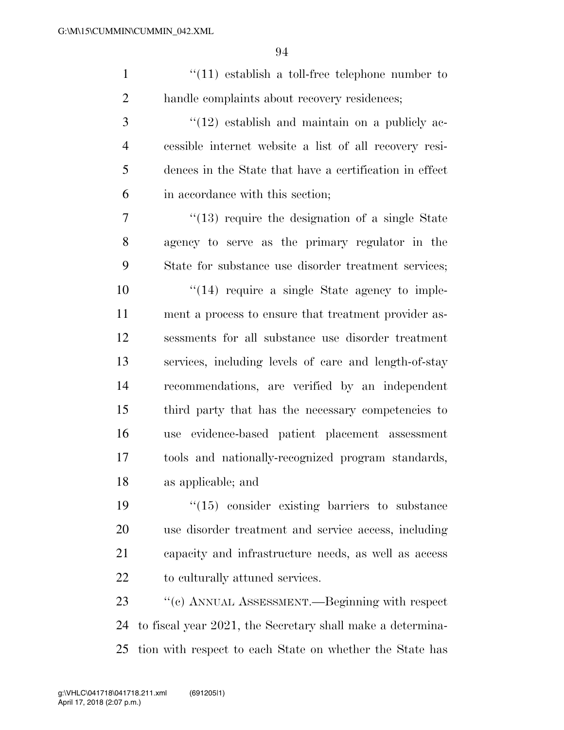1 ''(11) establish a toll-free telephone number to handle complaints about recovery residences;

 ''(12) establish and maintain on a publicly ac- cessible internet website a list of all recovery resi- dences in the State that have a certification in effect in accordance with this section;

7 ''(13) require the designation of a single State agency to serve as the primary regulator in the State for substance use disorder treatment services;

 $\frac{1}{2}$  (14) require a single State agency to imple- ment a process to ensure that treatment provider as- sessments for all substance use disorder treatment services, including levels of care and length-of-stay recommendations, are verified by an independent third party that has the necessary competencies to use evidence-based patient placement assessment tools and nationally-recognized program standards, as applicable; and

 $\frac{1}{2}$  (15) consider existing barriers to substance use disorder treatment and service access, including capacity and infrastructure needs, as well as access to culturally attuned services.

 ''(c) ANNUAL ASSESSMENT.—Beginning with respect to fiscal year 2021, the Secretary shall make a determina-tion with respect to each State on whether the State has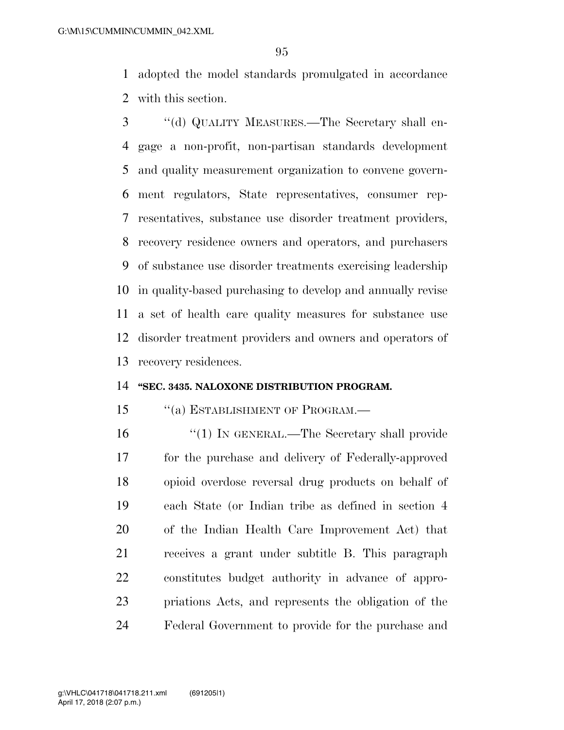adopted the model standards promulgated in accordance with this section.

 ''(d) QUALITY MEASURES.—The Secretary shall en- gage a non-profit, non-partisan standards development and quality measurement organization to convene govern- ment regulators, State representatives, consumer rep- resentatives, substance use disorder treatment providers, recovery residence owners and operators, and purchasers of substance use disorder treatments exercising leadership in quality-based purchasing to develop and annually revise a set of health care quality measures for substance use disorder treatment providers and owners and operators of recovery residences.

## **''SEC. 3435. NALOXONE DISTRIBUTION PROGRAM.**

## 15 "(a) ESTABLISHMENT OF PROGRAM.—

 ''(1) IN GENERAL.—The Secretary shall provide for the purchase and delivery of Federally-approved opioid overdose reversal drug products on behalf of each State (or Indian tribe as defined in section 4 of the Indian Health Care Improvement Act) that receives a grant under subtitle B. This paragraph constitutes budget authority in advance of appro- priations Acts, and represents the obligation of the Federal Government to provide for the purchase and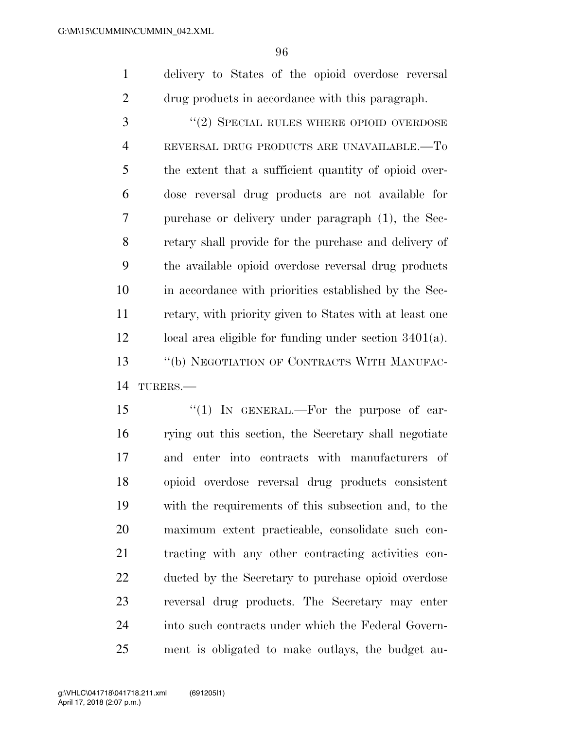delivery to States of the opioid overdose reversal drug products in accordance with this paragraph.

3 "(2) SPECIAL RULES WHERE OPIOID OVERDOSE REVERSAL DRUG PRODUCTS ARE UNAVAILABLE.—To the extent that a sufficient quantity of opioid over- dose reversal drug products are not available for purchase or delivery under paragraph (1), the Sec- retary shall provide for the purchase and delivery of the available opioid overdose reversal drug products in accordance with priorities established by the Sec- retary, with priority given to States with at least one local area eligible for funding under section 3401(a). ''(b) NEGOTIATION OF CONTRACTS WITH MANUFAC-TURERS.—

15 "(1) In GENERAL.—For the purpose of car- rying out this section, the Secretary shall negotiate and enter into contracts with manufacturers of opioid overdose reversal drug products consistent with the requirements of this subsection and, to the maximum extent practicable, consolidate such con- tracting with any other contracting activities con- ducted by the Secretary to purchase opioid overdose reversal drug products. The Secretary may enter into such contracts under which the Federal Govern-ment is obligated to make outlays, the budget au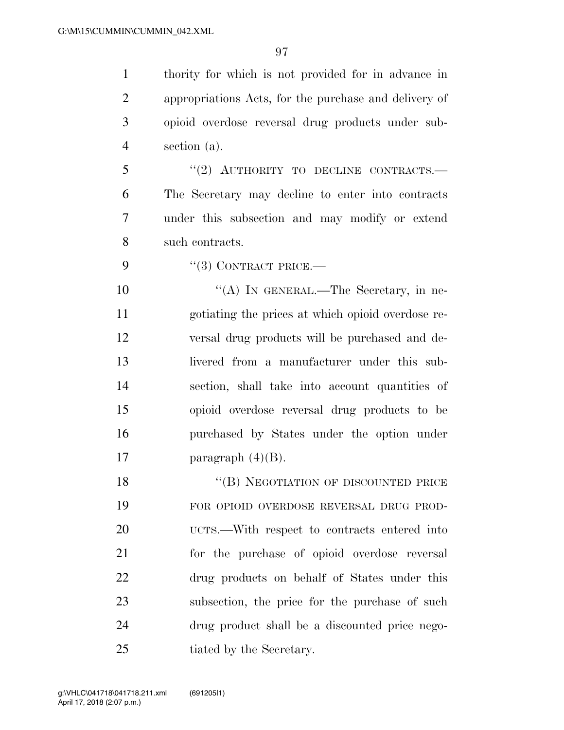thority for which is not provided for in advance in appropriations Acts, for the purchase and delivery of opioid overdose reversal drug products under sub-section (a).

5 "(2) AUTHORITY TO DECLINE CONTRACTS.— The Secretary may decline to enter into contracts under this subsection and may modify or extend such contracts.

9 "(3) CONTRACT PRICE.—

10 "(A) IN GENERAL.—The Secretary, in ne- gotiating the prices at which opioid overdose re- versal drug products will be purchased and de- livered from a manufacturer under this sub- section, shall take into account quantities of opioid overdose reversal drug products to be purchased by States under the option under 17 paragraph  $(4)(B)$ .

18 "(B) NEGOTIATION OF DISCOUNTED PRICE FOR OPIOID OVERDOSE REVERSAL DRUG PROD- UCTS.—With respect to contracts entered into for the purchase of opioid overdose reversal drug products on behalf of States under this subsection, the price for the purchase of such drug product shall be a discounted price nego-25 tiated by the Secretary.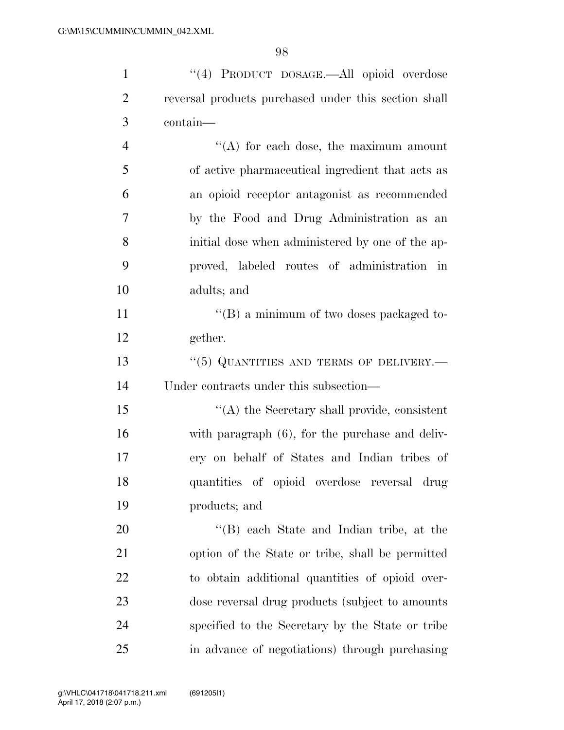| $\mathbf{1}$   | "(4) PRODUCT DOSAGE.—All opioid overdose             |
|----------------|------------------------------------------------------|
| $\overline{2}$ | reversal products purchased under this section shall |
| 3              | contain-                                             |
| $\overline{4}$ | $\lq\lq$ for each dose, the maximum amount           |
| 5              | of active pharmaceutical ingredient that acts as     |
| 6              | an opioid receptor antagonist as recommended         |
| $\overline{7}$ | by the Food and Drug Administration as an            |
| 8              | initial dose when administered by one of the ap-     |
| 9              | proved, labeled routes of administration in          |
| 10             | adults; and                                          |
| 11             | $\lq\lq (B)$ a minimum of two doses packaged to-     |
| 12             | gether.                                              |
| 13             | $``(5)$ QUANTITIES AND TERMS OF DELIVERY.—           |
| 14             | Under contracts under this subsection—               |
| 15             | "(A) the Secretary shall provide, consistent         |
| 16             | with paragraph (6), for the purchase and deliv-      |
| 17             | ery on behalf of States and Indian tribes of         |
| 18             | quantities of opioid overdose reversal drug          |
| 19             | products; and                                        |
| 20             | "(B) each State and Indian tribe, at the             |
| 21             | option of the State or tribe, shall be permitted     |
| 22             | to obtain additional quantities of opioid over-      |
| 23             | dose reversal drug products (subject to amounts      |
| 24             | specified to the Secretary by the State or tribe     |
| 25             | in advance of negotiations) through purchasing       |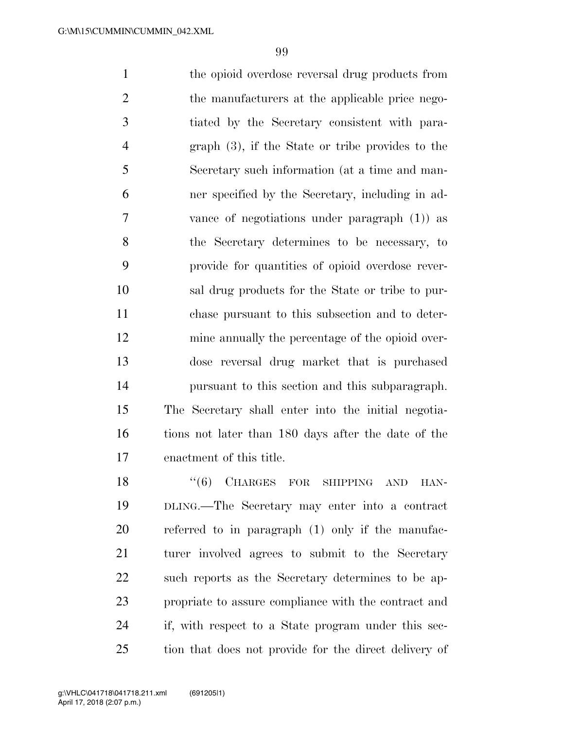1 the opioid overdose reversal drug products from 2 the manufacturers at the applicable price nego- tiated by the Secretary consistent with para- graph (3), if the State or tribe provides to the Secretary such information (at a time and man- ner specified by the Secretary, including in ad- vance of negotiations under paragraph (1)) as the Secretary determines to be necessary, to provide for quantities of opioid overdose rever- sal drug products for the State or tribe to pur- chase pursuant to this subsection and to deter- mine annually the percentage of the opioid over- dose reversal drug market that is purchased pursuant to this section and this subparagraph. The Secretary shall enter into the initial negotia- tions not later than 180 days after the date of the enactment of this title.

18 "(6) CHARGES FOR SHIPPING AND HAN- DLING.—The Secretary may enter into a contract referred to in paragraph (1) only if the manufac- turer involved agrees to submit to the Secretary such reports as the Secretary determines to be ap- propriate to assure compliance with the contract and if, with respect to a State program under this sec-tion that does not provide for the direct delivery of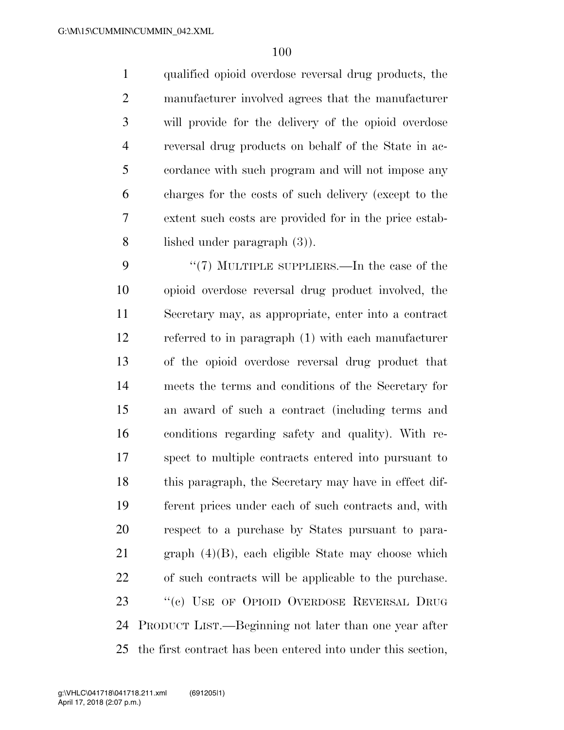qualified opioid overdose reversal drug products, the manufacturer involved agrees that the manufacturer will provide for the delivery of the opioid overdose reversal drug products on behalf of the State in ac- cordance with such program and will not impose any charges for the costs of such delivery (except to the extent such costs are provided for in the price estab-lished under paragraph (3)).

9 "(7) MULTIPLE SUPPLIERS.—In the case of the opioid overdose reversal drug product involved, the Secretary may, as appropriate, enter into a contract referred to in paragraph (1) with each manufacturer of the opioid overdose reversal drug product that meets the terms and conditions of the Secretary for an award of such a contract (including terms and conditions regarding safety and quality). With re- spect to multiple contracts entered into pursuant to this paragraph, the Secretary may have in effect dif- ferent prices under each of such contracts and, with respect to a purchase by States pursuant to para- graph (4)(B), each eligible State may choose which of such contracts will be applicable to the purchase. 23 "(c) USE OF OPIOID OVERDOSE REVERSAL DRUG PRODUCT LIST.—Beginning not later than one year after the first contract has been entered into under this section,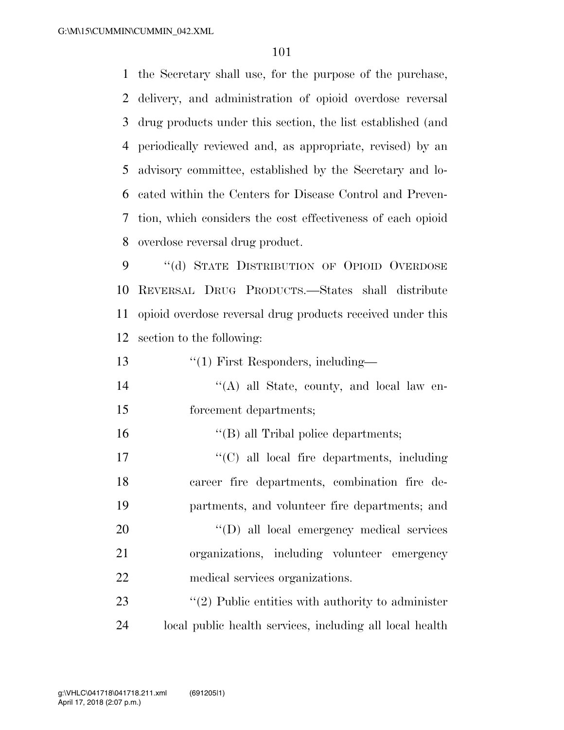the Secretary shall use, for the purpose of the purchase, delivery, and administration of opioid overdose reversal drug products under this section, the list established (and periodically reviewed and, as appropriate, revised) by an advisory committee, established by the Secretary and lo- cated within the Centers for Disease Control and Preven- tion, which considers the cost effectiveness of each opioid overdose reversal drug product.

9 "(d) STATE DISTRIBUTION OF OPIOID OVERDOSE REVERSAL DRUG PRODUCTS.—States shall distribute opioid overdose reversal drug products received under this section to the following:

13 ''(1) First Responders, including—

- ''(A) all State, county, and local law en-forcement departments;
- ''(B) all Tribal police departments;

17  $\lq\lq$  (C) all local fire departments, including career fire departments, combination fire de-partments, and volunteer fire departments; and

20  $'(D)$  all local emergency medical services organizations, including volunteer emergency medical services organizations.

23  $\frac{1}{2}$  Public entities with authority to administer local public health services, including all local health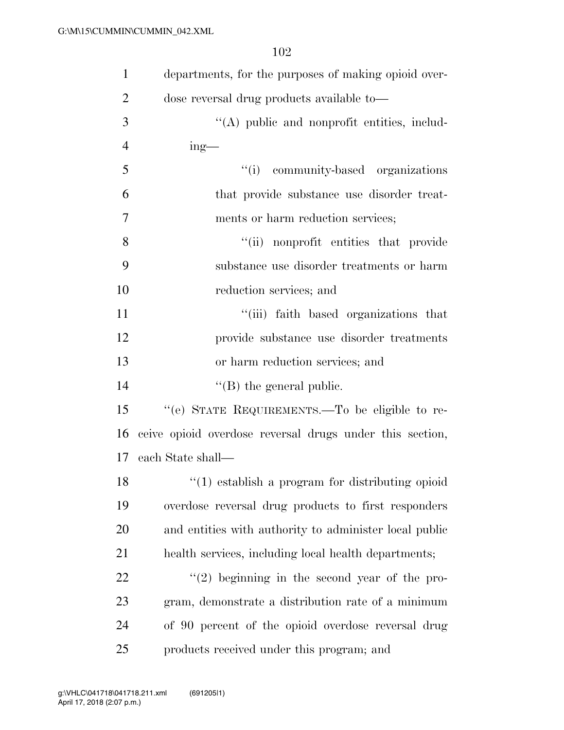| 1              | departments, for the purposes of making opioid over-     |
|----------------|----------------------------------------------------------|
| $\overline{2}$ | dose reversal drug products available to-                |
| 3              | $\lq\lq$ public and nonprofit entities, includ-          |
| $\overline{4}$ | $ing$ —                                                  |
| 5              | "(i) community-based organizations                       |
| 6              | that provide substance use disorder treat-               |
| $\overline{7}$ | ments or harm reduction services;                        |
| 8              | "(ii) nonprofit entities that provide                    |
| 9              | substance use disorder treatments or harm                |
| 10             | reduction services; and                                  |
| 11             | "(iii) faith based organizations that                    |
| 12             | provide substance use disorder treatments                |
| 13             | or harm reduction services; and                          |
| 14             | $\lq\lq$ (B) the general public.                         |
| 15             | "(e) STATE REQUIREMENTS.—To be eligible to re-           |
| 16             | ceive opioid overdose reversal drugs under this section, |
| 17             | each State shall—                                        |
| 18             | $\lq(1)$ establish a program for distributing opioid     |
| 19             | overdose reversal drug products to first responders      |
| 20             | and entities with authority to administer local public   |
| 21             | health services, including local health departments;     |
| <u>22</u>      | $(2)$ beginning in the second year of the pro-           |
| 23             | gram, demonstrate a distribution rate of a minimum       |
| 24             | of 90 percent of the opioid overdose reversal drug       |
| 25             | products received under this program; and                |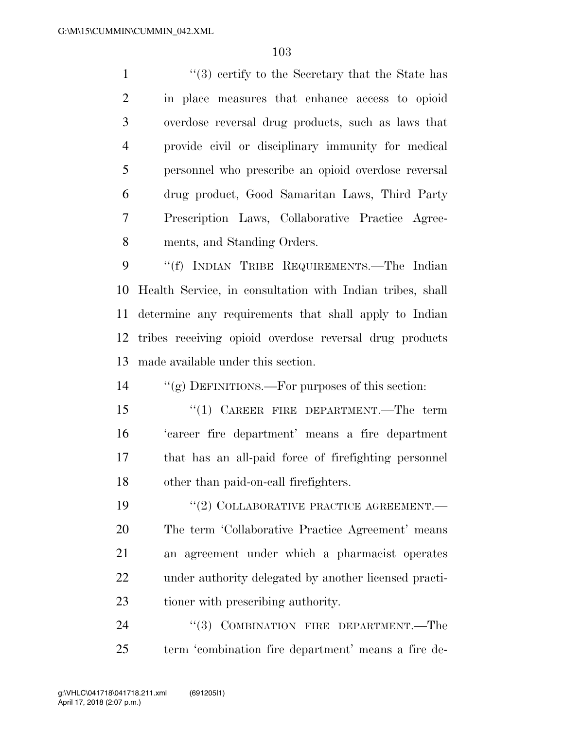1 ''(3) certify to the Secretary that the State has in place measures that enhance access to opioid overdose reversal drug products, such as laws that provide civil or disciplinary immunity for medical personnel who prescribe an opioid overdose reversal drug product, Good Samaritan Laws, Third Party Prescription Laws, Collaborative Practice Agree-ments, and Standing Orders.

 ''(f) INDIAN TRIBE REQUIREMENTS.—The Indian Health Service, in consultation with Indian tribes, shall determine any requirements that shall apply to Indian tribes receiving opioid overdose reversal drug products made available under this section.

''(g) DEFINITIONS.—For purposes of this section:

15 "(1) CAREER FIRE DEPARTMENT.—The term 'career fire department' means a fire department that has an all-paid force of firefighting personnel other than paid-on-call firefighters.

19 "(2) COLLABORATIVE PRACTICE AGREEMENT.— The term 'Collaborative Practice Agreement' means an agreement under which a pharmacist operates under authority delegated by another licensed practi-tioner with prescribing authority.

24 "(3) COMBINATION FIRE DEPARTMENT.—The term 'combination fire department' means a fire de-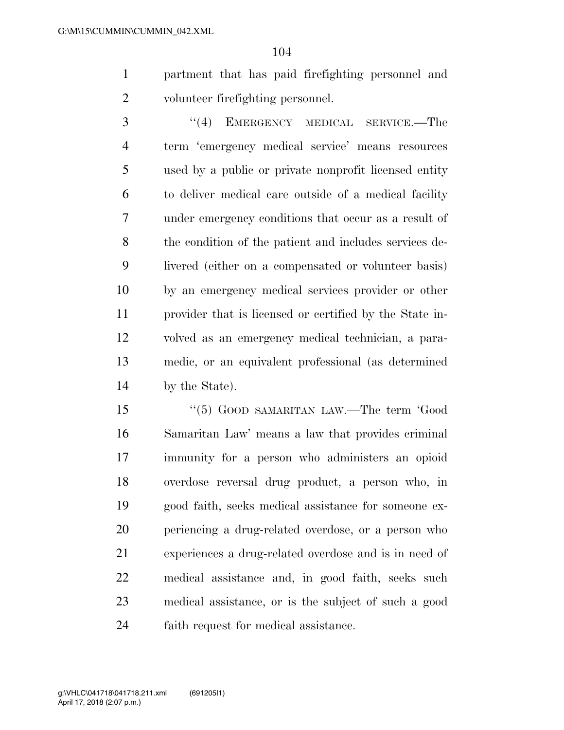partment that has paid firefighting personnel and volunteer firefighting personnel.

3 "(4) EMERGENCY MEDICAL SERVICE.—The term 'emergency medical service' means resources used by a public or private nonprofit licensed entity to deliver medical care outside of a medical facility under emergency conditions that occur as a result of the condition of the patient and includes services de- livered (either on a compensated or volunteer basis) by an emergency medical services provider or other provider that is licensed or certified by the State in- volved as an emergency medical technician, a para- medic, or an equivalent professional (as determined by the State).

15 "(5) GOOD SAMARITAN LAW.—The term 'Good Samaritan Law' means a law that provides criminal immunity for a person who administers an opioid overdose reversal drug product, a person who, in good faith, seeks medical assistance for someone ex- periencing a drug-related overdose, or a person who experiences a drug-related overdose and is in need of medical assistance and, in good faith, seeks such medical assistance, or is the subject of such a good faith request for medical assistance.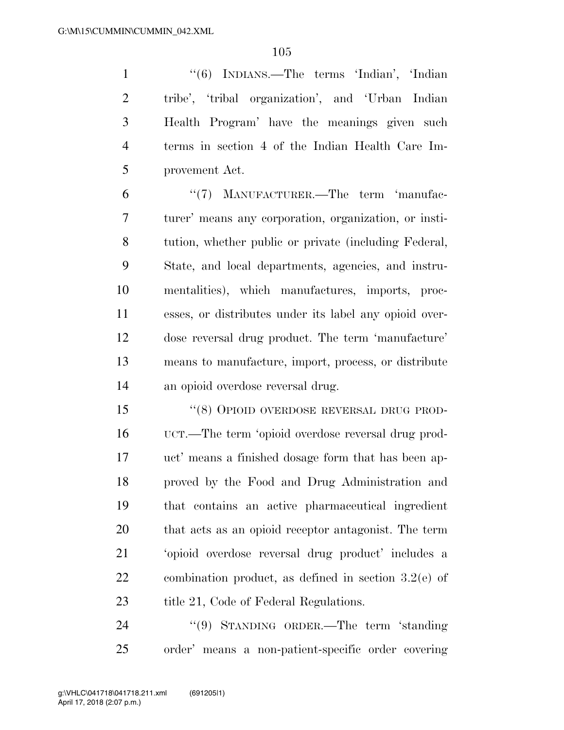''(6) INDIANS.—The terms 'Indian', 'Indian tribe', 'tribal organization', and 'Urban Indian Health Program' have the meanings given such terms in section 4 of the Indian Health Care Im-provement Act.

6 "(7) MANUFACTURER.—The term 'manufac- turer' means any corporation, organization, or insti- tution, whether public or private (including Federal, State, and local departments, agencies, and instru- mentalities), which manufactures, imports, proc- esses, or distributes under its label any opioid over- dose reversal drug product. The term 'manufacture' means to manufacture, import, process, or distribute an opioid overdose reversal drug.

 ''(8) OPIOID OVERDOSE REVERSAL DRUG PROD- UCT.—The term 'opioid overdose reversal drug prod- uct' means a finished dosage form that has been ap- proved by the Food and Drug Administration and that contains an active pharmaceutical ingredient that acts as an opioid receptor antagonist. The term 'opioid overdose reversal drug product' includes a combination product, as defined in section 3.2(e) of 23 title 21, Code of Federal Regulations.

24 "(9) STANDING ORDER.—The term 'standing order' means a non-patient-specific order covering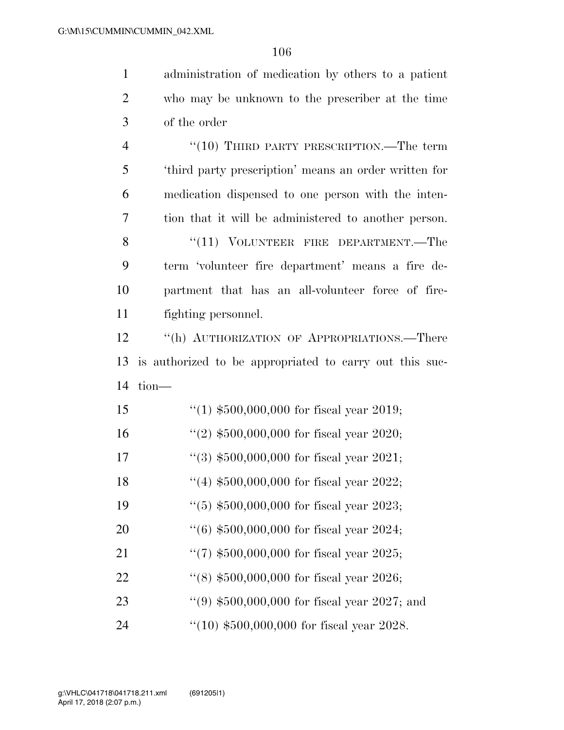administration of medication by others to a patient

| $\overline{2}$ | who may be unknown to the prescriber at the time        |
|----------------|---------------------------------------------------------|
| 3              | of the order                                            |
| $\overline{4}$ | $``(10)$ THIRD PARTY PRESCRIPTION.—The term             |
| 5              | 'third party prescription' means an order written for   |
| 6              | medication dispensed to one person with the inten-      |
| 7              | tion that it will be administered to another person.    |
| 8              | $``(11)$ VOLUNTEER FIRE DEPARTMENT.—The                 |
| 9              | term 'volunteer fire department' means a fire de-       |
| 10             | partment that has an all-volunteer force of fire-       |
| 11             | fighting personnel.                                     |
| 12             | "(h) AUTHORIZATION OF APPROPRIATIONS.—There             |
| 13             | is authorized to be appropriated to carry out this suc- |
| 14             | tion-                                                   |
| 15             | "(1) $$500,000,000$ for fiscal year 2019;               |
| 16             | "(2) $$500,000,000$ for fiscal year 2020;               |
| 17             | $(3)$ \$500,000,000 for fiscal year 2021;               |
| 18             | "(4) $$500,000,000$ for fiscal year 2022;               |
| 19             | $(5)$ \$500,000,000 for fiscal year 2023;               |
| 20             | $(6)$ \$500,000,000 for fiscal year 2024;               |
| 21             | "(7) $$500,000,000$ for fiscal year 2025;               |
| 22             | $(18)$ \$500,000,000 for fiscal year 2026;              |
| 23             | $(9)$ \$500,000,000 for fiscal year 2027; and           |
| 24             | $``(10) $500,000,000$ for fiscal year 2028.             |
|                |                                                         |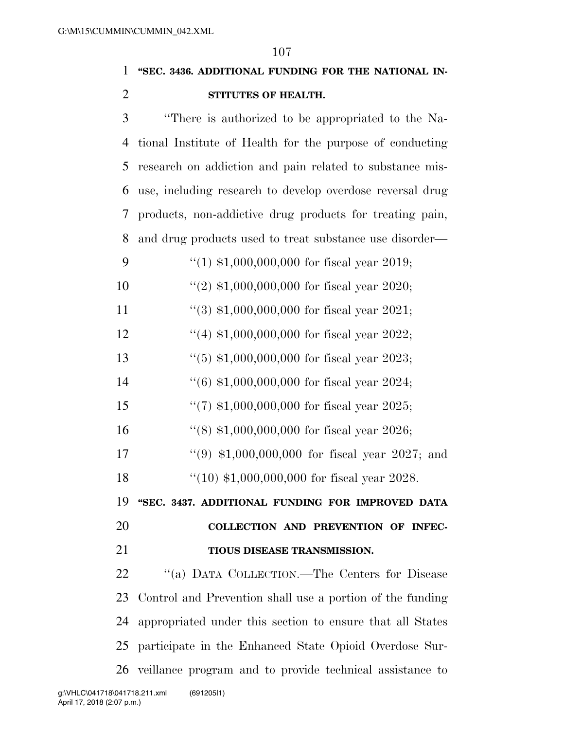# **''SEC. 3436. ADDITIONAL FUNDING FOR THE NATIONAL IN-STITUTES OF HEALTH.**

 ''There is authorized to be appropriated to the Na- tional Institute of Health for the purpose of conducting research on addiction and pain related to substance mis- use, including research to develop overdose reversal drug products, non-addictive drug products for treating pain, and drug products used to treat substance use disorder— 9 "(1)  $$1,000,000,000$  for fiscal year 2019; ''(2) \$1,000,000,000 for fiscal year 2020; 11 ''(3) \$1,000,000,000 for fiscal year 2021; ''(4) \$1,000,000,000 for fiscal year 2022; ''(5) \$1,000,000,000 for fiscal year 2023; ''(6) \$1,000,000,000 for fiscal year 2024; ''(7) \$1,000,000,000 for fiscal year 2025; ''(8) \$1,000,000,000 for fiscal year 2026; ''(9) \$1,000,000,000 for fiscal year 2027; and ''(10) \$1,000,000,000 for fiscal year 2028. **''SEC. 3437. ADDITIONAL FUNDING FOR IMPROVED DATA COLLECTION AND PREVENTION OF INFEC- TIOUS DISEASE TRANSMISSION.**  ''(a) DATA COLLECTION.—The Centers for Disease Control and Prevention shall use a portion of the funding appropriated under this section to ensure that all States participate in the Enhanced State Opioid Overdose Sur-veillance program and to provide technical assistance to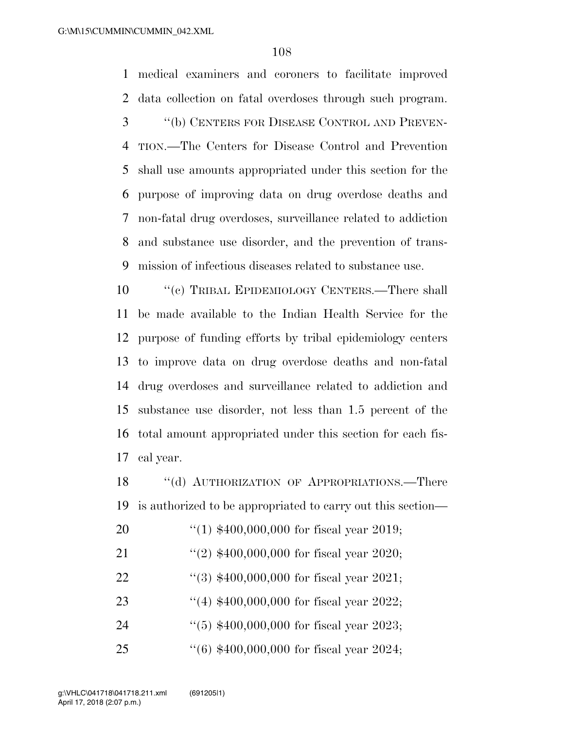medical examiners and coroners to facilitate improved data collection on fatal overdoses through such program. ''(b) CENTERS FOR DISEASE CONTROL AND PREVEN-

 TION.—The Centers for Disease Control and Prevention shall use amounts appropriated under this section for the purpose of improving data on drug overdose deaths and non-fatal drug overdoses, surveillance related to addiction and substance use disorder, and the prevention of trans-mission of infectious diseases related to substance use.

 ''(c) TRIBAL EPIDEMIOLOGY CENTERS.—There shall be made available to the Indian Health Service for the purpose of funding efforts by tribal epidemiology centers to improve data on drug overdose deaths and non-fatal drug overdoses and surveillance related to addiction and substance use disorder, not less than 1.5 percent of the total amount appropriated under this section for each fis-cal year.

18 "(d) AUTHORIZATION OF APPROPRIATIONS.—There is authorized to be appropriated to carry out this section—

- ''(1) \$400,000,000 for fiscal year 2019;
- 21 ''(2) \$400,000,000 for fiscal year 2020;
- ''(3) \$400,000,000 for fiscal year 2021;
- ''(4) \$400,000,000 for fiscal year 2022;
- ''(5) \$400,000,000 for fiscal year 2023;
- ''(6) \$400,000,000 for fiscal year 2024;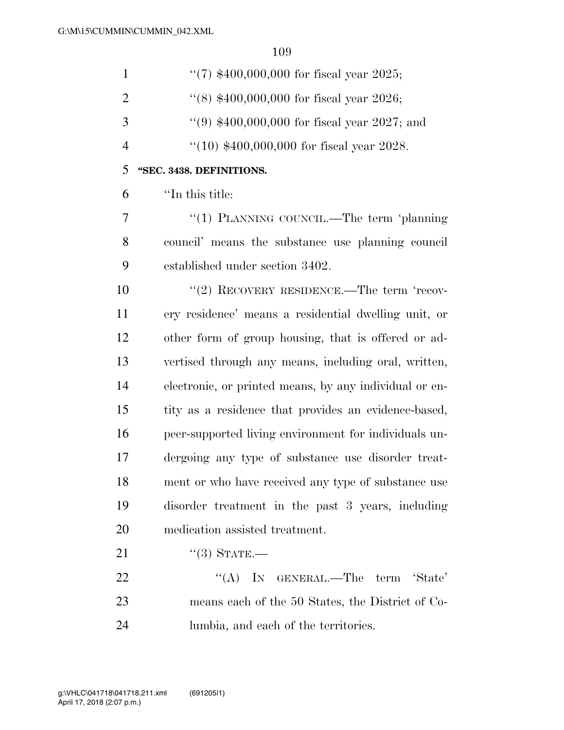| $\mathbf{1}$   | $(7)$ \$400,000,000 for fiscal year 2025;              |
|----------------|--------------------------------------------------------|
| $\overline{2}$ | $(8)$ \$400,000,000 for fiscal year 2026;              |
| 3              | $(9)$ \$400,000,000 for fiscal year 2027; and          |
| $\overline{4}$ | $(10)$ \$400,000,000 for fiscal year 2028.             |
| 5              | "SEC. 3438. DEFINITIONS.                               |
| 6              | "In this title:                                        |
| 7              | "(1) PLANNING COUNCIL.—The term 'planning              |
| 8              | council' means the substance use planning council      |
| 9              | established under section 3402.                        |
| 10             | "(2) RECOVERY RESIDENCE.—The term 'recov-              |
| 11             | ery residence' means a residential dwelling unit, or   |
| 12             | other form of group housing, that is offered or ad-    |
| 13             | vertised through any means, including oral, written,   |
| 14             | electronic, or printed means, by any individual or en- |
| 15             | tity as a residence that provides an evidence-based,   |
| 16             | peer-supported living environment for individuals un-  |
| 17             | dergoing any type of substance use disorder treat-     |
| 18             | ment or who have received any type of substance use    |
| 19             | disorder treatment in the past 3 years, including      |
| 20             | medication assisted treatment.                         |
| 21             | $``(3)$ STATE.—                                        |
| 22             | "(A) IN GENERAL.—The term 'State'                      |
| 23             | means each of the 50 States, the District of Co-       |
| 24             | lumbia, and each of the territories.                   |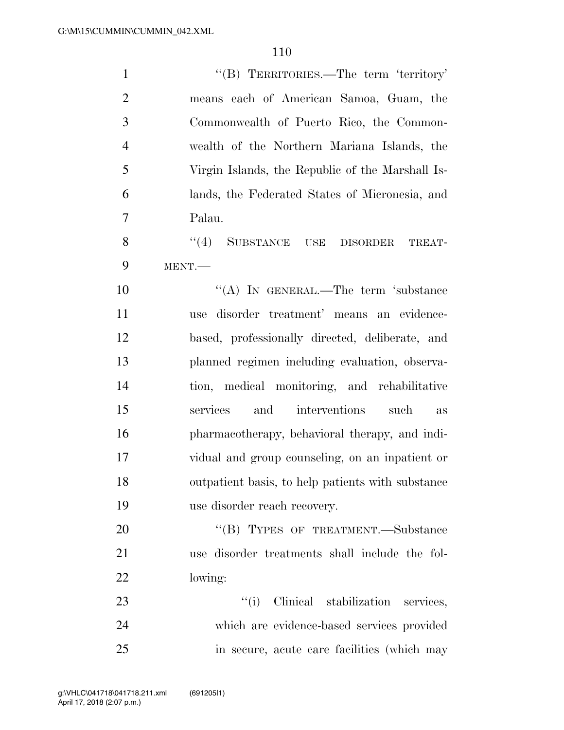| $\mathbf{1}$   | "(B) TERRITORIES.—The term 'territory'            |
|----------------|---------------------------------------------------|
| $\overline{2}$ | means each of American Samoa, Guam, the           |
| 3              | Commonwealth of Puerto Rico, the Common-          |
| $\overline{4}$ | wealth of the Northern Mariana Islands, the       |
| 5              | Virgin Islands, the Republic of the Marshall Is-  |
| 6              | lands, the Federated States of Micronesia, and    |
| $\overline{7}$ | Palau.                                            |
| 8              | (4)<br>SUBSTANCE USE DISORDER<br>TREAT-           |
| 9              | MENT.                                             |
| 10             | "(A) IN GENERAL.—The term 'substance              |
| 11             | use disorder treatment' means an evidence-        |
| 12             | based, professionally directed, deliberate, and   |
| 13             | planned regimen including evaluation, observa-    |
| 14             | tion, medical monitoring, and rehabilitative      |
| 15             | interventions<br>services<br>and<br>such<br>as    |
| 16             | pharmacotherapy, behavioral therapy, and indi-    |
| 17             | vidual and group counseling, on an inpatient or   |
| 18             | outpatient basis, to help patients with substance |
| 19             | use disorder reach recovery.                      |
| 20             | "(B) TYPES OF TREATMENT.—Substance                |
| 21             | use disorder treatments shall include the fol-    |
| 22             | lowing:                                           |
| 23             | ``(i)<br>Clinical stabilization services,         |
| 24             | which are evidence-based services provided        |
| 25             | in secure, acute care facilities (which may       |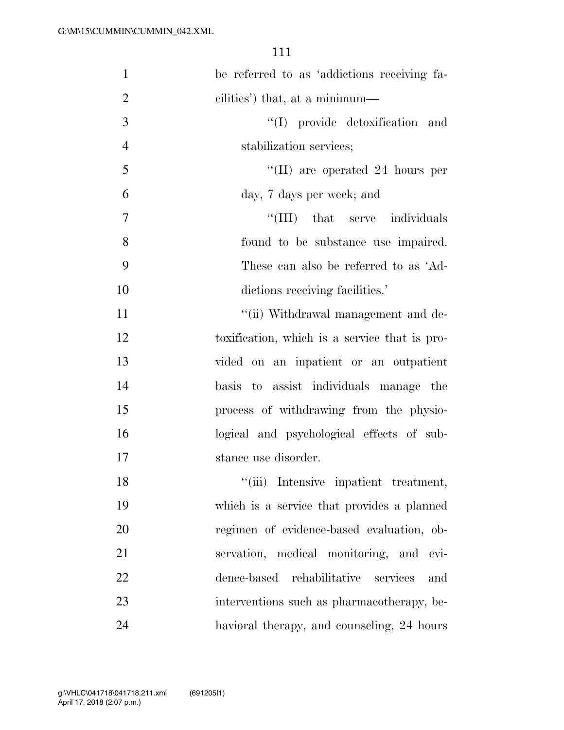| $\mathbf{1}$   | be referred to as 'addictions receiving fa-   |
|----------------|-----------------------------------------------|
| $\overline{2}$ | cilities') that, at a minimum—                |
| 3              | "(I) provide detoxification and               |
| $\overline{4}$ | stabilization services;                       |
| 5              | $\lq$ (II) are operated 24 hours per          |
| 6              | day, 7 days per week; and                     |
| 7              | "(III) that serve individuals                 |
| 8              | found to be substance use impaired.           |
| 9              | These can also be referred to as 'Ad-         |
| 10             | dictions receiving facilities.'               |
| 11             | "(ii) Withdrawal management and de-           |
| 12             | toxification, which is a service that is pro- |
| 13             | vided on an inpatient or an outpatient        |
| 14             | basis to assist individuals manage the        |
| 15             | process of withdrawing from the physio-       |
| 16             | logical and psychological effects of sub-     |
| 17             | stance use disorder.                          |
| 18             | "(iii) Intensive inpatient treatment,         |
| 19             | which is a service that provides a planned    |
| 20             | regimen of evidence-based evaluation, ob-     |
| 21             | servation, medical monitoring, and evi-       |
| 22             | dence-based rehabilitative<br>services<br>and |
| 23             | interventions such as pharmacotherapy, be-    |
| 24             | havioral therapy, and counseling, 24 hours    |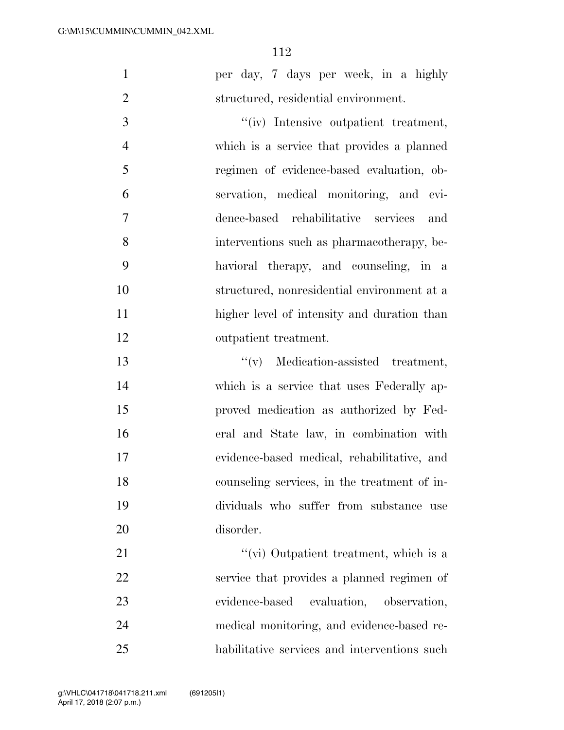per day, 7 days per week, in a highly structured, residential environment.

 $''(iv)$  Intensive outpatient treatment, which is a service that provides a planned regimen of evidence-based evaluation, ob- servation, medical monitoring, and evi- dence-based rehabilitative services and interventions such as pharmacotherapy, be- havioral therapy, and counseling, in a structured, nonresidential environment at a higher level of intensity and duration than outpatient treatment.

 ''(v) Medication-assisted treatment, which is a service that uses Federally ap- proved medication as authorized by Fed- eral and State law, in combination with evidence-based medical, rehabilitative, and counseling services, in the treatment of in- dividuals who suffer from substance use disorder.

21 ''(vi) Outpatient treatment, which is a service that provides a planned regimen of evidence-based evaluation, observation, medical monitoring, and evidence-based re-habilitative services and interventions such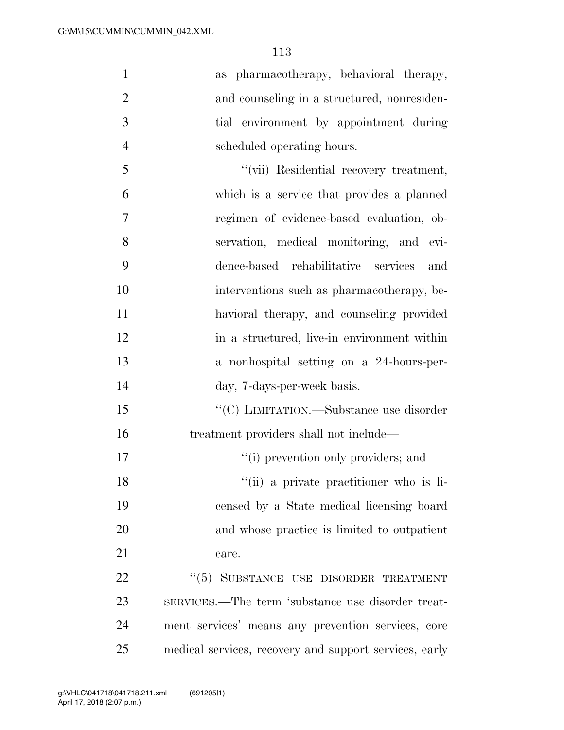as pharmacotherapy, behavioral therapy, 2 and counseling in a structured, nonresiden- tial environment by appointment during scheduled operating hours. ''(vii) Residential recovery treatment, which is a service that provides a planned regimen of evidence-based evaluation, ob- servation, medical monitoring, and evi-dence-based rehabilitative services and

 interventions such as pharmacotherapy, be- havioral therapy, and counseling provided 12 in a structured, live-in environment within a nonhospital setting on a 24-hours-per-

day, 7-days-per-week basis.

15 "'(C) LIMITATION.—Substance use disorder treatment providers shall not include—

17  $\frac{1}{10}$  prevention only providers; and

''(ii) a private practitioner who is li-

 censed by a State medical licensing board and whose practice is limited to outpatient 21 care.

22 "(5) SUBSTANCE USE DISORDER TREATMENT SERVICES.—The term 'substance use disorder treat- ment services' means any prevention services, core medical services, recovery and support services, early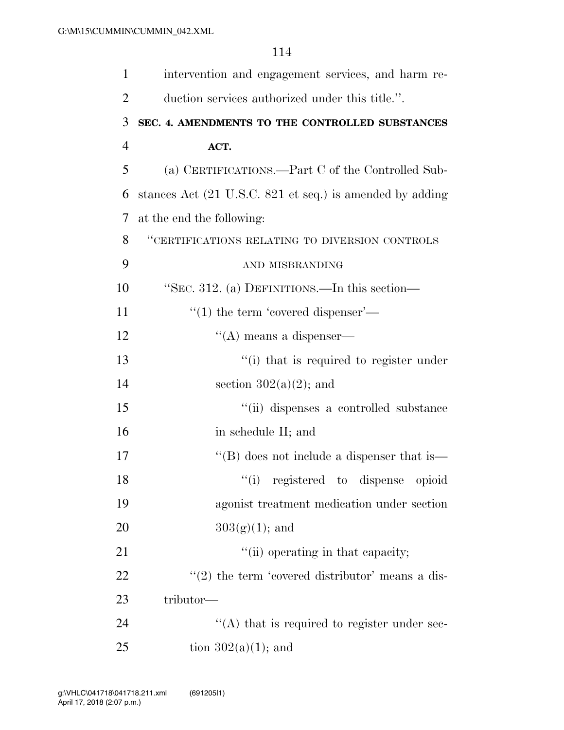| $\mathbf{1}$   | intervention and engagement services, and harm re-       |
|----------------|----------------------------------------------------------|
| $\overline{2}$ | duction services authorized under this title.".          |
| 3              | SEC. 4. AMENDMENTS TO THE CONTROLLED SUBSTANCES          |
| $\overline{4}$ | ACT.                                                     |
| 5              | (a) CERTIFICATIONS.—Part C of the Controlled Sub-        |
| 6              | stances Act (21 U.S.C. 821 et seq.) is amended by adding |
| 7              | at the end the following:                                |
| 8              | "CERTIFICATIONS RELATING TO DIVERSION CONTROLS           |
| 9              | AND MISBRANDING                                          |
| 10             | "SEC. 312. (a) DEFINITIONS.—In this section—             |
| 11             | $\cdot\cdot(1)$ the term 'covered dispenser'—            |
| 12             | $\lq\lq$ means a dispenser—                              |
| 13             | "(i) that is required to register under                  |
| 14             | section $302(a)(2)$ ; and                                |
| 15             | "(ii) dispenses a controlled substance                   |
| 16             | in schedule II; and                                      |
| 17             | $\lq\lq$ does not include a dispenser that is—           |
| 18             | "(i) registered to dispense opioid                       |
| 19             | agonist treatment medication under section               |
| 20             | $303(g)(1)$ ; and                                        |
| 21             | "(ii) operating in that capacity;                        |
| 22             | $\lq(2)$ the term 'covered distributor' means a dis-     |
| 23             | tributor—                                                |
| 24             | $\cdot$ (A) that is required to register under sec-      |
| 25             | tion $302(a)(1)$ ; and                                   |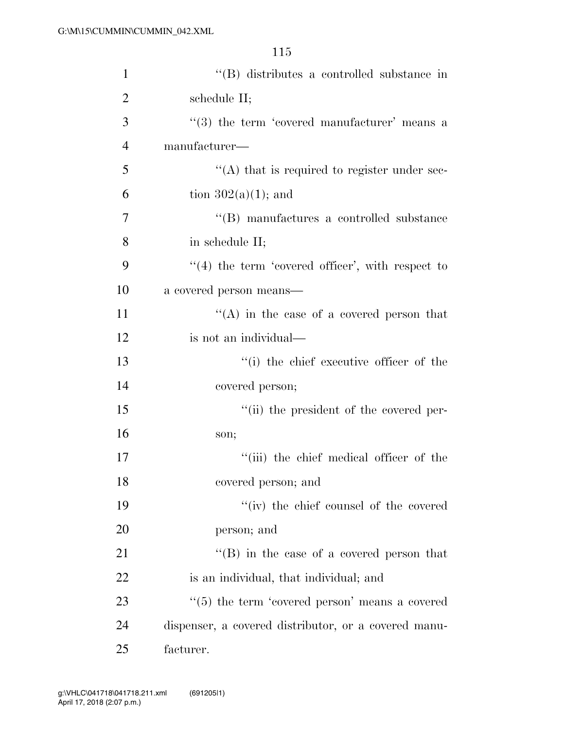| $\mathbf{1}$   | "(B) distributes a controlled substance in                 |
|----------------|------------------------------------------------------------|
| $\overline{2}$ | schedule II;                                               |
| 3              | $(3)$ the term 'covered manufacturer' means a              |
| $\overline{4}$ | manufacturer—                                              |
| 5              | $\cdot$ (A) that is required to register under sec-        |
| 6              | tion $302(a)(1)$ ; and                                     |
| 7              | "(B) manufactures a controlled substance                   |
| 8              | in schedule II;                                            |
| 9              | $\lq(4)$ the term 'covered officer', with respect to       |
| 10             | a covered person means—                                    |
| 11             | $\lq\lq$ in the case of a covered person that              |
| 12             | is not an individual—                                      |
| 13             | "(i) the chief executive officer of the                    |
| 14             | covered person;                                            |
| 15             | "(ii) the president of the covered per-                    |
| 16             | son;                                                       |
| 17             | "(iii) the chief medical officer of the                    |
| 18             | covered person; and                                        |
| 19             | "(iv) the chief counsel of the covered                     |
| 20             | person; and                                                |
| 21             | $\lq\lq (B)$ in the case of a covered person that          |
| 22             | is an individual, that individual; and                     |
| 23             | $\cdot\cdot$ (5) the term 'covered person' means a covered |
| 24             | dispenser, a covered distributor, or a covered manu-       |
| 25             | facturer.                                                  |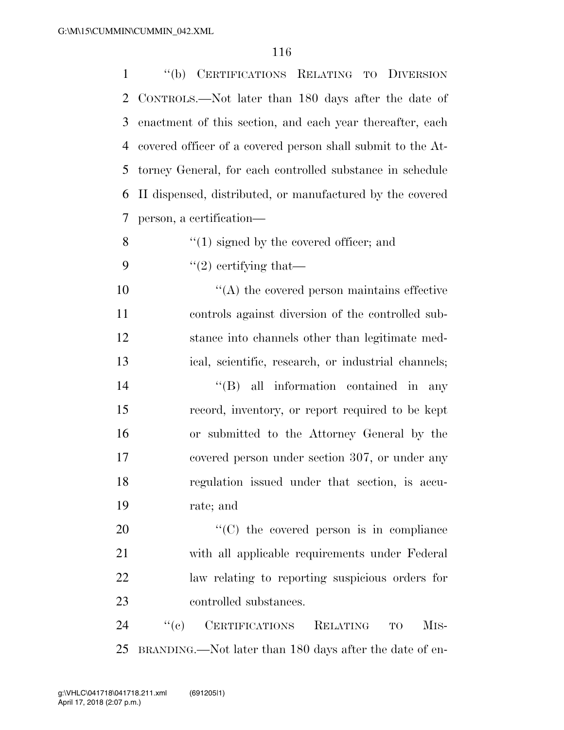''(b) CERTIFICATIONS RELATING TO DIVERSION CONTROLS.—Not later than 180 days after the date of enactment of this section, and each year thereafter, each covered officer of a covered person shall submit to the At- torney General, for each controlled substance in schedule II dispensed, distributed, or manufactured by the covered person, a certification—  $\mathcal{S}$  ''(1) signed by the covered officer; and  $\frac{1}{2}$  ertifying that— ''(A) the covered person maintains effective controls against diversion of the controlled sub- stance into channels other than legitimate med- ical, scientific, research, or industrial channels;  $''(B)$  all information contained in any record, inventory, or report required to be kept or submitted to the Attorney General by the covered person under section 307, or under any regulation issued under that section, is accu-

rate; and

 $\cdot$  (C) the covered person is in compliance with all applicable requirements under Federal law relating to reporting suspicious orders for controlled substances.

24 "(c) CERTIFICATIONS RELATING TO MIS-BRANDING.—Not later than 180 days after the date of en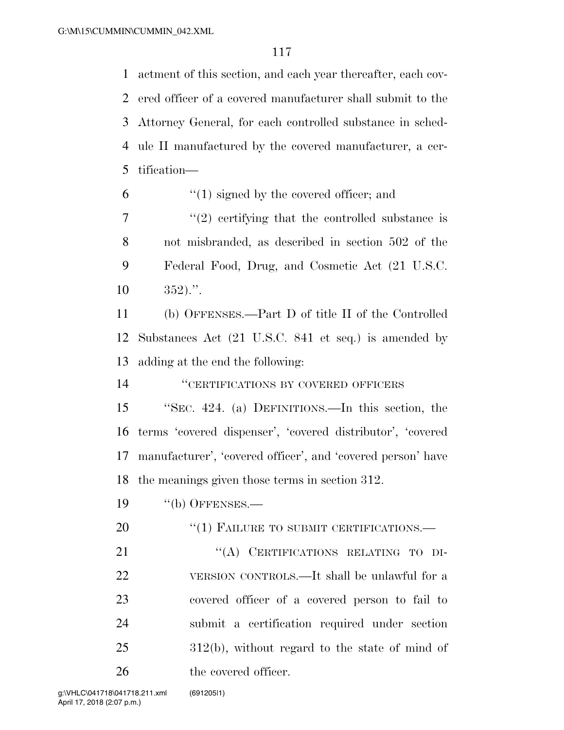actment of this section, and each year thereafter, each cov- ered officer of a covered manufacturer shall submit to the Attorney General, for each controlled substance in sched- ule II manufactured by the covered manufacturer, a cer-tification—

- $(1)$  signed by the covered officer; and
- $7 \t$ ''(2) certifying that the controlled substance is not misbranded, as described in section 502 of the Federal Food, Drug, and Cosmetic Act (21 U.S.C.  $10 \t 352$ .".

 (b) OFFENSES.—Part D of title II of the Controlled Substances Act (21 U.S.C. 841 et seq.) is amended by adding at the end the following:

''CERTIFICATIONS BY COVERED OFFICERS

 ''SEC. 424. (a) DEFINITIONS.—In this section, the terms 'covered dispenser', 'covered distributor', 'covered manufacturer', 'covered officer', and 'covered person' have the meanings given those terms in section 312.

''(b) OFFENSES.—

20 "(1) FAILURE TO SUBMIT CERTIFICATIONS.—

21 "(A) CERTIFICATIONS RELATING TO DI- VERSION CONTROLS.—It shall be unlawful for a covered officer of a covered person to fail to submit a certification required under section 312(b), without regard to the state of mind of the covered officer.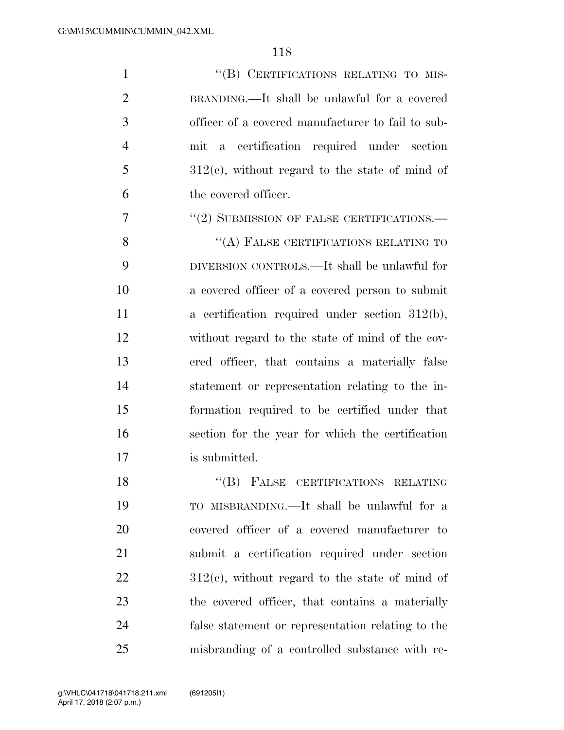1 "(B) CERTIFICATIONS RELATING TO MIS- BRANDING.—It shall be unlawful for a covered officer of a covered manufacturer to fail to sub- mit a certification required under section  $5 \qquad \qquad 312(e)$ , without regard to the state of mind of the covered officer.

7 "(2) SUBMISSION OF FALSE CERTIFICATIONS.—

8 "(A) FALSE CERTIFICATIONS RELATING TO DIVERSION CONTROLS.—It shall be unlawful for a covered officer of a covered person to submit a certification required under section 312(b), without regard to the state of mind of the cov- ered officer, that contains a materially false statement or representation relating to the in- formation required to be certified under that section for the year for which the certification is submitted.

18 "(B) FALSE CERTIFICATIONS RELATING TO MISBRANDING.—It shall be unlawful for a covered officer of a covered manufacturer to submit a certification required under section  $22 \t 312(e)$ , without regard to the state of mind of the covered officer, that contains a materially false statement or representation relating to the misbranding of a controlled substance with re-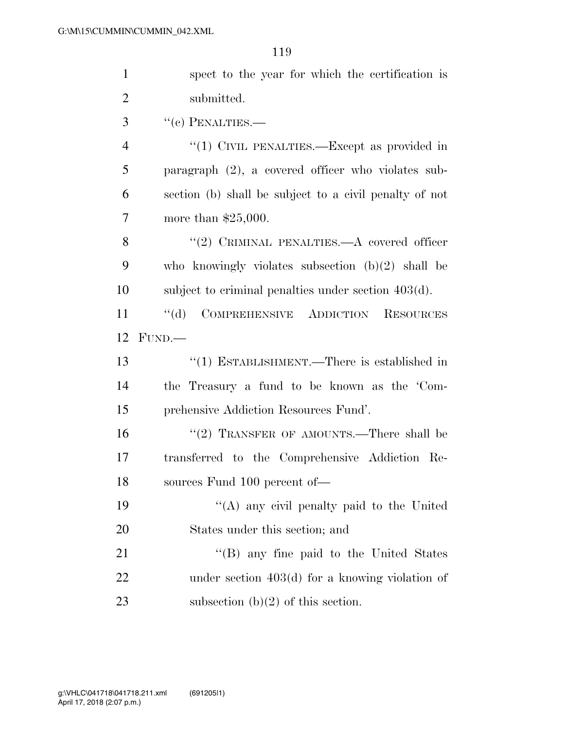| $\mathbf{1}$   | spect to the year for which the certification is            |
|----------------|-------------------------------------------------------------|
| $\overline{2}$ | submitted.                                                  |
| 3              | $``(e)$ PENALTIES.—                                         |
| $\overline{4}$ | "(1) CIVIL PENALTIES.—Except as provided in                 |
| 5              | paragraph $(2)$ , a covered officer who violates sub-       |
| 6              | section (b) shall be subject to a civil penalty of not      |
| 7              | more than $$25,000$ .                                       |
| 8              | "(2) CRIMINAL PENALTIES.—A covered officer                  |
| 9              | who knowingly violates subsection $(b)(2)$ shall be         |
| 10             | subject to criminal penalties under section $403(d)$ .      |
| 11             | $\lq\lq (d)$<br>COMPREHENSIVE ADDICTION<br><b>RESOURCES</b> |
| 12             | FUND.                                                       |
| 13             | "(1) ESTABLISHMENT.—There is established in                 |
| 14             | the Treasury a fund to be known as the 'Com-                |
| 15             |                                                             |
|                | prehensive Addiction Resources Fund'.                       |
| 16             | "(2) TRANSFER OF AMOUNTS.—There shall be                    |
| 17             | transferred to the Comprehensive Addiction Re-              |
| 18             | sources Fund 100 percent of-                                |
| 19             | "(A) any civil penalty paid to the United                   |
| 20             | States under this section; and                              |
| 21             | "(B) any fine paid to the United States                     |
| 22             | under section $403(d)$ for a knowing violation of           |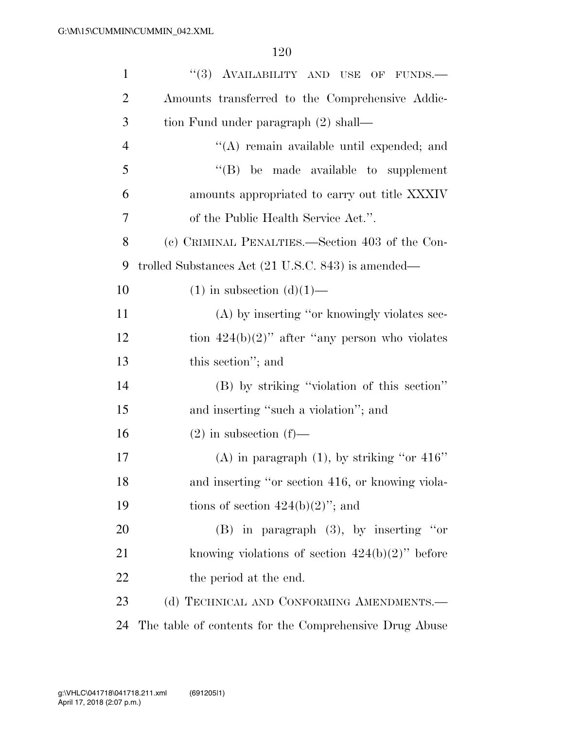| $\mathbf{1}$   | "(3) AVAILABILITY AND USE OF FUNDS.-                   |
|----------------|--------------------------------------------------------|
| $\overline{2}$ | Amounts transferred to the Comprehensive Addic-        |
| 3              | tion Fund under paragraph (2) shall—                   |
| $\overline{4}$ | "(A) remain available until expended; and              |
| 5              | "(B) be made available to supplement                   |
| 6              | amounts appropriated to carry out title XXXIV          |
| 7              | of the Public Health Service Act.".                    |
| 8              | (c) CRIMINAL PENALTIES.—Section 403 of the Con-        |
| 9              | trolled Substances Act (21 U.S.C. 843) is amended—     |
| 10             | $(1)$ in subsection $(d)(1)$ —                         |
| 11             | (A) by inserting "or knowingly violates sec-           |
| 12             | tion $424(b)(2)$ " after "any person who violates      |
| 13             | this section"; and                                     |
| 14             | (B) by striking "violation of this section"            |
| 15             | and inserting "such a violation"; and                  |
| 16             | $(2)$ in subsection $(f)$ —                            |
| 17             | (A) in paragraph $(1)$ , by striking "or 416"          |
| 18             | and inserting "or section 416, or knowing viola-       |
| 19             | tions of section $424(b)(2)$ "; and                    |
| 20             | $(B)$ in paragraph $(3)$ , by inserting "or            |
| 21             | knowing violations of section $424(b)(2)$ " before     |
| 22             | the period at the end.                                 |
| 23             | (d) TECHNICAL AND CONFORMING AMENDMENTS.-              |
| 24             | The table of contents for the Comprehensive Drug Abuse |